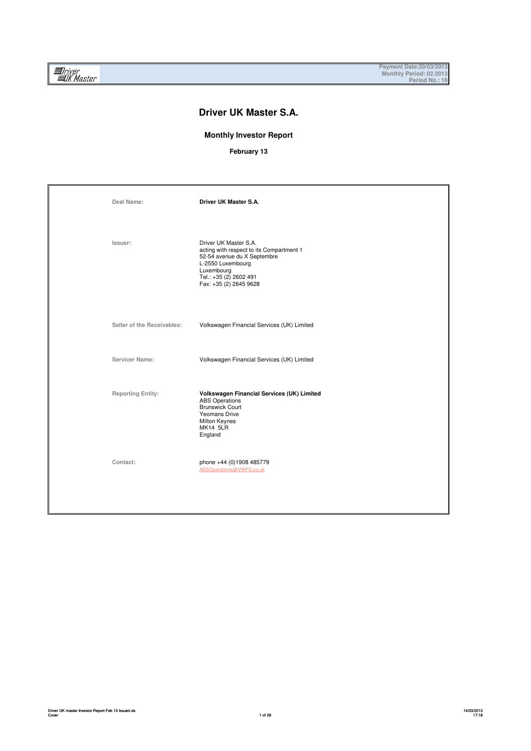## **Driver UK Master S.A.**

### **Monthly Investor Report**

**February 13**

| Deal Name:                 | Driver UK Master S.A.                                                                                                                                                                   |
|----------------------------|-----------------------------------------------------------------------------------------------------------------------------------------------------------------------------------------|
| Issuer:                    | Driver UK Master S.A.<br>acting with respect to its Compartment 1<br>52-54 avenue du X Septembre<br>L-2550 Luxembourg<br>Luxembourg<br>Tel.: +35 (2) 2602 491<br>Fax: +35 (2) 2645 9628 |
| Seller of the Receivables: | Volkswagen Financial Services (UK) Limited                                                                                                                                              |
| Servicer Name:             | Volkswagen Financial Services (UK) Limited                                                                                                                                              |
| <b>Reporting Entity:</b>   | Volkswagen Financial Services (UK) Limited<br><b>ABS Operations</b><br><b>Brunswick Court</b><br>Yeomans Drive<br><b>Milton Keynes</b><br><b>MK14 5LR</b><br>England                    |
| Contact:                   | phone +44 (0)1908 485779<br>ABSOperations@VWFS.co,uk                                                                                                                                    |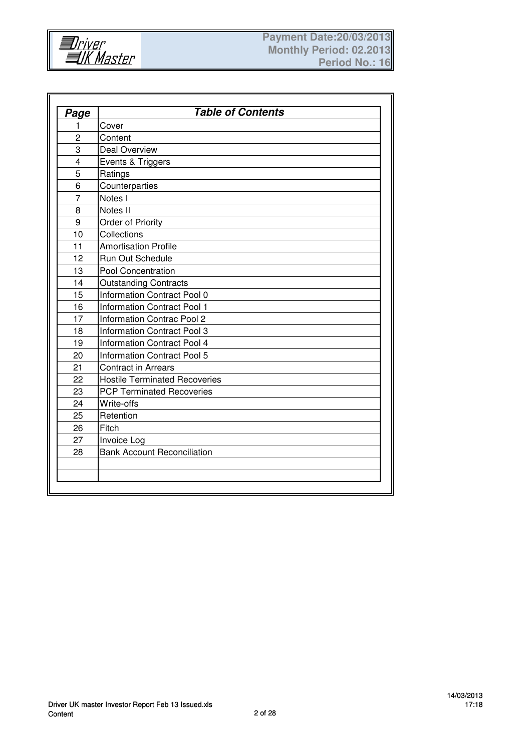

| Page                    | <b>Table of Contents</b>             |
|-------------------------|--------------------------------------|
| 1                       | Cover                                |
| $\overline{2}$          | Content                              |
| 3                       | <b>Deal Overview</b>                 |
| $\overline{\mathbf{4}}$ | Events & Triggers                    |
| 5                       | Ratings                              |
| 6                       | Counterparties                       |
| 7                       | Notes I                              |
| 8                       | Notes II                             |
| 9                       | Order of Priority                    |
| 10                      | Collections                          |
| 11                      | <b>Amortisation Profile</b>          |
| 12                      | Run Out Schedule                     |
| 13                      | Pool Concentration                   |
| 14                      | <b>Outstanding Contracts</b>         |
| 15                      | Information Contract Pool 0          |
| 16                      | <b>Information Contract Pool 1</b>   |
| 17                      | <b>Information Contrac Pool 2</b>    |
| 18                      | <b>Information Contract Pool 3</b>   |
| 19                      | <b>Information Contract Pool 4</b>   |
| 20                      | <b>Information Contract Pool 5</b>   |
| 21                      | <b>Contract in Arrears</b>           |
| 22                      | <b>Hostile Terminated Recoveries</b> |
| 23                      | <b>PCP Terminated Recoveries</b>     |
| 24                      | Write-offs                           |
| 25                      | Retention                            |
| 26                      | Fitch                                |
| 27                      | Invoice Log                          |
| 28                      | <b>Bank Account Reconciliation</b>   |
|                         |                                      |
|                         |                                      |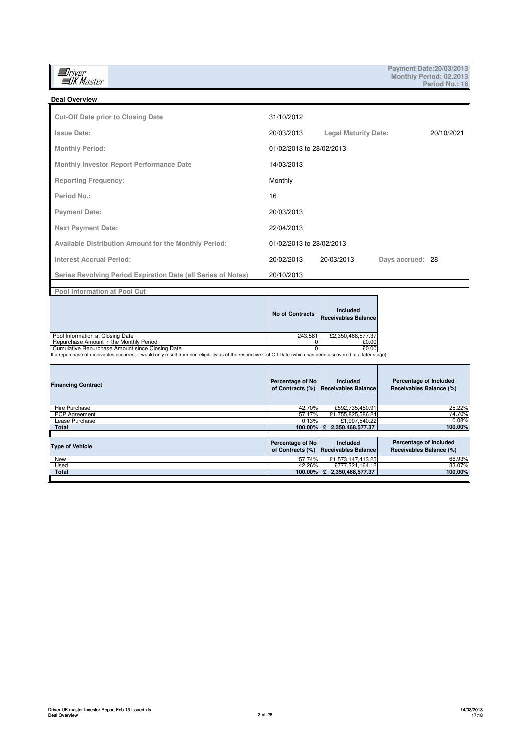**El**river<br>ElK Master

**Deal Overview**

## **Cut-Off Date prior to Closing Date** 31/10/2012 **Issue Date:** 20/03/2013 **Legal Maturity Date:** 20/10/2021 **Monthly Period:** 01/02/2013 to 28/02/2013 **Monthly Investor Report Performance Date** 14/03/2013 **Reporting Frequency:** Monthly Period No.: 16 **Payment Date:** 20/03/2013 **Next Payment Date:** 22/04/2013 **Available Distribution Amount for the Monthly Period:** 01/02/2013 to 28/02/2013 **Interest Accrual Period:** 20/02/2013 20/03/2013 **Days accrued:** 28

**Series Revolving Period Expiration Date (all Series of Notes)** 20/10/2013

| <b>Pool Information at Pool Cut</b>             |                        |                                        |
|-------------------------------------------------|------------------------|----------------------------------------|
|                                                 | <b>No of Contracts</b> | Included<br><b>Receivables Balance</b> |
| Pool Information at Closing Date                | 243.581                | £2,350,468,577.37                      |
| Repurchase Amount in the Monthly Period         |                        | £0.00                                  |
| Cumulative Repurchase Amount since Closing Date |                        | £0.00                                  |

Cumulative Repurchase Amount since Closing Date<br>If a repurchase of receivables occurred, it would only result from non-eligibility as of the respective Cut Off Date (which has been discovered at a later stage).

| <b>Financing Contract</b> | Percentage of No | Included<br>of Contracts (%) Receivables Balance   | Percentage of Included<br>Receivables Balance (%) |
|---------------------------|------------------|----------------------------------------------------|---------------------------------------------------|
| Hire Purchase             | 42.70%           | £592.735.450.91                                    | 25.22%                                            |
| <b>PCP Agreement</b>      | 57.17%           | £1.755.825.586.24                                  | 74.70%                                            |
| Lease Purchase            | 0.13%            | £1,907,540.22                                      | 0.08%                                             |
| Total                     | $100.00\%$ £     | 2,350,468,577.37                                   | 100.00%                                           |
|                           |                  |                                                    |                                                   |
| Type of Vehicle           | Percentage of No | Included<br>of Contracts (%)   Receivables Balance | Percentage of Included<br>Receivables Balance (%) |
| <b>New</b>                | 57.74%           | £1.573.147.413.25                                  | 66.93%                                            |
| Used                      | 42.26%           | £777.321.164.12                                    | 33.07%                                            |
| Total                     | 100.00%          | 2,350,468,577.37<br>£                              | 100.00%                                           |
|                           |                  |                                                    |                                                   |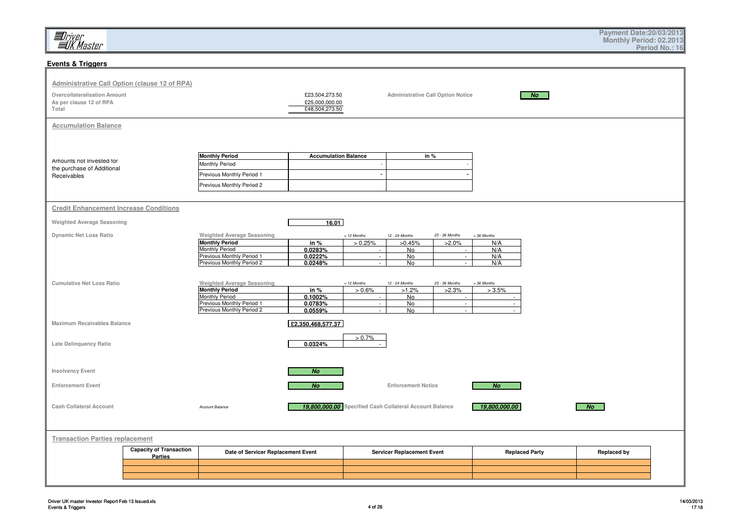| <b>Events &amp; Triggers</b>                                   |                                |                                                            |                                  |                          |                                                         |                            |                       |                    |  |
|----------------------------------------------------------------|--------------------------------|------------------------------------------------------------|----------------------------------|--------------------------|---------------------------------------------------------|----------------------------|-----------------------|--------------------|--|
|                                                                |                                |                                                            |                                  |                          |                                                         |                            |                       |                    |  |
| Administrative Call Option (clause 12 of RPA)                  |                                |                                                            |                                  |                          |                                                         |                            |                       |                    |  |
| <b>Overcollateralisation Amount</b><br>As per clause 12 of RPA |                                |                                                            | £23,504,273.50<br>£25,000,000.00 |                          | <b>Administrative Call Option Notice</b>                |                            | No                    |                    |  |
| Total                                                          |                                |                                                            | £48,504,273.50                   |                          |                                                         |                            |                       |                    |  |
| <b>Accumulation Balance</b>                                    |                                |                                                            |                                  |                          |                                                         |                            |                       |                    |  |
|                                                                |                                |                                                            |                                  |                          |                                                         |                            |                       |                    |  |
|                                                                |                                |                                                            |                                  |                          |                                                         |                            |                       |                    |  |
| Amounts not Invested for                                       |                                | <b>Monthly Period</b><br>Monthly Period                    | <b>Accumulation Balance</b>      | $\sim$                   | in %                                                    |                            |                       |                    |  |
| the purchase of Additional<br>Receivables                      |                                | Previous Monthly Period 1                                  |                                  | $\overline{\phantom{a}}$ |                                                         |                            |                       |                    |  |
|                                                                |                                | Previous Monthly Period 2                                  |                                  |                          |                                                         |                            |                       |                    |  |
|                                                                |                                |                                                            |                                  |                          |                                                         |                            |                       |                    |  |
| <b>Credit Enhancement Increase Conditions</b>                  |                                |                                                            |                                  |                          |                                                         |                            |                       |                    |  |
| <b>Weighted Average Seasoning</b>                              |                                |                                                            | 16.01                            |                          |                                                         |                            |                       |                    |  |
| <b>Dynamic Net Loss Ratio</b>                                  |                                | <b>Weighted Average Seasoning</b>                          |                                  | < 12 Months              | 12 - 24 Months                                          | 25 - 36 Months             | > 36 Months           |                    |  |
|                                                                |                                | <b>Monthly Period</b><br><b>Monthly Period</b>             | in %<br>0.0283%                  | > 0.25%<br>$\sim$        | >0.45%                                                  | $>2.0\%$<br>$\sim$         | N/A<br>N/A            |                    |  |
|                                                                |                                | Previous Monthly Period 1                                  | 0.0222%                          | $\sim$                   | No<br>$\overline{N}$                                    | $\sim$                     | N/A                   |                    |  |
|                                                                |                                | Previous Monthly Period 2                                  | 0.0248%                          | $\sim$                   | No                                                      | $\sim$                     | N/A                   |                    |  |
|                                                                |                                |                                                            |                                  |                          |                                                         |                            |                       |                    |  |
| <b>Cumulative Net Loss Ratio</b>                               |                                | <b>Weighted Average Seasoning</b><br><b>Monthly Period</b> | in %                             | < 12 Months<br>> 0.6%    | 12 - 24 Months<br>>1.2%                                 | 25 - 36 Months<br>$>2.3\%$ | > 36 Months<br>>3.5%  |                    |  |
|                                                                |                                | <b>Monthly Period</b>                                      | 0.1002%                          | $\overline{\phantom{a}}$ | No                                                      | $\overline{\phantom{a}}$   | ٠                     |                    |  |
|                                                                |                                | Previous Monthly Period 1<br>Previous Monthly Period 2     | 0.0783%<br>0.0559%               | $\sim$<br>$\sim$         | No<br>No                                                | $\sim$<br>$\sim$           |                       |                    |  |
| Maximum Receivables Balance                                    |                                |                                                            | £2,350,468,577.37                |                          |                                                         |                            |                       |                    |  |
|                                                                |                                |                                                            |                                  |                          |                                                         |                            |                       |                    |  |
| Late Delinquency Ratio                                         |                                |                                                            | 0.0324%                          | > 0.7%                   |                                                         |                            |                       |                    |  |
|                                                                |                                |                                                            |                                  |                          |                                                         |                            |                       |                    |  |
| Insolvency Event                                               |                                |                                                            | <b>No</b>                        |                          |                                                         |                            |                       |                    |  |
|                                                                |                                |                                                            |                                  |                          |                                                         |                            |                       |                    |  |
| <b>Enforcement Event</b>                                       |                                |                                                            | <b>No</b>                        |                          | <b>Enforcement Notice</b>                               |                            | <b>No</b>             |                    |  |
| <b>Cash Collateral Account</b>                                 |                                | Account Balance                                            |                                  |                          | 19,800,000.00 Specified Cash Collateral Account Balance |                            | 19,800,000.00         | $N$ o              |  |
|                                                                |                                |                                                            |                                  |                          |                                                         |                            |                       |                    |  |
|                                                                |                                |                                                            |                                  |                          |                                                         |                            |                       |                    |  |
| <b>Transaction Parties replacement</b>                         |                                |                                                            |                                  |                          |                                                         |                            |                       |                    |  |
|                                                                | <b>Capacity of Transaction</b> | Date of Servicer Replacement Event                         |                                  |                          | <b>Servicer Replacement Event</b>                       |                            | <b>Replaced Party</b> | <b>Replaced by</b> |  |
|                                                                | Parties                        |                                                            |                                  |                          |                                                         |                            |                       |                    |  |
|                                                                |                                |                                                            |                                  |                          |                                                         |                            |                       |                    |  |
|                                                                |                                |                                                            |                                  |                          |                                                         |                            |                       |                    |  |

IL.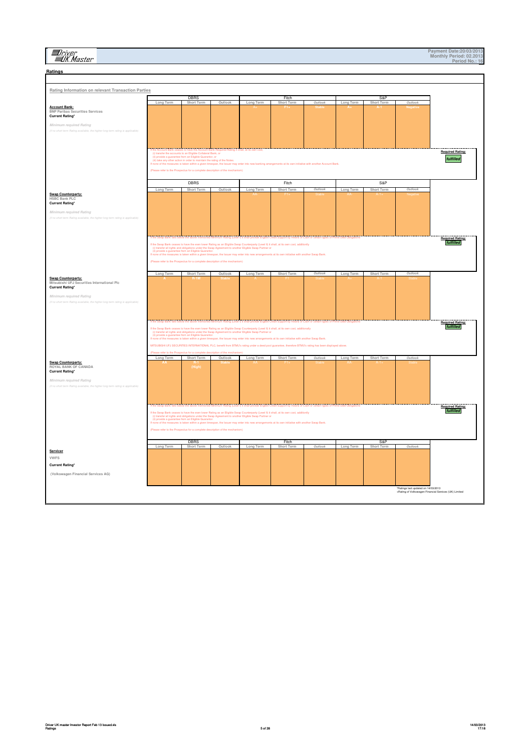# **ED**river<br>EUK Master

| <b>Ratings</b>                                                                                                                                                                     |                                                                                                          |                                                                                                                                                                                                                                                                |                 |                                    |                                                                                                                                                                                                                                                                                                                                                                                                                                                                                                                                        |         |                   |                   |                                                       |                                      |
|------------------------------------------------------------------------------------------------------------------------------------------------------------------------------------|----------------------------------------------------------------------------------------------------------|----------------------------------------------------------------------------------------------------------------------------------------------------------------------------------------------------------------------------------------------------------------|-----------------|------------------------------------|----------------------------------------------------------------------------------------------------------------------------------------------------------------------------------------------------------------------------------------------------------------------------------------------------------------------------------------------------------------------------------------------------------------------------------------------------------------------------------------------------------------------------------------|---------|-------------------|-------------------|-------------------------------------------------------|--------------------------------------|
|                                                                                                                                                                                    |                                                                                                          |                                                                                                                                                                                                                                                                |                 |                                    |                                                                                                                                                                                                                                                                                                                                                                                                                                                                                                                                        |         |                   |                   |                                                       |                                      |
| Rating Information on relevant Transaction Parties                                                                                                                                 |                                                                                                          |                                                                                                                                                                                                                                                                |                 |                                    |                                                                                                                                                                                                                                                                                                                                                                                                                                                                                                                                        |         |                   |                   |                                                       |                                      |
|                                                                                                                                                                                    |                                                                                                          |                                                                                                                                                                                                                                                                |                 |                                    |                                                                                                                                                                                                                                                                                                                                                                                                                                                                                                                                        |         |                   | S&F               |                                                       |                                      |
|                                                                                                                                                                                    | Long Term                                                                                                | <b>DBRS</b><br>Short Term                                                                                                                                                                                                                                      | Outlook         | Long Term                          | Fitch<br>Short Term                                                                                                                                                                                                                                                                                                                                                                                                                                                                                                                    | Outlook | Long Term         | <b>Short Term</b> | Outlook                                               |                                      |
| <b>Account Bank:</b><br><b>BNP Paribas Securities Services</b><br><b>Current Rating*</b>                                                                                           |                                                                                                          |                                                                                                                                                                                                                                                                |                 |                                    |                                                                                                                                                                                                                                                                                                                                                                                                                                                                                                                                        |         |                   |                   |                                                       |                                      |
| Minimum required Rating                                                                                                                                                            |                                                                                                          |                                                                                                                                                                                                                                                                |                 |                                    |                                                                                                                                                                                                                                                                                                                                                                                                                                                                                                                                        |         |                   |                   |                                                       |                                      |
| (if no short term Rating available, the higher long term rating is applicable,                                                                                                     |                                                                                                          |                                                                                                                                                                                                                                                                |                 |                                    |                                                                                                                                                                                                                                                                                                                                                                                                                                                                                                                                        |         |                   |                   |                                                       |                                      |
|                                                                                                                                                                                    | Please refer to the Prospectus for a complete description of the mechanism)                              | the Account Bank ceases to have the Account Bank Hequ<br>(i) transfer the accounts to an Eligible Collateral Bank, or<br>.<br>I) provide a guarantee from an Eligible Guarantor, or<br>ii) take any other action in order to maintain the rating of the Notes. |                 | ed Rating it shall, at its own cos | If none of the measures is taken within a given timespan, the Issuer may enter into new banking arrangements at its own initiative with another Account Bank.                                                                                                                                                                                                                                                                                                                                                                          |         |                   |                   |                                                       | <b>Required Rating:</b><br>fulfilled |
|                                                                                                                                                                                    |                                                                                                          | <b>DBRS</b>                                                                                                                                                                                                                                                    |                 |                                    | Fitch                                                                                                                                                                                                                                                                                                                                                                                                                                                                                                                                  |         |                   | S&P               |                                                       |                                      |
| <b>Swap Counterparty:</b><br><b>HSBC Bank PLC</b><br><b>Current Rating*</b><br>Minimum required Rating<br>(if no short term Rating available, the higher long term rating is appli | Long Term                                                                                                | Short Term                                                                                                                                                                                                                                                     | Outlook         | Long Term                          | Short Term                                                                                                                                                                                                                                                                                                                                                                                                                                                                                                                             | Outlook | Long Term         | Short Term        | Outlook                                               |                                      |
|                                                                                                                                                                                    | (Please refer to the Prospectus for a complete description of the mechanism)                             | provide a guarantee from an Eligible Guara                                                                                                                                                                                                                     |                 |                                    | If the Swap Bank ceases to have the even lower Rating as an Eligible Swap Counterparty (Level II) it shall, at its own cost, additionly<br>(i) transfer all rights and obligations under the Swap Agreement to another Eligible S<br>If none of the measures is taken within a given timespan, the Issuer may enter into new arrangements at its own initiative with another Swap Bank                                                                                                                                                 |         |                   |                   |                                                       | Required Rating:<br>fulfilled        |
| <b>Swap Counterparty:</b>                                                                                                                                                          | Long Term                                                                                                | Short Term                                                                                                                                                                                                                                                     | Outlook         | Long Term                          | Short Term                                                                                                                                                                                                                                                                                                                                                                                                                                                                                                                             | Outlook | Long Term         | Short Term        | Outlook                                               |                                      |
| Mitsubishi UFJ Securities International Plc<br><b>Current Rating*</b><br>Minimum required Rating<br>(if no short term Rating avail<br>higher long term rating is ap                |                                                                                                          |                                                                                                                                                                                                                                                                |                 |                                    |                                                                                                                                                                                                                                                                                                                                                                                                                                                                                                                                        |         |                   |                   |                                                       |                                      |
|                                                                                                                                                                                    | If the Swap Bank falls below the above mentioned Mir                                                     |                                                                                                                                                                                                                                                                |                 |                                    | num Rating (Level I) it shall provide Eligible Credit Support by means of Cash or certain types of Prime Debt Obligations                                                                                                                                                                                                                                                                                                                                                                                                              |         |                   |                   |                                                       | <b>Required Rating:</b>              |
|                                                                                                                                                                                    |                                                                                                          | i) provide a quarantee from an Eligible Guarantor                                                                                                                                                                                                              |                 |                                    | If the Swap Bank ceases to have the even lower Rating as an Eligible Swap Counterparty (Level II) it shall, at its own cost, additionally<br>(i) transfer all rights and obligations under the Swap Agreement to another Eligible<br>e of the measures is taken within a given timespan, the Issuer may enter into new arrangements at its own initiative with another Swap Bank.                                                                                                                                                      |         |                   |                   |                                                       | fulfilled                            |
|                                                                                                                                                                                    | ase refer to the Pros                                                                                    | us for a comp                                                                                                                                                                                                                                                  | on of the r     |                                    | MITSUBISHI UFJ SECURITIES INTERNATIONAL PLC, benefit from BTMU's rating under a deed pool guarantee, therefore BTMU's rating has been displayed above.                                                                                                                                                                                                                                                                                                                                                                                 |         |                   |                   |                                                       |                                      |
|                                                                                                                                                                                    | Long Term                                                                                                | Short Term                                                                                                                                                                                                                                                     | Outlook         | Long Term                          | Short Term                                                                                                                                                                                                                                                                                                                                                                                                                                                                                                                             | Outlook | Long Term         | Short Term        | Outlook                                               |                                      |
| <b>Swap Counterparty:</b><br>ROYAL BANK OF CANADA<br><b>Current Rating*</b><br>Minimum required Rating<br>(if no short term Rating a<br>r long term<br>rating is app               |                                                                                                          | (High                                                                                                                                                                                                                                                          |                 |                                    |                                                                                                                                                                                                                                                                                                                                                                                                                                                                                                                                        |         |                   |                   |                                                       |                                      |
|                                                                                                                                                                                    | If the Swap Bank falls b<br>(Please refer to the Prospectus for a complete description of the mechanism) | <b>DBRS</b>                                                                                                                                                                                                                                                    | im Rating (Leve | it shall provide Eligible (        | Credit Support by means of Cash or certain types of F<br>If the Swap Bank ceases to have the even lower Rating as an Eligible Swap Counterparty (Level II) it shall, at its own cost, additionily<br>(i) transfer all rights and obligations under the Swap Agreement to another Eligible<br>www.willington.com a structure when the compared of the state of the compared of the compared of the measure of<br>Thome of the measures is taken within a given timespan, the Issuer may enter into new arrangements at its own<br>Fitch |         | e Debt Obligation | S&F               |                                                       | <b>Required Rating:</b><br>fulfilled |
|                                                                                                                                                                                    | Long Term                                                                                                | Short Term                                                                                                                                                                                                                                                     | Outlool         | Long Term                          | Short Term                                                                                                                                                                                                                                                                                                                                                                                                                                                                                                                             | Outlook | Long Term         | Short Term        | Outlool                                               |                                      |
| Servicer                                                                                                                                                                           |                                                                                                          |                                                                                                                                                                                                                                                                |                 |                                    |                                                                                                                                                                                                                                                                                                                                                                                                                                                                                                                                        |         |                   |                   |                                                       |                                      |
| <b>VWFS</b>                                                                                                                                                                        |                                                                                                          |                                                                                                                                                                                                                                                                |                 |                                    |                                                                                                                                                                                                                                                                                                                                                                                                                                                                                                                                        |         |                   |                   |                                                       |                                      |
| <b>Current Rating*</b><br>(Volkswagen Financial Services AG)                                                                                                                       |                                                                                                          |                                                                                                                                                                                                                                                                |                 |                                    |                                                                                                                                                                                                                                                                                                                                                                                                                                                                                                                                        |         |                   |                   |                                                       |                                      |
|                                                                                                                                                                                    |                                                                                                          |                                                                                                                                                                                                                                                                |                 |                                    |                                                                                                                                                                                                                                                                                                                                                                                                                                                                                                                                        |         |                   |                   | *Ratings last updated on 14/03/2013                   |                                      |
|                                                                                                                                                                                    |                                                                                                          |                                                                                                                                                                                                                                                                |                 |                                    |                                                                                                                                                                                                                                                                                                                                                                                                                                                                                                                                        |         |                   |                   | +Rating of Volkswagen Financial Services (UK) Limited |                                      |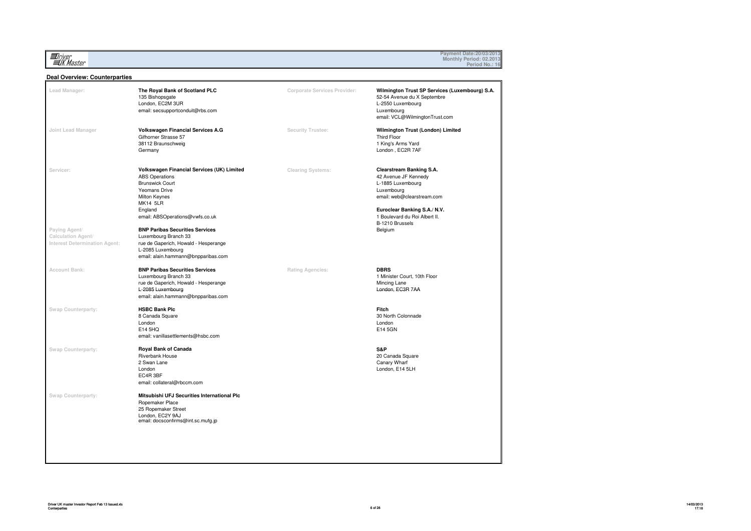*Driver*<br>AIK Master

**Payment Date:20/03/2013 Monthly Period: 02.2013 Period No.: 16**

#### **Deal Overview: Counterparties**

| Lead Manager:                                                        | The Royal Bank of Scotland PLC<br>135 Bishopsgate<br>London, EC2M 3UR<br>email: secsupportconduit@rbs.com                                                                                        | Corporate Services Provider: | Wilmington Trust SP Services (Luxembourg) S.A.<br>52-54 Avenue du X Septembre<br>L-2550 Luxembourg<br>Luxembourg<br>email: VCL@WilmingtonTrust.com                                                    |
|----------------------------------------------------------------------|--------------------------------------------------------------------------------------------------------------------------------------------------------------------------------------------------|------------------------------|-------------------------------------------------------------------------------------------------------------------------------------------------------------------------------------------------------|
| Joint Lead Manager                                                   | Volkswagen Financial Services A.G<br>Gifhorner Strasse 57<br>38112 Braunschweig<br>Germany                                                                                                       | Security Trustee:            | Wilmington Trust (London) Limited<br><b>Third Floor</b><br>1 King's Arms Yard<br>London, EC2R 7AF                                                                                                     |
| Servicer:                                                            | Volkswagen Financial Services (UK) Limited<br><b>ABS Operations</b><br><b>Brunswick Court</b><br>Yeomans Drive<br>Milton Keynes<br><b>MK14 5LR</b><br>England<br>email: ABSOperations@vwfs.co.uk | <b>Clearing Systems:</b>     | Clearstream Banking S.A.<br>42 Avenue JF Kennedy<br>L-1885 Luxembourg<br>Luxembourg<br>email: web@clearstream.com<br>Euroclear Banking S.A./ N.V.<br>1 Boulevard du Roi Albert II.<br>B-1210 Brussels |
| Paying Agent/<br>Calculation Agent/<br>Interest Determination Agent: | <b>BNP Paribas Securities Services</b><br>Luxembourg Branch 33<br>rue de Gaperich, Howald - Hesperange<br>L-2085 Luxembourg<br>email: alain.hammann@bnpparibas.com                               |                              | Belgium                                                                                                                                                                                               |
| Account Bank:                                                        | <b>BNP Paribas Securities Services</b><br>Luxembourg Branch 33<br>rue de Gaperich, Howald - Hesperange<br>L-2085 Luxembourg<br>email: alain.hammann@bnpparibas.com                               | Rating Agencies:             | <b>DBRS</b><br>1 Minister Court, 10th Floor<br>Mincing Lane<br>London, EC3R 7AA                                                                                                                       |
| Swap Counterparty:                                                   | <b>HSBC Bank Plc</b><br>8 Canada Square<br>London<br>E14 5HQ<br>email: vanillasettlements@hsbc.com                                                                                               |                              | Fitch<br>30 North Colonnade<br>London<br>E14 5GN                                                                                                                                                      |
| Swap Counterparty:                                                   | Royal Bank of Canada<br>Riverbank House<br>2 Swan Lane<br>London<br>EC4R 3BF<br>email: collateral@rbccm.com                                                                                      |                              | S&P<br>20 Canada Square<br>Canary Wharf<br>London, E14 5LH                                                                                                                                            |
| Swap Counterparty:                                                   | Mitsubishi UFJ Securities International Plc<br>Ropemaker Place<br>25 Ropemaker Street<br>London, EC2Y 9AJ<br>email: docsconfirms@int.sc.mufg.jp                                                  |                              |                                                                                                                                                                                                       |
|                                                                      |                                                                                                                                                                                                  |                              |                                                                                                                                                                                                       |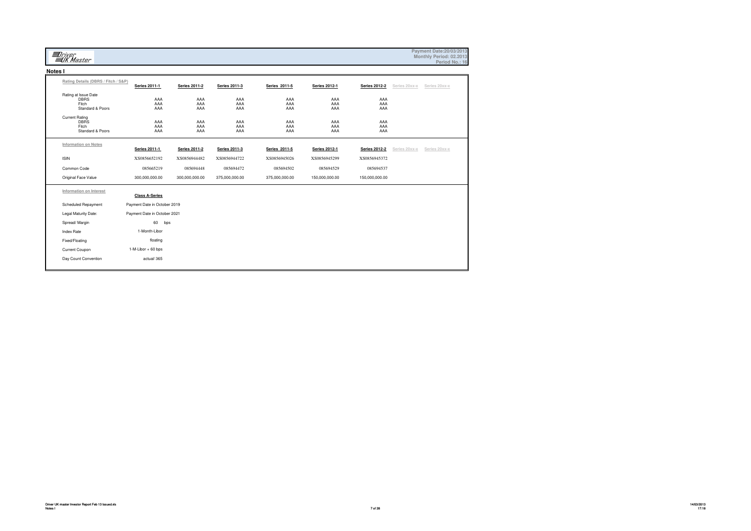| Driver<br>EIK Master                                              |                              |                      |                      |                   |                      |                      |               | Payment Date: 20/03/2013<br>Monthly Period: 02.2013<br>Period No.: 16 |
|-------------------------------------------------------------------|------------------------------|----------------------|----------------------|-------------------|----------------------|----------------------|---------------|-----------------------------------------------------------------------|
| Notes I                                                           |                              |                      |                      |                   |                      |                      |               |                                                                       |
| Rating Details (DBRS / Fitch / S&P)                               | <b>Series 2011-1</b>         | <b>Series 2011-2</b> | <b>Series 2011-3</b> | Series 2011-5     | <b>Series 2012-1</b> | <b>Series 2012-2</b> | Series 20xx-x | Series 20xx-x                                                         |
| Rating at Issue Date<br><b>DBRS</b><br>Fitch<br>Standard & Poors  | AAA<br>AAA<br>AAA            | AAA<br>AAA<br>AAA    | AAA<br>AAA<br>AAA    | AAA<br>AAA<br>AAA | AAA<br>AAA<br>AAA    | AAA<br>AAA<br>AAA    |               |                                                                       |
| <b>Current Rating</b><br><b>DBRS</b><br>Fitch<br>Standard & Poors | AAA<br>AAA<br>AAA            | AAA<br>AAA<br>AAA    | AAA<br>AAA<br>AAA    | AAA<br>AAA<br>AAA | AAA<br>AAA<br>AAA    | AAA<br>AAA<br>AAA    |               |                                                                       |
| Information on Notes                                              | <b>Series 2011-1</b>         | <b>Series 2011-2</b> | <b>Series 2011-3</b> | Series 2011-5     | <b>Series 2012-1</b> | <b>Series 2012-2</b> | Series 20xx-x | Series 20xx-x                                                         |
| <b>ISIN</b>                                                       | XS0856652192                 | XS0856944482         | XS0856944722         | XS0856945026      | XS0856945299         | XS0856945372         |               |                                                                       |
| Common Code                                                       | 085665219                    | 085694448            | 085694472            | 085694502         | 085694529            | 085694537            |               |                                                                       |
| Original Face Value                                               | 300,000,000.00               | 300,000,000.00       | 375,000,000.00       | 375,000,000.00    | 150,000,000.00       | 150,000,000.00       |               |                                                                       |
| Information on Interest                                           | <b>Class A-Series</b>        |                      |                      |                   |                      |                      |               |                                                                       |
| <b>Scheduled Repayment</b>                                        | Payment Date in October 2019 |                      |                      |                   |                      |                      |               |                                                                       |
| Legal Maturity Date:                                              | Payment Date in October 2021 |                      |                      |                   |                      |                      |               |                                                                       |
| Spread/Margin                                                     | 60<br>bps                    |                      |                      |                   |                      |                      |               |                                                                       |
| Index Rate                                                        | 1-Month-Libor                |                      |                      |                   |                      |                      |               |                                                                       |
| Fixed/Floating                                                    | floating                     |                      |                      |                   |                      |                      |               |                                                                       |
| Current Coupon                                                    | 1-M-Libor + 60 bps           |                      |                      |                   |                      |                      |               |                                                                       |
| Day Count Convention                                              | actual/365                   |                      |                      |                   |                      |                      |               |                                                                       |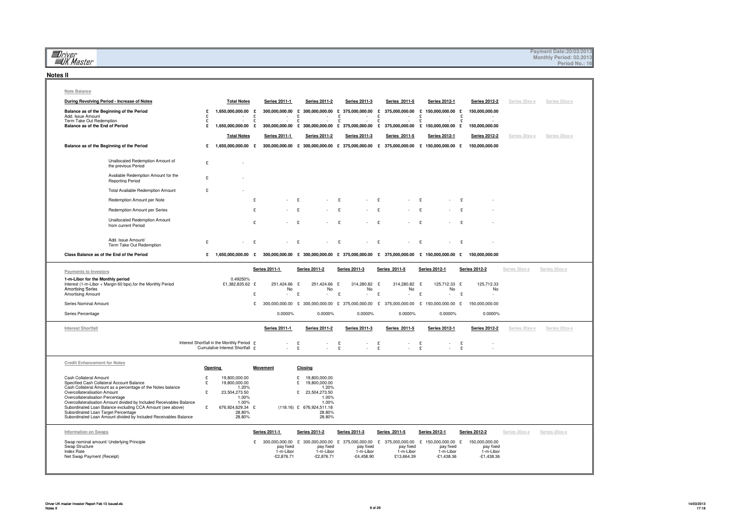| <i>aniver</i><br><b>IIK Master</b>                                                                                                                                                                                                            |                        |                                                                                                                          |                   |                                                                                                     |                    |                                                        |                   |                        |                                  |                        |                   |                                                                                      |                                   |                        |               | Payment Date: 20/03/2013<br>Monthly Period: 02.2013<br>Period No.: 16 |
|-----------------------------------------------------------------------------------------------------------------------------------------------------------------------------------------------------------------------------------------------|------------------------|--------------------------------------------------------------------------------------------------------------------------|-------------------|-----------------------------------------------------------------------------------------------------|--------------------|--------------------------------------------------------|-------------------|------------------------|----------------------------------|------------------------|-------------------|--------------------------------------------------------------------------------------|-----------------------------------|------------------------|---------------|-----------------------------------------------------------------------|
| Notes II                                                                                                                                                                                                                                      |                        |                                                                                                                          |                   |                                                                                                     |                    |                                                        |                   |                        |                                  |                        |                   |                                                                                      |                                   |                        |               |                                                                       |
| Note Balance                                                                                                                                                                                                                                  |                        |                                                                                                                          |                   |                                                                                                     |                    |                                                        |                   |                        |                                  |                        |                   |                                                                                      |                                   |                        |               |                                                                       |
| During Revolving Period - Increase of Notes                                                                                                                                                                                                   |                        | <b>Total Notes</b>                                                                                                       |                   | Series 2011-1                                                                                       |                    | <b>Series 2011-2</b>                                   |                   | Series 2011-3          |                                  | Series 2011-5          |                   | Series 2012-1                                                                        |                                   | Series 2012-2          | Series 20xx-x | Series 20xx-x                                                         |
| Balance as of the Beginning of the Period                                                                                                                                                                                                     | £                      | 1,650,000,000.00 £                                                                                                       |                   |                                                                                                     |                    | 300,000,000.00 £ 300,000,000.00 £ 375,000,000.00 £     |                   |                        |                                  |                        |                   | 375.000.000.00 £ 150.000.000.00 £                                                    |                                   | 150.000.000.00         |               |                                                                       |
| Add. Issue Amount<br>Term Take Out Redemption<br>Balance as of the End of Period                                                                                                                                                              | £<br>$\mathbf{f}$<br>£ | 1,650,000,000.00 £                                                                                                       | £<br>$\mathbf{f}$ |                                                                                                     | £<br>$\mathbf{f}$  |                                                        | £<br>$\mathbf{f}$ |                        | £<br>$\mathbf{f}$                |                        | £<br>$\mathbf{f}$ | 300,000,000.00 £ 300,000,000.00 £ 375,000,000.00 £ 375,000,000.00 £ 150,000,000.00 £ | £<br>$\mathbf{f}$                 | 150,000,000.00         |               |                                                                       |
|                                                                                                                                                                                                                                               |                        | <b>Total Notes</b>                                                                                                       |                   | Series 2011-1                                                                                       |                    | Series 2011-2                                          |                   | Series 2011-3          |                                  | Series 2011-5          |                   | Series 2012-1                                                                        |                                   | Series 2012-2          | Series 20xx-x | Series 20xx-x                                                         |
| Balance as of the Beginning of the Period                                                                                                                                                                                                     | £                      | 1,650,000,000.00 £                                                                                                       |                   | 300,000,000.00 £ 300,000,000.00 £ 375,000,000.00 £ 375,000,000.00 £ 150,000,000.00 £ 150,000,000.00 |                    |                                                        |                   |                        |                                  |                        |                   |                                                                                      |                                   |                        |               |                                                                       |
| Unallocated Redemption Amount of                                                                                                                                                                                                              | £                      |                                                                                                                          |                   |                                                                                                     |                    |                                                        |                   |                        |                                  |                        |                   |                                                                                      |                                   |                        |               |                                                                       |
| the previous Period<br>Available Redemption Amount for the<br><b>Reporting Period</b>                                                                                                                                                         | £                      |                                                                                                                          |                   |                                                                                                     |                    |                                                        |                   |                        |                                  |                        |                   |                                                                                      |                                   |                        |               |                                                                       |
| <b>Total Available Redemption Amount</b>                                                                                                                                                                                                      | £                      |                                                                                                                          |                   |                                                                                                     |                    |                                                        |                   |                        |                                  |                        |                   |                                                                                      |                                   |                        |               |                                                                       |
| Redemption Amount per Note                                                                                                                                                                                                                    |                        |                                                                                                                          | £                 |                                                                                                     | £                  |                                                        | $\mathbf{f}$      |                        | $\mathbf{f}$                     |                        | £                 |                                                                                      | £                                 |                        |               |                                                                       |
| Redemption Amount per Series                                                                                                                                                                                                                  |                        |                                                                                                                          | $\mathbf{f}$      |                                                                                                     | $\mathbf{f}$       |                                                        | £                 |                        | £                                |                        | £                 |                                                                                      | £                                 |                        |               |                                                                       |
| Unallocated Redemption Amount<br>from current Period                                                                                                                                                                                          |                        |                                                                                                                          | $\mathbf{f}$      |                                                                                                     | $\mathbf{F}$       |                                                        | $\mathbf{f}$      |                        | $\mathbf{f}$                     |                        | $\mathbf{f}$      |                                                                                      | £                                 |                        |               |                                                                       |
| Add. Issue Amount/<br>Term Take Out Redemption                                                                                                                                                                                                | £                      |                                                                                                                          | £                 |                                                                                                     | £                  |                                                        | £                 |                        | £                                |                        | £                 |                                                                                      | £                                 |                        |               |                                                                       |
| Class Balance as of the End of the Period                                                                                                                                                                                                     |                        | £ 1,650,000,000.00 £ 300,000,000.00 £ 300,000,000.00 £ 375,000,000.00 £ 375,000,000.00 £ 150,000,000.00 £ 150,000,000.00 |                   |                                                                                                     |                    |                                                        |                   |                        |                                  |                        |                   |                                                                                      |                                   |                        |               |                                                                       |
| Payments to Investors<br>1-m-Libor for the Monthly period                                                                                                                                                                                     |                        | 0.49250%                                                                                                                 |                   | Series 2011-1                                                                                       |                    | <b>Series 2011-2</b>                                   | Series 2011-3     |                        |                                  | Series 2011-5          |                   | Series 2012-1                                                                        |                                   | <b>Series 2012-2</b>   | Series 20xx-x | Series 20xx-x                                                         |
| Interest (1-m-Libor + Margin 60 bps), for the Monthly Period<br><b>Amortising Series</b><br>Amortising Amount                                                                                                                                 |                        | £1,382,835.62 £                                                                                                          | £                 | 251,424.66 £<br>No                                                                                  | £                  | 251,424.66 £<br>No                                     | $\pounds$         | 314,280.82 £<br>No     | $\pounds$                        | 314,280.82 £<br>No     | £                 | 125,712.33 £<br>No                                                                   | $\pounds$                         | 125,712.33<br>No       |               |                                                                       |
| Series Nominal Amount                                                                                                                                                                                                                         |                        |                                                                                                                          | £                 | 300,000,000.00                                                                                      |                    | £ 300,000,000.00 £ 375,000,000.00                      |                   |                        |                                  | £ 375,000,000.00       |                   | £ 150,000,000.00                                                                     | £                                 | 150,000,000.00         |               |                                                                       |
| Series Percentage                                                                                                                                                                                                                             |                        |                                                                                                                          |                   | 0.0000%                                                                                             |                    | 0.0000%                                                |                   | 0.0000%                |                                  | 0.0000%                |                   | 0.0000%                                                                              |                                   | 0.0000%                |               |                                                                       |
| Interest Shortfall                                                                                                                                                                                                                            |                        |                                                                                                                          |                   | Series 2011-1                                                                                       |                    | <b>Series 2011-2</b>                                   |                   | <b>Series 2011-3</b>   |                                  | Series 2011-5          |                   | <b>Series 2012-1</b>                                                                 |                                   | <b>Series 2012-2</b>   | Series 20xx-x | Series 20xx-x                                                         |
|                                                                                                                                                                                                                                               |                        | Interest Shortfall in the Monthly Period f<br>Cumulative Interest Shortfall £                                            |                   | $\sim$                                                                                              | $_{\rm f}^{\rm c}$ |                                                        | £<br>£            | $\sim$                 | $^{\mathfrak{L}}_{\mathfrak{L}}$ | $\sim$                 | £<br>£            | $\sim$                                                                               | $\frac{\varepsilon}{\varepsilon}$ | $\sim$                 |               |                                                                       |
| <b>Credit Enhancement for Notes</b>                                                                                                                                                                                                           |                        |                                                                                                                          |                   |                                                                                                     |                    |                                                        |                   |                        |                                  |                        |                   |                                                                                      |                                   |                        |               |                                                                       |
| Cash Collateral Amount                                                                                                                                                                                                                        | £                      | Opening<br>19,800,000.00                                                                                                 |                   | <b>Movement</b>                                                                                     | £                  | Closing<br>19,800,000.00                               |                   |                        |                                  |                        |                   |                                                                                      |                                   |                        |               |                                                                       |
| Specified Cash Collateral Account Balance<br>Cash Collateral Amount as a percentage of the Notes balance                                                                                                                                      | £                      | 19,800,000.00<br>1.20%                                                                                                   |                   |                                                                                                     | £                  | 19,800,000.00<br>1.20%                                 |                   |                        |                                  |                        |                   |                                                                                      |                                   |                        |               |                                                                       |
| Overcollateralisation Amount<br>Overcollateralisation Percentage                                                                                                                                                                              | £                      | 23,504,273.50<br>1.00%                                                                                                   |                   |                                                                                                     |                    | £ 23,504,273.50<br>1.00%                               |                   |                        |                                  |                        |                   |                                                                                      |                                   |                        |               |                                                                       |
| Overcollateralisation Amount divided by Included Receivables Balance<br>Subordinated Loan Balance excluding CCA Amount (see above)<br>Subordinated Loan Target Percentage<br>Subordinated Loan Amount divided by Included Receivables Balance | £                      | 1.00%<br>676,924,629.34 £<br>28.80%<br>28.80%                                                                            |                   |                                                                                                     |                    | 1.00%<br>(118.16) £ 676,924,511.18<br>28.80%<br>28.80% |                   |                        |                                  |                        |                   |                                                                                      |                                   |                        |               |                                                                       |
| Information on Swaps                                                                                                                                                                                                                          |                        |                                                                                                                          |                   | <b>Series 2011-1</b>                                                                                |                    | <b>Series 2011-2</b>                                   | Series 2011-3     |                        |                                  | Series 2011-5          |                   | <b>Series 2012-1</b>                                                                 |                                   | <b>Series 2012-2</b>   | Series 20xx-x | Series 20xx-x                                                         |
| Swap nominal amount/ Underlying Principle                                                                                                                                                                                                     |                        |                                                                                                                          | £                 | 300,000,000.00 £ 300,000,000.00 £ 375,000,000.00 £ 375,000,000.00 £ 150,000,000.00 £ 150,000,000.00 |                    |                                                        |                   |                        |                                  |                        |                   |                                                                                      |                                   |                        |               |                                                                       |
| Swap Structure<br>Index Rate                                                                                                                                                                                                                  |                        |                                                                                                                          |                   | pay fixed<br>1-m-Libor                                                                              |                    | pay fixed<br>1-m-Libor                                 |                   | pay fixed<br>1-m-Libor |                                  | pay fixed<br>1-m-Libor |                   | pay fixed<br>1-m-Libor                                                               |                                   | pay fixed<br>1-m-Libor |               |                                                                       |
| Net Swap Payment (Receipt)                                                                                                                                                                                                                    |                        |                                                                                                                          |                   | $-£2,876.71$                                                                                        |                    | $-£2,876.71$                                           |                   | £4,458.90              |                                  | £13,664.39             |                   | $-£1,438.36$                                                                         |                                   | $-£1,438.36$           |               |                                                                       |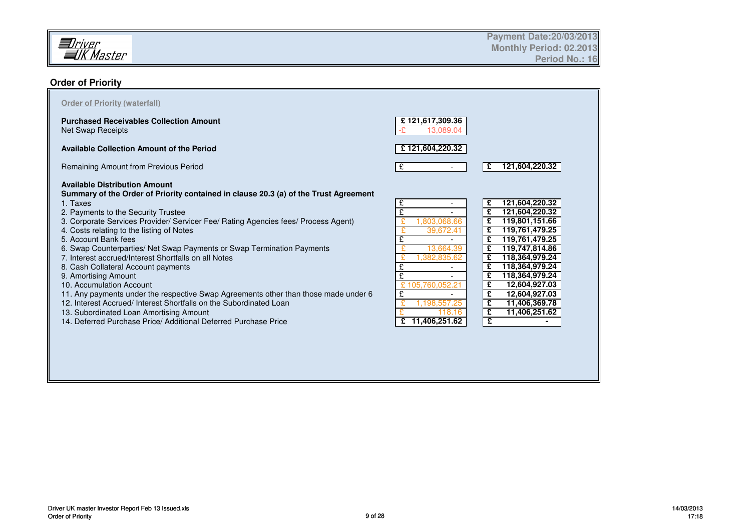

## **Order of Priority**

| <b>Order of Priority (waterfall)</b>                                                 |                              |                     |
|--------------------------------------------------------------------------------------|------------------------------|---------------------|
| <b>Purchased Receivables Collection Amount</b><br>Net Swap Receipts                  | £121,617,309.36<br>13.089.04 |                     |
| <b>Available Collection Amount of the Period</b>                                     | £121,604,220.32              |                     |
| Remaining Amount from Previous Period                                                | E                            | 121,604,220.32<br>£ |
| <b>Available Distribution Amount</b>                                                 |                              |                     |
| Summary of the Order of Priority contained in clause 20.3 (a) of the Trust Agreement |                              |                     |
| 1. Taxes                                                                             | £                            | 121,604,220.32<br>£ |
| 2. Payments to the Security Trustee                                                  | ç                            | 121,604,220.32<br>£ |
| 3. Corporate Services Provider/ Servicer Fee/ Rating Agencies fees/ Process Agent)   | ,803,068.66                  | £<br>119,801,151.66 |
| 4. Costs relating to the listing of Notes                                            | 39,672.41                    | 119,761,479.25<br>£ |
| 5. Account Bank fees                                                                 |                              | £<br>119,761,479.25 |
| 6. Swap Counterparties/ Net Swap Payments or Swap Termination Payments               | 13,664.39                    | 119,747,814.86<br>£ |
| 7. Interest accrued/Interest Shortfalls on all Notes                                 | 1,382,835.62                 | £<br>118,364,979.24 |
| 8. Cash Collateral Account payments                                                  |                              | £<br>118,364,979.24 |
| 9. Amortising Amount                                                                 |                              | 118,364,979.24<br>£ |
| 10. Accumulation Account                                                             | £105,760,052.21              | 12,604,927.03<br>£  |
| 11. Any payments under the respective Swap Agreements other than those made under 6  | £                            | £<br>12,604,927.03  |
| 12. Interest Accrued/ Interest Shortfalls on the Subordinated Loan                   | 1,198,557.25                 | £<br>11,406,369.78  |
| 13. Subordinated Loan Amortising Amount                                              | 118.16                       | £<br>11,406,251.62  |
|                                                                                      |                              | £                   |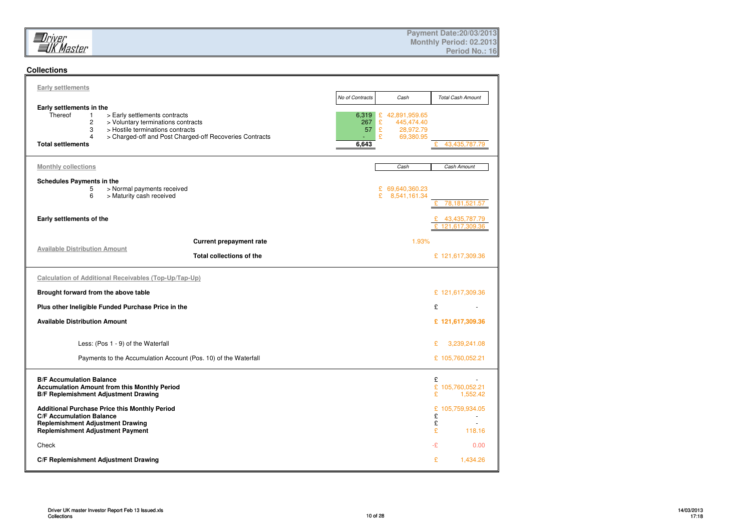

#### **Collections**

| <b>Early settlements</b>                                                                                                                     |                 |                                             |                                      |
|----------------------------------------------------------------------------------------------------------------------------------------------|-----------------|---------------------------------------------|--------------------------------------|
|                                                                                                                                              | No of Contracts | Cash                                        | <b>Total Cash Amount</b>             |
| Early settlements in the<br>Thereof<br>$\mathbf{1}$<br>> Early settlements contracts<br>$\overline{c}$<br>> Voluntary terminations contracts | 6,319<br>267    | 42,891,959.65<br>£<br>£<br>445,474.40       |                                      |
| 3<br>> Hostile terminations contracts<br>4<br>> Charged-off and Post Charged-off Recoveries Contracts                                        | 57              | $\mathbf{E}$<br>28,972.79<br>£<br>69,380.95 |                                      |
| <b>Total settlements</b>                                                                                                                     | 6,643           |                                             | 43.435.787.79                        |
| <b>Monthly collections</b>                                                                                                                   |                 | Cash                                        | Cash Amount                          |
| <b>Schedules Payments in the</b>                                                                                                             |                 |                                             |                                      |
| 5<br>> Normal payments received<br>6<br>> Maturity cash received                                                                             |                 | £ 69.640.360.23<br>£<br>8,541,161.34        |                                      |
|                                                                                                                                              |                 |                                             | 78,181,521.57                        |
| Early settlements of the                                                                                                                     |                 |                                             | 43,435,787.79<br>121.617.309.36      |
| <b>Current prepayment rate</b><br><b>Available Distribution Amount</b>                                                                       |                 | 1.93%                                       |                                      |
| <b>Total collections of the</b>                                                                                                              |                 |                                             | £ 121,617,309.36                     |
| Calculation of Additional Receivables (Top-Up/Tap-Up)                                                                                        |                 |                                             |                                      |
| Brought forward from the above table                                                                                                         |                 |                                             | £ 121,617,309.36                     |
| Plus other Ineligible Funded Purchase Price in the                                                                                           |                 |                                             | £                                    |
| <b>Available Distribution Amount</b>                                                                                                         |                 |                                             | £ 121,617,309.36                     |
| Less: (Pos 1 - 9) of the Waterfall                                                                                                           |                 |                                             | £<br>3,239,241.08                    |
| Payments to the Accumulation Account (Pos. 10) of the Waterfall                                                                              |                 |                                             | £105,760,052.21                      |
| <b>B/F Accumulation Balance</b>                                                                                                              |                 |                                             | £                                    |
| <b>Accumulation Amount from this Monthly Period</b><br><b>B/F Replemishment Adjustment Drawing</b>                                           |                 |                                             | £<br>105,760,052.21<br>£<br>1,552.42 |
| <b>Additional Purchase Price this Monthly Period</b><br><b>C/F Accumulation Balance</b>                                                      |                 |                                             | £ 105,759,934.05<br>£                |
| <b>Replemishment Adjustment Drawing</b><br><b>Replemishment Adjustment Payment</b>                                                           |                 |                                             | £<br>£<br>118.16                     |
| Check                                                                                                                                        |                 |                                             | -£<br>0.00                           |
| C/F Replemishment Adjustment Drawing                                                                                                         |                 |                                             | £<br>1,434.26                        |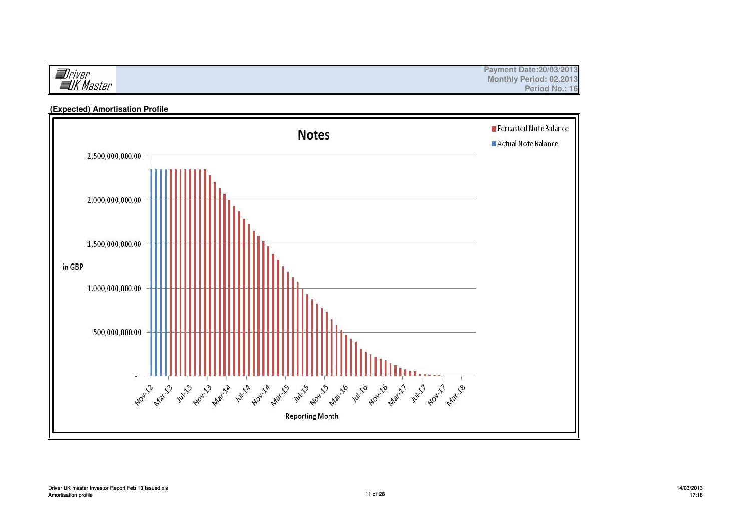|                                | <b>Payment Date: 20/03/2013</b> |
|--------------------------------|---------------------------------|
| a Jriver<br>a <i>K. Master</i> | <b>Monthly Period: 02.2013</b>  |
|                                | Period No.: 16                  |

#### **(Expected) Amortisation Profile**

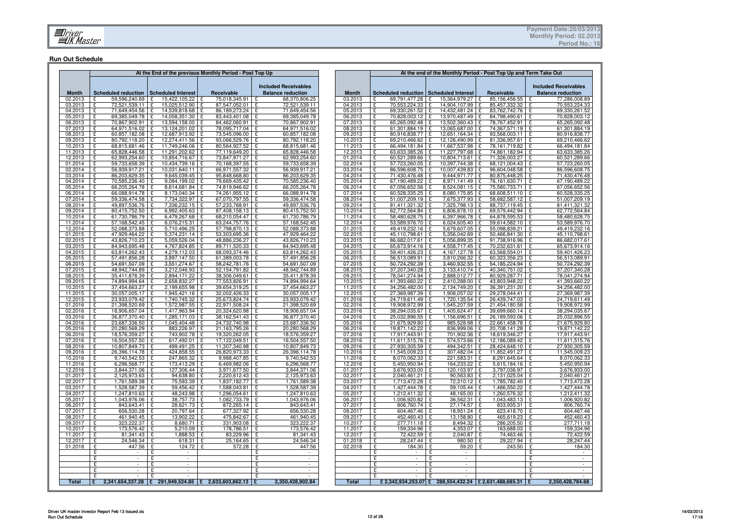#### **Run Out Schedule**

|                              |                                              |                                      | At the End of the previous Monthly Period - Post Top Up |                                                         |                    |                                              |                                              | At the end of the Monthly Period - Post Top Up and Term Take Out |                                                         |
|------------------------------|----------------------------------------------|--------------------------------------|---------------------------------------------------------|---------------------------------------------------------|--------------------|----------------------------------------------|----------------------------------------------|------------------------------------------------------------------|---------------------------------------------------------|
| <b>Month</b>                 | Scheduled reduction   Scheduled Interest     |                                      | Receivable                                              | <b>Included Receivables</b><br><b>Balance reduction</b> | <b>Month</b>       | Scheduled reduction   Scheduled Interest     |                                              | Receivable                                                       | <b>Included Receivables</b><br><b>Balance reduction</b> |
| 02.2013                      | £<br>59,596,240.69                           | $\mathbf{f}$<br>15,422,105.22        | 75.018.345.91                                           | 68,370,806.25                                           | 03.2013            | 69.791.477.28                                | £<br>15,364,979.27                           | 85,156,456.55 £<br>£                                             | 77,286,008.89                                           |
| 03.2013<br>£                 | 72,521,539.11 £                              | 15,025,512.90                        | 87,547,052.01<br>Ι£                                     | 72,521,539.11                                           | 04.2013            | £<br>70,553,224.33                           | 14,904,107.99 £<br>£                         | 85,457,332.32 £                                                  | 70,553,224.33                                           |
| 04.2013<br>05.2013           | £<br>71,649,454.56 £<br>69.385.049.78 £<br>£ | 14,539,818.68<br>14,058,351.30 £     | 86,189,273.24<br>Ι£<br>83.443.401.08                    | £<br>71,649,454.56<br>69.385.049.78<br>£                | 05.2013<br>06.2013 | £<br>69,330,261.52<br>£<br>70.828.003.12     | £<br>14,432,481.24 £<br>13.970.487.49 £<br>£ | 83,762,742.76 £<br>84.798.490.61 £                               | 69,330,261.52<br>70.828.003.12                          |
| 06.2013                      | £<br>70,867,902.91 £                         | 13,594,158.00 £                      | 84,462,060.91                                           | 70.867,902.91<br>£                                      | 07.2013            | £<br>65,265,092.48                           | £<br>13,502,360.43                           | 78.767.452.91 £<br>£                                             | 65,265,092.48                                           |
| 07.2013                      | 64,971,516.02 £<br>£                         | 13.124.201.02                        | 78,095,717.04                                           | 64,971,516.02                                           | 08.2013            | £<br>61,301,884.19                           | 13,065,687.00                                | 74,367,571.19 £<br>۱£                                            | 61,301,884.19                                           |
| 08.2013                      | 60,857,182.08 £<br>£                         | 12,687,913.92                        | 73,545,096.00                                           | 60,857,182.08                                           | 09.2013            | £<br>80,916,838.77                           | 12,651,164.34<br>$\mathbf{f}$                | 93,568,003.11 £<br>£                                             | 80,916,838.77                                           |
| 09.2013<br>£<br>Γ£           | 80.792.118.20 E                              | 12.274.411.56 E                      | 93.066.529.76                                           | 80.792.118.20                                           | 10.2013            | £<br>69.210.466.62 £<br>£                    | 12.126.490.99 £                              | 81.336.957.61   £                                                | 69,210,466.62                                           |
| 10.2013<br>11.2013<br>£      | 68,815,681.46   £<br>65,828,446.58 £         | 11,749,246.06 £<br>11,291,202.62     | 80,564,927.52<br>77,119,649.20                          | 68,815,681.46<br>65,828,446.58                          | 11.2013<br>12.2013 | 66,494,181.84 £<br>£<br>63,633,385.26        | 11,667,537.98 £<br>£<br>11,227,797.68 £      | 78,161,719.82 £<br>74,861,182.94 £                               | 66,494,181.84<br>63,633,385.26                          |
| 12.2013<br>E                 | 62,993,254.60 £                              | 10,854,716.67 £                      | 73,847,971.27                                           | 62,993,254.60                                           | 01.2014            | £<br>60,521,289.66                           | 10,804,713.61 £                              | 71,326,003.27 £                                                  | 60,521,289.66                                           |
| 01.2014<br>£                 | 59,733,658.39 £                              | 10,434,739.16                        | 70,168,397.55<br>١£                                     | 59,733,658.39                                           | 02.2014            | £<br>57,723,260.05                           | 10,397,744.38 £                              | 68,121,004.43 £                                                  | 57,723,260.05                                           |
| 02.2014                      | £<br>56,939,917.21 £                         | 10,031,640.11 £                      | 66,971,557.32                                           | 56,939,917.21<br>£                                      | 03.2014            | £<br>86,596,608.75                           | £<br>10,007,439.83 £                         | 96,604,048.58 £                                                  | 86,596,608.75                                           |
| 03.2014<br>04.2014           | £<br>86,203,629.35 £<br>£<br>70,585,236.40 £ | $9,645,039.45$ £<br>$9,084,199.02$ £ | 95,848,668.80<br>79,669,435.42                          | 86,203,629.35<br>∣£<br>70,585,236.40                    | 04.2014<br>05.2014 | 71,430,476.48<br>£<br>£<br>67,190,489.22     | 9,444,971.77 £<br>£<br>8,971,141.49<br>£     | 80,875,448.25 £<br>76,161,630.71 £<br>£                          | 71,430,476.48<br>67,190,489.22                          |
| 05.2014<br>£                 | 66,205,264.78 £                              | 8.614.681.84 £                       | 74,819,946.62                                           | 66,205,264.78                                           | 06.2014            | 67,056,652.56<br>£                           | 8.524.081.15<br>£                            | 75,580,733.71 £<br>£                                             | 67.056.652.56                                           |
| 06.2014                      | 66,088,914.78 £<br>£                         | 8,173,040.34 £                       | 74,261,955.12                                           | 66,088,914.78                                           | 07.2014            | £<br>60,528,335.25                           | 8,080,175.85 £<br>£                          | 68,608,511.10   £                                                | 60,528,335.25                                           |
| 07.2014                      | 59,336,474.58 £<br>£                         | 7.734.322.97                         | 67,070,797.55<br>١£                                     | 59,336,474.58                                           | 08.2014            | £<br>51.007.209.19                           | 7,675,377.93 £<br>£                          | 58,682,587.12 £                                                  | 51,007,209.19                                           |
| 08.2014<br>£                 | 49,897,536.76 £                              | 7,336,232.15 £                       | 57,233,768.91                                           | 49,897,536.76                                           | 09.2014            | £<br>81,411,321.32                           | E<br>7,325,798.13 £                          | 88,737,119.45 £                                                  | 81,411,321.32                                           |
| 09.2014<br>£<br>10.2014<br>£ | 80,415,752.50 £<br>61,730,786.79 £           | 6,992,405.63<br>6,479,267.68         | 87,408,158.13<br>Ι£<br>68,210,054.47                    | 80,415,752.50<br>£<br>61,730,786.79                     | 10.2014<br>11.2014 | £<br>62,772,564.84<br>£<br>58,480,628.75     | 6,806,878.10 $E$<br>£<br>6,397,966.78 £      | 69,579,442.94 £<br>64,878,595.53 £                               | 62,772,564.84<br>58.480.628.75                          |
| 11.2014<br>£                 | 57,168,542.45 £                              | 6,076,215.31                         | 63,244,757.76<br>Ι£                                     | 57,168,542.45                                           | 12.2014            | £<br>53,589,976.70                           | 6,024,605.40                                 | ١£<br>59,614,582.10 £                                            | 53,589,976.70                                           |
| 12.2014                      | 52,088,373.88<br>£                           | 5,710,496.25<br>£                    | 57,798,870.13<br>£                                      | 52,088,373.88                                           | 01.2015            | 49,419,232.16<br>£                           | 5,679,607.05<br>£                            | 55,098,839.21 £<br>£                                             | 49,419,232.16                                           |
| 01.2015                      | £<br>47,929,464.22                           | $5,374,231.14$ £<br>£                | 53,303,695.36                                           | 47.929.464.22                                           | 02.2015            | £<br>45,110,798.61                           | £<br>5,356,042.69                            | E<br>50.466.841.30 £                                             | 45.110.798.61                                           |
| 02.2015                      | 43,826,710.23 £<br>£                         | $5,059,526.04$ £                     | 48,886,236.27                                           | 43,826,710.23                                           | 03.2015            | 86,682,017.61<br>£                           | 5,056,899.35<br>£                            | 91,738,916.96 £<br>١£                                            | 86,682,017.61                                           |
| 03.2015<br>£<br>04.2015<br>£ | 84,943,695.48 £<br>63,814,262.43 £           | 4.767.824.85 £<br>4,279,112.03 £     | 89,711,520.33<br>68,093,374.46 £                        | 84,943,695.48<br>63,814,262.43                          | 04.2015<br>05.2015 | 65,673,914.16 £<br>£<br>£<br>59,401,426.23 £ | 4,558,717.45 £<br>4,167,127.78 £             | 70,232,631.61 £<br>63,568,554.01 £                               | 65,673,914.16<br>59,401,426.23                          |
| 05.2015<br>£                 | 57,491,856.28 £                              | 3,897,147.50 £                       | 61,389,003.78                                           | 57,491,856.28                                           | 06.2015            | £<br>56.513.089.91 £                         | 3,810,266.32 £                               | 60,323,356.23 £                                                  | 56.513.089.91                                           |
| E<br>06.2015                 | 54,691,507.09 E                              | $3,551,274.67$   £                   | 58,242,781.76 £                                         | 54,691,507.09                                           | 07.2015            | £<br>50,724,292.39 £                         | $3,460,932.55$ £                             | 54,185,224.94 £                                                  | 50,724,292.39                                           |
| £<br>07.2015                 | 48,942,744.89 £                              | 3,212,046.93                         | 52, 154, 791.82<br>£                                    | 48,942,744.89<br>£                                      | 08.2015            | £<br>37,207,340.28                           | 3,133,410.74 £<br>£                          | 40,340,751.02 £                                                  | 37,207,340.28                                           |
| 08.2015<br>09.2015           | £<br>35,411,878.39 £<br>£<br>74,894,994.64 £ | 2,894,171.22 £<br>2,658,832.27       | 38,306,049.61 £<br>Ι£                                   | 35,411,878.39<br>£<br>74.894.994.64                     | 09.2015<br>10.2015 | 78,041,274.94<br>£<br>£<br>41.393.660.22     | 2,888,012.77 £<br>£<br>£<br>2.410.288.00 £   | 80,929,287.71 £<br>43,803,948.22 £                               | 78,041,274.94<br>41,393,660.22                          |
| 10.2015                      | £<br>37,454,663.27 £                         | 2,199,655.98 £                       | 77,553,826.91<br>39,654,319.25                          | 37,454,663.27<br>$\mathbf{f}$                           | 11.2015            | £<br>34,256,482.00                           | £<br>2,134,749.20                            | £<br>36,391,231.20 £                                             | 34,256,482.00                                           |
| 11.2015                      | 30,057,005.17 £<br>£                         | 1,945,421.16   £                     | 32,002,426.33                                           | 30,057,005.17                                           | 12.2015            | £<br>27,369,987.39                           | 1,908,057.02<br>£                            | 29,278,044.41 £<br>£                                             | 27,369,987.39                                           |
| 12.2015                      | 23,933,079.42 £<br>£                         | 1,740,745.32                         | 25,673,824.74 £                                         | 23,933,079.42                                           | 01.2016            | £<br>24,719,611.49                           | 1,720,135.54<br>£                            | 26,439,747.03 £<br>£                                             | 24,719,611.49                                           |
| 01.2016                      | £<br>21,398,520.69 £                         | 1,572,987.55                         | 22,971,508.24 £<br>١£                                   | 21,398,520.69                                           | 02.2016            | £<br>19,908,972.99                           | £<br>1,545,207.59 £                          | 21,454,180.58 £                                                  | 19,908,972.99                                           |
| 02.2016<br>03.2016           | 18,906,657.04 £<br>£<br>£<br>36,877,370.40 £ | 1.417.963.94 £<br>1,285,171.03       | 20.324.620.98 £<br>38,162,541.43                        | 18,906,657.04<br>36,877,370.40                          | 03.2016<br>04.2016 | £<br>38.294.035.67<br>£<br>25,032,896.55     | 1,405,624.47 £<br>£<br>£<br>1,156,696.51 £   | 39.699.660.14   £<br>26,189,593.06 £                             | 38.294.035.67<br>25,032,896.55                          |
| 04.2016<br>£                 | 23,687,336.50 £                              | 1,045,404.48   £                     | 24,732,740.98                                           | 23,687,336.50                                           | 05.2016            | £<br>21,675,929.80                           | £<br>985,528.98 £                            | 22,661,458.78 £                                                  | 21,675,929.80                                           |
| 05.2016                      | 20,280,568.29 £<br>£                         | 883,226.97                           | 21, 163, 795. 26<br>Ι£                                  | 20,280,568.29                                           | 06.2016            | £<br>19,871,142.22                           | £<br>836,999.06 £                            | 20,708,141.28 £                                                  | 19,871,142.22                                           |
| 06.2016                      | £<br>18,576,359.27 £                         | 743.902.78                           | 19,320,262.05<br>E                                      | 18,576,359.27                                           | 07.2016            | £<br>17,917,443.91                           | £<br>701.902.36                              | 18.619.346.27 £<br>∣₽                                            | 17.917.443.91                                           |
| 07.2016                      | £<br>16,504,557.50<br>£<br>10,807,849.73 £   | 617.492.01<br>£<br>499,491.25        | 17,122,049.51<br>Ι£<br>11,307,340.98<br>١£              | 16,504,557.50<br>10,807,849.73                          | 08.2016            | £<br>11.611.515.76<br>£<br>27,930,305.59     | 574,573.66 £<br>£<br>£                       | 12,186,089.42 £<br>28,424,648.10 £                               | 11.611.515.76<br>27,930,305.59                          |
| 08.2016<br>09.2016           | 26,396,114.78 £<br>£                         | 424,858.55 £                         | 26,820,973.33                                           | 26,396,114.78                                           | 09.2016<br>10.2016 | 11,545,009.23<br>£                           | 494,342.51 £<br>307,482.04 £<br>£            | 11,852,491.27 £                                                  | 11,545,009.23                                           |
| 10.2016                      | 9,740,542.53 £<br>£                          | 247,865.32 £                         | 9,988,407.85                                            | 9,740,542.53                                            | 11.2016            | 8,070,062.33 £<br>£                          | 221,583.31 £                                 | 8,291,645.64 £                                                   | 8,070,062.33                                            |
| 11.2016<br>£                 | 6.296.568.77 £                               | 173.413.29 £                         | 6.469.982.06                                            | 6,296,568.77<br>£                                       | 12.2016            | £<br>$5.450.950.94$ £                        | 164.233.22 £                                 | $5.615.184.16$ £                                                 | 5.450.950.94                                            |
| 12.2016<br>£                 | 3,844,371.06   £                             | 127,306.44 £                         | 3,971,677.50 £                                          | 3,844,371.06                                            | 01.2017            | £<br>3,676,933.00 £                          | 120,103.97 £                                 | 3,797,036.97 £                                                   | 3,676,933.00                                            |
| 01.2017<br>02.2017<br>E      | £<br>$2,125,973.63$ £<br>1,761,589.38 £      | 94,638.80 £<br>75,593.39 E           | 2,220,612.43<br>1,837,182.77   £                        | £<br>2,125,973.63<br>1,761,589.38                       | 02.2017<br>03.2017 | £<br>2,040,461.21<br>£<br>1,713,472.28       | £<br>90,563.83 £<br>E<br>72,310.12   £       | 2,131,025.04 £<br>1,785,782.40 £                                 | 2,040,461.21<br>1,713,472.28                            |
| 03.2017                      | £<br>1,528,587.39 £                          | 59,456.42                            | 1,588,043.81<br>Ι£                                      | 1,528,587.39<br>£                                       | 04.2017            | £<br>1,427,444.78                            | £<br>59,105.44 £                             | 1,486,550.22 £                                                   | 1,427,444.78                                            |
| 04.2017                      | £<br>1,247,810.63 £                          | 48,243.98 £                          | 1,296,054.61                                            | 1,247,810.63<br>£                                       | 05.2017            | £<br>1,212,411.32                            | £<br>48,165.00 £                             | 1,260,576.32 £                                                   | 1,212,411.32                                            |
| 05.2017                      | £<br>1,043,976.06 £                          | 38,757.73 £                          | 1,082,733.79                                            | 1,043,976.06<br>E                                       | 06.2017            | £<br>1,006,920.82                            | £<br>$36,562.31$ £                           | 1,043,483.13 £                                                   | 1,006,920.82                                            |
| 06.2017<br>07.2017           | £<br>843,643.41 £                            | 28,621.73 £<br>20,797.64 £           | 872,265.14                                              | 843,643.41<br>١£<br>656,530.28<br>£                     | 07.2017<br>08.2017 | 806,760.74 £<br>£<br>604,467.46 £            | 27,174.57<br>18,951.24 £                     | 833,935.31 £<br>Ι£<br>623,418.70 £                               | 806,760.74                                              |
| 08.2017                      | £<br>656,530.28 £<br>£<br>461,940.45 £       | 13,902.22                            | 677,327.92<br>475,842.67<br>Ι£                          | 461,940.45<br>£                                         | 09.2017            | £<br>£<br>452,460.43 £                       | 13,158.80 £                                  | 465,619.23 £                                                     | 604,467.46<br>452,460.43                                |
| 09.2017                      | 323,222.37 £<br>£                            | 8,680.71                             | 331,903.08<br>١£                                        | 323.222.37<br>£                                         | 10.2017            | 277,711.18<br>£                              | 8,494.32                                     | 286,205.50 £<br>Ι£                                               | 277,711.18                                              |
| 10.2017<br>E                 | 173,576.42 £                                 | $5,210.09$ £                         | 178,786.51                                              | 173,576.42<br>$\mathbf{f}$                              | 11.2017            | £<br>159,334.96                              | 4,353.07 £<br>$\mathbf{f}$                   | 163,688.03 £                                                     | 159.334.96                                              |
| 11.2017<br>£                 | 81,341.43 £                                  | 1,888.53                             | 83,229.96<br>١£                                         | 81,341.43<br>£                                          | 12.2017            | £<br>72,422.59                               | 2,040.87 £<br>£                              | 74,463.46 £                                                      | 72.422.59                                               |
| 12.2017<br>01.2018           | £<br>24,546.34 £<br>£<br>447.56 £            | 618.31<br>124.72                     | 25,164.65<br>Ι£<br>£<br>572.28                          | 24,546.34<br>£<br>447.56                                | 01.2018<br>02.2018 | £<br>28,247.44<br>£<br>184.30                | 980.50 £<br>£<br>59.20 £                     | 29,227.94 £<br>243.50 £                                          | 28,247.44<br>184.30                                     |
|                              | £                                            | £                                    |                                                         | ç<br>$\sim$                                             |                    | £                                            | £                                            |                                                                  | £                                                       |
|                              | £<br>$\overline{\phantom{a}}$                | £<br>$\overline{\phantom{a}}$        |                                                         | £<br>$\sim$                                             |                    | £                                            | £<br>$\overline{\phantom{a}}$                |                                                                  | £<br>$\overline{\phantom{a}}$                           |
|                              | £<br>$\sim$                                  | £<br>$\sim$                          |                                                         | £<br>$\sim$                                             |                    | £<br>$\sim$                                  | £<br>$\sim$                                  |                                                                  | £<br>$\sim$                                             |
|                              | £<br>$\sim$<br>£<br>$\sim$                   | £<br>$\sim$<br>£                     |                                                         | £<br>$\sim$<br>£                                        |                    | £<br>$\sim$<br>£                             | £<br>$\sim$<br>£                             |                                                                  | £<br>$\sim$<br>£                                        |
| <b>Total</b><br>£            |                                              |                                      | 2,341,654,337.28 £ 291,949,524.85 £ 2,633,603,862.13    | 1£.<br>2,350,428,902.84                                 | <b>Total</b>       |                                              |                                              | £ 2,342,934,253.07 £ 288,554,432.24 £ 2,631,488,685.31 £         | 2,350,428,784.68                                        |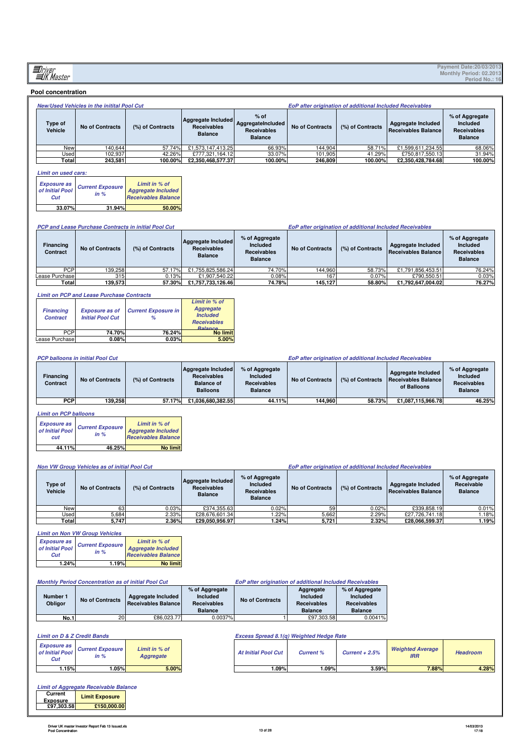#### **Pool concentration**

|                    | New/Used Vehicles in the initital Pool Cut |                  |                                                                   |                                                              |                        | <b>EoP after origination of additional Included Receivables</b> |                                           |                                                                           |
|--------------------|--------------------------------------------|------------------|-------------------------------------------------------------------|--------------------------------------------------------------|------------------------|-----------------------------------------------------------------|-------------------------------------------|---------------------------------------------------------------------------|
| Type of<br>Vehicle | <b>No of Contracts</b>                     | (%) of Contracts | <b>Aggregate Included</b><br><b>Receivables</b><br><b>Balance</b> | $%$ of<br>AggregateIncluded<br>Receivables<br><b>Balance</b> | <b>No of Contracts</b> | (%) of Contracts                                                | Aggregate Included<br>Receivables Balance | % of Aggregate<br><b>Included</b><br><b>Receivables</b><br><b>Balance</b> |
| New                | 140,644                                    | 57.74%           | £1,573,147,413.25                                                 | 66.93%                                                       | 144.904                | 58.71%                                                          | £1,599,611,234.55                         | 68.06%                                                                    |
| Jsed               | 102,937                                    | 42.26%           | £777.321.164.12                                                   | 33.07%                                                       | 101,905                | 41.29%                                                          | £750,817,550.13                           | 31.94%                                                                    |
| Total              | 243.581                                    | 100.00%          | £2.350.468.577.37                                                 | 100.00%                                                      | 246.809                | 100.00%                                                         | £2.350.428.784.68                         | 100.00%                                                                   |

## **Limit on used cars:**

| <b>Exposure as<br/>of Initial Pool</b><br>Cut | <b>Current Exposure</b><br>in $%$ | Limit in % of<br><b>Aggregate Included</b><br><b>Receivables Balance</b> |
|-----------------------------------------------|-----------------------------------|--------------------------------------------------------------------------|
| 33.07%                                        | 31.94%                            | 50.00%                                                                   |

|                       | <b>PCP and Lease Purchase Contracts in initial Pool Cut</b> |                  |                                                            |                                                                           |                        | <b>EoP after origination of additional Included Receivables</b> |                                                         |                                                                           |
|-----------------------|-------------------------------------------------------------|------------------|------------------------------------------------------------|---------------------------------------------------------------------------|------------------------|-----------------------------------------------------------------|---------------------------------------------------------|---------------------------------------------------------------------------|
| Financing<br>Contract | <b>No of Contracts</b>                                      | (%) of Contracts | Aggregate Included<br><b>Receivables</b><br><b>Balance</b> | % of Aggregate<br><b>Included</b><br><b>Receivables</b><br><b>Balance</b> | <b>No of Contracts</b> | (%) of Contracts                                                | <b>Aggregate Included</b><br><b>Receivables Balance</b> | % of Aggregate<br><b>Included</b><br><b>Receivables</b><br><b>Balance</b> |
| <b>PCP</b>            | 139,258                                                     | 57.17%           | £1.755.825.586.24                                          | 74.70%                                                                    | 144,960                | 58.73%                                                          | £1.791.856.453.51                                       | 76.24%                                                                    |
| Lease Purchase        | 315                                                         | 0.13%            | £1.907.540.22                                              | 0.08%                                                                     | 167                    | 0.07%                                                           | £790.550.51                                             | 0.03%                                                                     |
| Total                 | 139,573                                                     | 57.30%           | £1,757,733,126.46                                          | 74.78%                                                                    | 145.127                | 58.80%                                                          | £1,792,647,004.02                                       | 76.27%                                                                    |

#### **Limit on PCP and Lease Purchase Contracts**

| <b>Financing</b><br><b>Contract</b> | <b>Exposure as of</b><br><b>Initial Pool Cut</b> | <b>Current Exposure in</b><br>% | Limit in % of<br>Aggregate<br><b>Included</b><br><b>Receivables</b><br><b>Ralance</b> |
|-------------------------------------|--------------------------------------------------|---------------------------------|---------------------------------------------------------------------------------------|
| <b>PCP</b>                          | 74.70%                                           | 76.24%                          | <b>No limit</b>                                                                       |
| Lease Purchase                      | 0.08%                                            | 0.03%                           | 5.00%                                                                                 |

|                       | <b>PCP balloons in initial Pool Cut</b> |                  |                                                                                  |                                                                           |                        | <b>EoP after origination of additional Included Receivables</b> |                                                                        |                                                                           |
|-----------------------|-----------------------------------------|------------------|----------------------------------------------------------------------------------|---------------------------------------------------------------------------|------------------------|-----------------------------------------------------------------|------------------------------------------------------------------------|---------------------------------------------------------------------------|
| Financing<br>Contract | <b>No of Contracts</b>                  | (%) of Contracts | Aggregate Included<br><b>Receivables</b><br><b>Balance of</b><br><b>Balloons</b> | % of Aggregate<br><b>Included</b><br><b>Receivables</b><br><b>Balance</b> | <b>No of Contracts</b> | (%) of Contracts                                                | <b>Aggregate Included</b><br><b>Receivables Balance</b><br>of Balloons | % of Aggregate<br><b>Included</b><br><b>Receivables</b><br><b>Balance</b> |
| <b>PCP</b>            | 139,258                                 | 57.17%           | £1,036,680,382.55                                                                | 44.11%                                                                    | 144.960                | 58.73%                                                          | £1,087,115,966.78                                                      | 46.25%                                                                    |

### **Limit on PCP balloons**

| <b>Exposure as</b><br>of Initial Pool<br>cut | <b>Current Exposure</b><br>in $%$ | Limit in % of<br><b>Aggregate Included</b><br><b>Receivables Balance</b> |
|----------------------------------------------|-----------------------------------|--------------------------------------------------------------------------|
| 44.11%                                       | 46.25%                            | <b>No limit</b>                                                          |

#### **Non VW Group Vehicles as of initial Pool Cut EoP after origination of additional Included Receivables**

| Type of<br>Vehicle | <b>No of Contracts</b> | (%) of Contracts | <b>Aggregate Included</b><br><b>Receivables</b><br><b>Balance</b> | % of Aggregate<br><b>Included</b><br><b>Receivables</b><br><b>Balance</b> | <b>No of Contracts</b> | (%) of Contracts | Aggregate Included<br><b>Receivables Balance</b> | % of Aggregate<br>Receivable<br><b>Balance</b> |
|--------------------|------------------------|------------------|-------------------------------------------------------------------|---------------------------------------------------------------------------|------------------------|------------------|--------------------------------------------------|------------------------------------------------|
| New                | 63                     | 0.03%            | £374.355.63                                                       | 0.02%                                                                     | 59                     | 0.02%            | £339.858.19                                      | 0.01%                                          |
| Used               | 5.684                  | 2.33%            | £28.676.601.34                                                    | .22%                                                                      | 5,662                  | 2.29%            | £27.726.741.18                                   | 1.18%                                          |
| Total              | 5,747                  | 2.36%            | £29.050.956.97                                                    | .24%                                                                      | 5,721                  | 2.32%            | £28.066.599.37                                   | 1.19%                                          |

| 1.24%                                         | 1.19%                                 | <b>No limit</b>                                                          |
|-----------------------------------------------|---------------------------------------|--------------------------------------------------------------------------|
| <b>Exposure as<br/>of Initial Pool</b><br>Cut | <b>Current Exposure</b><br>in %       | Limit in % of<br><b>Aggregate Included</b><br><b>Receivables Balance</b> |
|                                               | <b>Limit on Non VW Group Vehicles</b> |                                                                          |

|                     | <b>EoP after origination of additional Included Receivables</b><br><b>Monthly Period Concentration as of initial Pool Cut</b> |                                                  |                                                                    |                 |                                                               |                                                                    |
|---------------------|-------------------------------------------------------------------------------------------------------------------------------|--------------------------------------------------|--------------------------------------------------------------------|-----------------|---------------------------------------------------------------|--------------------------------------------------------------------|
| Number 1<br>Obligor | <b>No of Contracts</b>                                                                                                        | <b>Aggregate Included</b><br>Receivables Balance | % of Aggregate<br>Included<br><b>Receivables</b><br><b>Balance</b> | No of Contracts | Aggregate<br>Included<br><b>Receivables</b><br><b>Balance</b> | % of Aggregate<br>Included<br><b>Receivables</b><br><b>Balance</b> |
| <b>No.1</b>         | <b>20</b>                                                                                                                     | £86.023.77                                       | 0.0037%                                                            |                 | £97.303.58                                                    | 0.0041%                                                            |

| <i><b>Exposure as</b></i><br>of Initial Pool<br>Cut | <b>Current Exposure</b><br>in % | Limit in % of<br>Aggregate | <b>At Initial Pool Cut</b> | <b>Current %</b> | $Current + 2.5%$ | <b>Weighted Average</b><br><b>IRR</b> | <b>Headroom</b> |
|-----------------------------------------------------|---------------------------------|----------------------------|----------------------------|------------------|------------------|---------------------------------------|-----------------|
| 1.15%                                               | .05%                            | 5.00%                      | .09%                       | .09%             | 3.59%            | 7.88%                                 | 4.28%           |

|                                                     | Limit on D & Z Credit Bands     |                            | <b>Excess Spread 8.1(g) Weighted Hedge Rate</b> |                  |                 |                                       |  |
|-----------------------------------------------------|---------------------------------|----------------------------|-------------------------------------------------|------------------|-----------------|---------------------------------------|--|
| <i><b>Exposure as</b></i><br>of Initial Pool<br>Cut | <b>Current Exposure</b><br>in % | Limit in % of<br>Aggregate | <b>At Initial Pool Cut</b>                      | <b>Current %</b> | Current $+2.5%$ | <b>Weighted Average</b><br><b>IRF</b> |  |

|            | <b>Limit of Aggregate Receivable Balance</b> |  |
|------------|----------------------------------------------|--|
| Current    | <b>Limit Exposure</b>                        |  |
| Exposure   |                                              |  |
| £97.303.58 | £150,000.00                                  |  |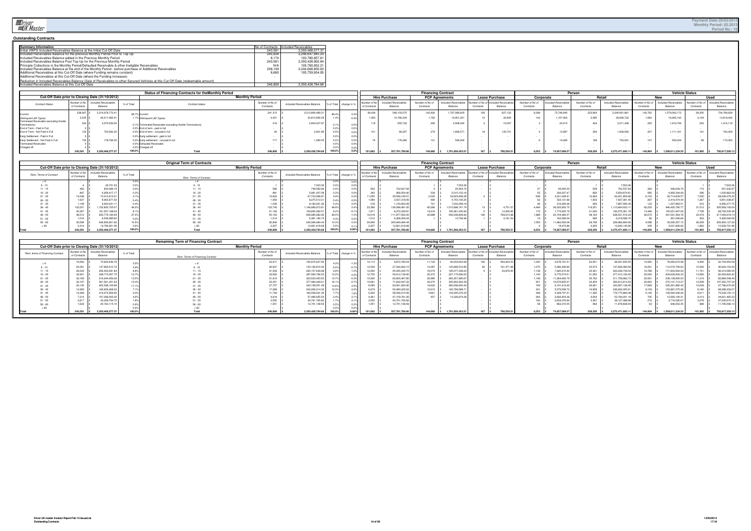## **Outstanding Contracts**

| <b>Summary Information</b>                                                                                                        |         | No of Contracts Included Receivables |
|-----------------------------------------------------------------------------------------------------------------------------------|---------|--------------------------------------|
| Initial VWFS Included Receivables Balance at the Initial Cut-Off Date                                                             | 243.581 | 2.350.468.577.37                     |
| Included Receivables Balance for the previous Monthly Period Prior to Top Up                                                      | 245.834 | 2.246.647.945.23                     |
| Included Receivables Balance added in the Previous Monthly Period                                                                 | 8.174   | 103.780.957.61                       |
| Included Receivables Balance Post Top Up for the Previous Monthly Period                                                          | 243.581 | 2,350,428,902.84                     |
| Principle Collections in the Monthly Period/Defaulted Receivable & other Ineligible Receivables                                   | N/A     | 105.760.052.21                       |
| Included Receivables Balance at the end of the Monthly Period - before purchase of Additional Receivables                         | 238.149 | 2.244.668.850.63                     |
| Additional Receivables at this Cut-Off Date (where Funding remains constant)                                                      | 8.660   | 105.759.934.05                       |
| Additional Receivables at this Cut-Off Date (where the Funding increases)                                                         |         |                                      |
| Reduction in Included Receivables Balance (Sale of Receivables to other Secured Vehicles at this Cut-Off Date (redeemable amount) |         |                                      |
| Included Receivables Balance at this Cut-Off Date                                                                                 | 246.809 | 2.350.428.784.68                     |

|                                                           |              |                                                 |            | Status of Financing Contracts for the Monthly Period        |                           |                              |                        |         |                                 |                                 | <b>Financing Contract</b>    |                                 |           |                                                |                             |                              | Person                       |                                 |                              | <b>Vehicle Status</b>                 |                              |                                       |
|-----------------------------------------------------------|--------------|-------------------------------------------------|------------|-------------------------------------------------------------|---------------------------|------------------------------|------------------------|---------|---------------------------------|---------------------------------|------------------------------|---------------------------------|-----------|------------------------------------------------|-----------------------------|------------------------------|------------------------------|---------------------------------|------------------------------|---------------------------------------|------------------------------|---------------------------------------|
|                                                           |              | Cut-Off Date prior to Closing Date (31/10/2012) |            | <b>Monthly Period</b>                                       |                           |                              |                        |         |                                 | <b>Hire Purchase</b>            |                              | <b>PCP Agreements</b>           |           | <b>Lease Purchase</b>                          |                             | Corporate                    |                              |                                 |                              |                                       |                              | Used                                  |
| <b>Contract Status</b>                                    | of Contracts | Number of No Included Receivables<br>Balance    | % of Total | Contract status                                             | Number of No<br>Contracts | Included Receivables Balance | % of Total change in % |         | Number of<br>$\sim$ of Contrac. | Included Receivables<br>Balance | Number of No of<br>Contracts | Included Receivables<br>Balance | Contracts | Number of No of Included Receivable<br>Balance | Number of No o<br>Contracts | cluded Receivable<br>Balance | Number of No of<br>Contracts | Included Receivables<br>Balance | Number of No of<br>Contracts | <b>Included Receivable</b><br>Balance | Number of No of<br>Contracts | <b>Included Receivable</b><br>Balance |
| Current                                                   | 238,907      | 2,319,978,772.4                                 |            | 98.7% Curre                                                 | 241,315                   | 2,313,806,468.31             | 00.40                  | .3%     | 99.434                          | 546,103,075                     | 142,492                      | 1.767.080.603                   | 136       | 527.122                                        | 8.398                       | 73,748,940                   | 233,664                      | 2,240,061,861                   | 142,762                      | 1,579,042,172                         | 99.300                       | 734,768,628                           |
| Delinquent (All Types)                                    | 3.525        | 26,517,465.                                     |            | 1.1% Delinquent (All Types)                                 | 4,43                      | 33,813,956.5                 |                        | 0.3%    | 1.955                           | 10,780,334                      |                              | 19,951,25                       |           | 32,600                                         |                             | 1,157,462                    | 3,585                        | 29,606,722                      |                              | 16,945,142                            | 2.144                        | 13,819,04                             |
| Terminated Receivable (excluding Hostile<br>Terminations) |              | 3,070,509.                                      |            | 0.1% Terminated Receivable (excluding Hostile Terminations) |                           | 2,804,027.87                 |                        |         |                                 | 655,722                         |                              | 2,568,024                       |           | 10.097                                         |                             | 22.415                       |                              | 3.211.428                       |                              | 1,919,726                             | 202                          | 1,314,11                              |
| End of Term - Paid in Full                                |              |                                                 |            | 0.0% End of term - paid in full                             |                           |                              |                        |         |                                 |                                 |                              |                                 |           |                                                |                             |                              |                              |                                 |                              |                                       |                              |                                       |
| End of Term - Not Paid in Full                            | 123          | 723,062.2                                       |            | 0.0% End of term - not paid in full                         |                           | 2.941.86                     |                        | ,0% I   |                                 | 66,267                          |                              | 1.666.57                        |           | 120,73                                         |                             |                              |                              | 1.839.582                       |                              | 1.111.161                             |                              | 742,409                               |
| Early Settlement - Paid in Full                           |              |                                                 |            | 0.0% Early settlement - paid in full                        |                           |                              |                        |         |                                 |                                 |                              |                                 |           |                                                |                             |                              |                              |                                 |                              |                                       |                              |                                       |
| Early Settlement - Not Paid in Full                       | 702 £        | 178,768                                         |            | 0.0% Early settlement - not paid in full                    |                           | 1.390.05                     |                        |         |                                 | 176,382                         |                              | 590.004                         |           |                                                |                             | 14.295                       |                              | 752.09                          |                              | 593.034                               |                              | 173.35                                |
| <b>Terminated Receivable</b>                              |              |                                                 |            | 0.0% Defaulted Receivable                                   |                           |                              |                        |         |                                 |                                 |                              |                                 |           |                                                |                             |                              |                              |                                 |                              |                                       |                              |                                       |
| Charged-off                                               |              |                                                 |            | 0.0% Charged-o                                              |                           |                              |                        |         |                                 |                                 |                              |                                 |           |                                                |                             |                              |                              |                                 |                              |                                       |                              |                                       |
|                                                           | 243.581      | 2.350.468.577.                                  |            | Total                                                       | 246,809                   | 2.350.428.784.68             |                        | $0.0\%$ | 101.682                         | 557,781,780.66                  | 144.960                      | 1.791.856.453.51                | 167       | 790,550.                                       | 8,553                       | 74.957.099.5                 | 238.256                      | 2.275.471.685.1                 | 144,904 £                    | 1.599.611.234.55                      | 101.905                      | 750.817.550.13                        |

|                        |                              |                                                 |                | <b>Original Term of Contracts</b> |                              |                              |                        |         |              |                                 |                              | <b>Financing Contract</b>       |                                  |                            |                              |                              | Person                       |                                |                              | <b>Vehicle Status</b>          |                             |                                       |
|------------------------|------------------------------|-------------------------------------------------|----------------|-----------------------------------|------------------------------|------------------------------|------------------------|---------|--------------|---------------------------------|------------------------------|---------------------------------|----------------------------------|----------------------------|------------------------------|------------------------------|------------------------------|--------------------------------|------------------------------|--------------------------------|-----------------------------|---------------------------------------|
|                        |                              | Cut-Off Date prior to Closing Date (31/10/2012) |                | <b>Monthly Period</b>             |                              |                              |                        |         |              | <b>Hire Purchase</b>            |                              | <b>PCP Agreements</b>           |                                  | <b>Lease Purchase</b>      | Corporate                    |                              |                              | Retai                          |                              |                                |                             | Used                                  |
| Rem. Terms of Contract | Number of No<br>of Contract: | <b>Included Receivables</b><br>Balance          | % of Total     | Rem. Terms of Contract            | Number of No of<br>Contracts | Included Receivables Balance | % of Total change in 9 |         | of Contracts | Included Receivables<br>Balance | Number of No of<br>Contracts | Included Receivables<br>Balance | Number of No of The<br>Contracts | cluded Receivab<br>Balance | Number of No of<br>Contracts | cluded Receivable<br>Balance | Number of No of<br>Contracts | Included Receivable<br>Balance | Number of No of<br>Contracts | Included Receivable<br>Balance | Number of No of<br>Contract | <b>Included Receivable</b><br>Balance |
|                        |                              |                                                 |                |                                   |                              |                              |                        |         |              |                                 |                              |                                 |                                  |                            |                              |                              |                              |                                |                              |                                |                             |                                       |
|                        |                              |                                                 |                |                                   |                              | 7,503.36                     |                        | $J.0\%$ |              |                                 |                              | 7,503.3                         |                                  |                            |                              |                              |                              | 7,503.36                       |                              |                                |                             | 7,503.3                               |
|                        | 463                          | 834,068.                                        |                |                                   | 566                          | 748,582.66                   |                        | $0.0\%$ |              | 722,627.94                      |                              | 25,954.                         |                                  |                            |                              | 46,045.                      |                              | 702,537.6                      | 392                          | 446,649.7                      |                             | 301,932.8                             |
|                        | 887                          | 6,958,417                                       |                |                                   |                              | 5,981,207.08                 |                        | $0.0\%$ | 0.10<br>-346 | 966,054.9                       |                              | 5,015,152.                      |                                  |                            |                              | 326,327                      | 826                          | 5.654.879.6                    | 585                          | 4,960,344.                     | 296                         | 1,020,862.                            |
| 21 - 25                | 14,048                       | 73,414,612.                                     |                |                                   | 13,602                       | 67,723,088.87                |                        | $.2\%$  |              | 35,099,180.51                   | 2,545                        | 32.623.908.                     |                                  |                            | 638                          | 3,521,228.9                  | 12,964                       | 64,201,859.9                   | 6,102                        | 39,714,609.5                   | 7,500                       | 28,008,479.3                          |
|                        | 1,627                        | 8,953,671.                                      |                |                                   | 1,56                         | 8,270,513.31                 |                        | $.0\%$  |              | 3,527,318.06                    |                              | 4.743.195.2                     |                                  |                            |                              | 333,131                      | ,502                         |                                | 297                          | 2,419,474.4                    | 1,267                       | 5,851,038.8                           |
|                        | 1,108                        | 9,004,24                                        |                |                                   | <b>UJ</b>                    | 8,184,261.2                  |                        | $.0\%$  | 210          | 1,150,903.0                     |                              | 7,033,358                       |                                  |                            |                              | 316,265                      |                              | 7,867,995.                     |                              | 1,227,883'                     | 916                         | 6,956,377.                            |
| $36 - 40$              | 122,551                      | .155,830,725                                    | $49.2^{\circ}$ | $36 - 40$                         | 123,745                      | 1,146,989,973.81             | 48.8%                  | $0.4\%$ | 3,366        | 136.088.481.0                   | 90.366                       | $0.010,896,741$ 7               |                                  |                            | 4,494                        | 36,325,950.                  | 119,251                      | 10.664.023.                    | 92,233                       | 946,420,780                    | 31,512                      | 200,569,193.0                         |
|                        | 20,367                       | 191,507,198                                     |                |                                   | 21,192                       | 193,845,382.5                |                        | $1\%$   | 1.871        | 8,372,339.8                     | 9.316                        | d5,461,035.P                    |                                  | 2.006.9                    |                              | 770,020.                     | 21,020                       | 192,075,36                     | 13,484                       | 125,051,847                    |                             | 68,793,535.4                          |
| $46 - 5'$              | 48,512                       | 635.776.184.                                    |                |                                   | 50,152                       | 658,685,982.9                |                        | $.0\%$  | 19,018       | 111.877.563.0                   | 80.988                       | 46.038.808.9                    | 146                              | 769,610.                   | 1.988                        | 20,154,466.                  | 48,164                       |                                | 26.673                       | 441,591,364.7                  | 23.479                      | 217,094,618.1                         |
|                        | 1,016                        | 6,549,985                                       |                |                                   |                              | 6,381,185.74                 |                        | $.0\%$  | 1,012        | 6,366,209.2                     |                              | 10.794.9u                       |                                  | .181.9                     |                              | 162,599.0                    |                              | 6.218.586.                     |                              | 461,095.                       | 932                         | 5,920,090.0                           |
|                        | 30,584                       | 246,839,821                                     | 10.5           |                                   | 30,846                       | 240,949,484.44               |                        | $.3\%$  | 30,846       | 240.949.484.44                  |                              |                                 |                                  |                            | 1.05                         | 11,982,590.                  | 29,796                       | 228.966.894.                   | 4,588                        | 35,295,357.                    | ∠6,258                      | 205,654,127.29                        |
|                        | 2.414                        | 14,769,951                                      |                |                                   |                              | 12,661,618.6                 |                        | $1\%$ I | 2,207        | 12,661,618.6                    |                              |                                 |                                  |                            |                              | 18,472.8                     | 2,205                        | 12,643,145.                    | 345                          | 2,021,826.                     |                             | 10,639,791.8                          |
|                        | 243,581                      |                                                 | 100.09         | Total                             | 246,809                      | 2.350.428.784.68             |                        | 0.00% 1 | 101.682      | 557,781,780.66                  | 144.960                      | 1.791.856.453.51                | 167                              | 790,550.                   | 8.553                        | 74.957.099.5                 | 238,256                      |                                | 144.904                      | 1.599.611.234.5                | 101.905                     | 750.817.550.1                         |

|                                  |                             |                                                 |            | <b>Remaining Term of Financing Contract</b> |                             |                              |                        |         |                                                |                                | <b>Financing Contract</b>    |                                |           |                                              |                              |                                | Person                       |                                |                          | <b>Vehicle Status</b>           |                             |                              |
|----------------------------------|-----------------------------|-------------------------------------------------|------------|---------------------------------------------|-----------------------------|------------------------------|------------------------|---------|------------------------------------------------|--------------------------------|------------------------------|--------------------------------|-----------|----------------------------------------------|------------------------------|--------------------------------|------------------------------|--------------------------------|--------------------------|---------------------------------|-----------------------------|------------------------------|
|                                  |                             | Cut-Off Date prior to Closing Date (31/10/2012) |            | <b>Monthly Period</b>                       |                             |                              |                        |         |                                                | <b>Hire Purchase</b>           | <b>PCP Agreements</b>        |                                |           | <b>Lease Purchase</b>                        |                              | Corporate                      |                              | Retail                         |                          | <b>Ne</b>                       |                             | Used                         |
| Rem. terms of Financing Contract | Number of I<br>of Contracts | <b>Included Receivables</b><br>Balance          | % of Total | Rem. Terms of Financing Contract            | Number of No o<br>Contracts | Included Receivables Balance | % of Total change in 9 |         | Number o<br>$\sim$ $\blacksquare$ of Contracts | Included Receivable<br>Balance | Number of No of<br>Contracts | Included Receivable<br>Balance | Contracts | lumber of No of Included Receival<br>Balance | Number of No of<br>Contracts | ncluded Receivables<br>Balance | Number of No of<br>Contracts | Included Receivable<br>Balance | Vumber of N<br>Contracts | Included Receivables<br>Balance | Number of No c<br>Contracts | cluded Receivable<br>Balance |
|                                  | 18,583                      | 70.832.649.7                                    |            |                                             | 23.97'                      | 100,970,627.06               | 4.3%                   | .3%     |                                                | 9,872,780.54                   | 11,722                       | 90,503,643.                    | 136       | 594,202.                                     | 1,020                        | 2,678,791.                     | 22,951                       | 98,291,835.                    |                          | 78,265,672.9                    | 9,406                       | 22,704,954.08                |
|                                  | 24,081                      | 137,660,010.                                    |            |                                             | 26,647                      | 153,192,810.93               |                        | .7%     | 12,534                                         | 27,344,822.1                   | 14,087                       | 125,686,516.85                 |           | 161.471.                                     | 1,075                        | 5.366.326.8                    | 25,572                       | 147.826.484.                   |                          | 112,570,706.63                  | 10,556                      | 40,622,104.30                |
|                                  | 29,523                      | 206,452,581.8                                   |            |                                             | 31,529                      | 230, 157, 649. 98            | 9.8%                   | $.0\%$  |                                                | 45,045,435.7                   | 18.574                       | 185,077,338.2                  |           | 34,876.0                                     | 1,138                        | 7,920,910.4                    | 30,391                       | 222,236,739.                   | 19.788                   | 171,843,564.9                   | 11,741                      | 58,314,085.05                |
| $16 - 20$                        | 34,951                      | 298.715.457.                                    |            |                                             | 33,092                      | 287,082,766.53               | 12.2%                  | .5%     | 2,720                                          | 59,912,139.90                  | 20,372                       | 227,170,626.6?                 |           |                                              | 1,140                        | 9.770.574.5                    | 31,952                       | 277,312,192.                   |                          | 204,629,942.33                  | 13.066                      | 82,452,824.20                |
|                                  | 32,169                      | 316,244,459.2                                   |            |                                             | 31,910                      | 323.023.453.52               |                        | 1.3%    |                                                | 62,665,467.8                   | 20,985                       | 260,357,985.6                  |           |                                              | ,148                         | 11.264.490.                    | 30,762                       | 311,758,962.                   |                          | 239,138,905.0                   | 11.319                      | 83,884,548.49                |
| $26 - 30$                        | 32,167                      | 361,561,201.6                                   |            |                                             | 33,351                      | 377,484,449.61               |                        | 7%      |                                                | 1,642,047.2                    | 22,670                       | 305,842,402.                   |           |                                              |                              | 10.670.835.                    | 32,400                       | 366,813,614.                   | 20,843                   | 270, 131, 712. 27               | 12,508                      | 107,352,737.34               |
|                                  | 32,125                      | 402,598,105.9                                   |            |                                             | 27,707                      | 343, 158, 551.38             | 14.6%                  | 2.5%    |                                                | 63,061,950.9                   | 19.622                       | 280,096,600.4                  |           |                                              |                              | 9,191,412.                     | 26,961                       | 333,967,138.                   | 17.668                   | 245,361,880.43                  | 10,039                      | 97,796,670.95                |
| $36 - 40$                        | 12,959                      | 166.609.268.                                    |            |                                             | 17,289                      | 242,269,314.33               |                        | $3.2\%$ | 6.679                                          | 59,480,225.6                   | 0,610                        | 182,789,088                    |           |                                              |                              | 5,576,008.                     | 16,858                       | 236,693,305.                   |                          | 153,881,075.26                  | 8,180                       | 88,388,239.07                |
|                                  | 14,369                      | 219,073,956.9                                   |            |                                             | 11,794                      | 182.099.591.3                |                        | .6%     |                                                | 58,094,215.0                   |                              | 24,005,376.                    |           |                                              |                              | 5,328,707.                     | 11,395                       | 176.770.884.                   |                          | 106,560,436.2                   | 6.611                       | 75,539,155.13                |
|                                  | 7,214                       | 107,299,005.3                                   |            |                                             | 4.918                       | 57.486.655.5                 | 2.4%                   | $1\%$   |                                                | 17, 159, 781. 26               |                              | 10,326,874.2                   |           |                                              | 264                          | 3,692,454.                     | 4,654                        | 53,794,201.                    | 705                      | 12,565,190.3                    | 4,213                       | 44,921,465.23                |
|                                  | 3,817                       | 43,258,764.                                     |            |                                             | 3,550                       | 40,761,765.82                |                        | $1\%$   |                                                | 40,761,765.82                  |                              |                                |           |                                              |                              | 2,634,276.                     | 3,367                        | 38.127.488.9                   | 272                      | 3,716,095.6                     | 3,278                       | 37,045,670.15                |
| $56 - 60$                        | 1,623                       | 20,163,115.1                                    |            |                                             | 1,051                       | 12.741.148.59                |                        | 0.3%    |                                                | 12.741.148.59                  |                              |                                |           |                                              |                              | 862,310.                       | 993                          | 1.878.838.0                    |                          | 946,052.4                       | 988                         | 1,795,096.14                 |
|                                  |                             |                                                 |            |                                             |                             |                              |                        |         |                                                |                                |                              |                                |           |                                              |                              |                                |                              |                                |                          |                                 |                             |                              |
| <b>Total</b>                     | 243.58                      | 2.350.468.577.3                                 |            |                                             | 246,809                     | 2.350.428.784.68             |                        |         |                                                | 557.781.780.66                 | 144.960                      | 91.856.453.5                   |           | 790.550.                                     | 8.553                        | 74.957.099.                    | 238,256                      | 2.275.471.685.1                | 144.904                  | 1.599.611.234.5                 | 101.905                     | 750,817,550.13               |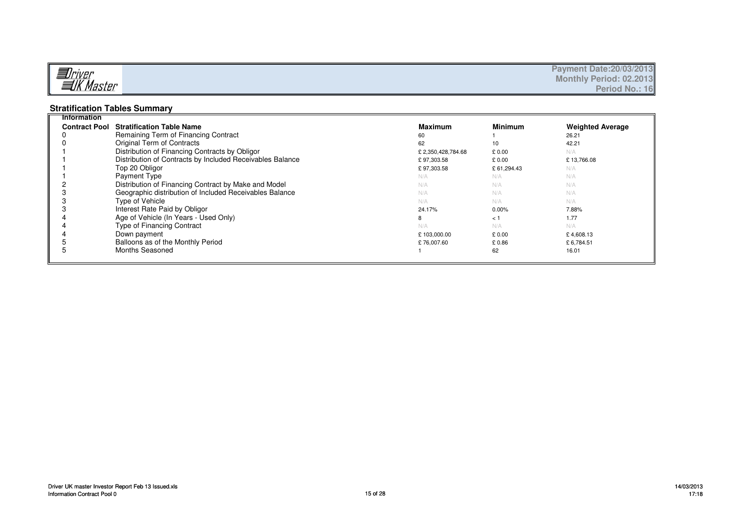| _                   | <b>Payment Date:20/03/2013</b> |
|---------------------|--------------------------------|
| Jriver<br>JK Master | Monthly Period: 02.2013        |
|                     | . : 16<br>Period No.:          |

## **Stratification Tables Summary**

| <b>Information</b>   |                                                           |                    |                |                         |
|----------------------|-----------------------------------------------------------|--------------------|----------------|-------------------------|
| <b>Contract Pool</b> | <b>Stratification Table Name</b>                          | <b>Maximum</b>     | <b>Minimum</b> | <b>Weighted Average</b> |
|                      | Remaining Term of Financing Contract                      | 60                 |                | 26.21                   |
|                      | Original Term of Contracts                                | 62                 | 10             | 42.21                   |
|                      | Distribution of Financing Contracts by Obligor            | £ 2,350,428,784.68 | £ 0.00         | N/A                     |
|                      | Distribution of Contracts by Included Receivables Balance | £97,303.58         | £ 0.00         | £13,766.08              |
|                      | Top 20 Obligor                                            | £97,303.58         | £61,294.43     | N/A                     |
|                      | Payment Type                                              | N/A                | N/A            | N/A                     |
|                      | Distribution of Financing Contract by Make and Model      | N/A                | N/A            | N/A                     |
|                      | Geographic distribution of Included Receivables Balance   | N/A                | N/A            | N/A                     |
|                      | Type of Vehicle                                           | N/A                | N/A            | N/A                     |
|                      | Interest Rate Paid by Obligor                             | 24.17%             | 0.00%          | 7.88%                   |
|                      | Age of Vehicle (In Years - Used Only)                     |                    | < 1            | 1.77                    |
|                      | <b>Type of Financing Contract</b>                         | N/A                | N/A            | N/A                     |
|                      | Down payment                                              | £103,000.00        | £ 0.00         | £4,608.13               |
|                      | Balloons as of the Monthly Period                         | £76,007.60         | £0.86          | £6,784.51               |
|                      | Months Seasoned                                           |                    | 62             | 16.01                   |
|                      |                                                           |                    |                |                         |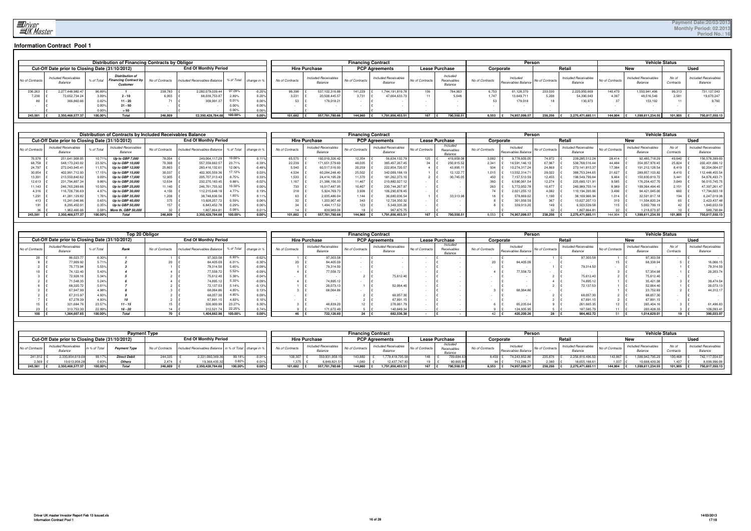

|                 |                                                 |            | Distribution of Financing Contracts by Obligor                     |                 |                              |          |                        |                 |                                        | <b>Financing Contract</b> |                                        |                 |                                    |                 | Person                          |                 |                                        |                 | <b>Vehicle Status</b>                  |                    |                                        |
|-----------------|-------------------------------------------------|------------|--------------------------------------------------------------------|-----------------|------------------------------|----------|------------------------|-----------------|----------------------------------------|---------------------------|----------------------------------------|-----------------|------------------------------------|-----------------|---------------------------------|-----------------|----------------------------------------|-----------------|----------------------------------------|--------------------|----------------------------------------|
|                 | Cut-Off Date prior to Closing Date (31/10/2012) |            |                                                                    |                 | <b>End Of Monthly Period</b> |          |                        |                 | <b>Hire Purchase</b>                   |                           | <b>PCP Agreements</b>                  |                 | <b>Lease Purchase</b>              | Corporate       |                                 |                 | Retai                                  |                 | <b>New</b>                             |                    | <b>Used</b>                            |
| No of Contracts | <b>Included Receivables</b><br>Balance          | % of Total | <b>Distribution of</b><br><b>Financing Contract by</b><br>Customer | No of Contracts | Included Receivables Balance |          | % of Total change in % | No of Contracts | <b>Included Receivables</b><br>Balance | No of Contracts           | <b>Included Receivables</b><br>Balance | No of Contracts | Included<br>Receivables<br>Balance | No of Contracts | Included<br>Receivables Balance | lo of Contracts | <b>Included Receivables</b><br>Balance | No of Contracts | <b>Included Receivables</b><br>Balance | No of<br>Contracts | <b>Included Receivables</b><br>Balance |
| 236,263         | 2.277.448.982.47                                | 96.89%     |                                                                    | 239.783         | 2.282.079.039.44             | 97.09%   | 0.20%                  | 98.398          | 537.102.316.8                          | 141,229                   | 1.744.191.819.78                       | 156             | 784,903                            | 6.753           | 61.128.370                      | 233.030         | 2.220.950.669                          | 140,470         | 1.550.941.496                          | 99,313             | 731, 137, 543                          |
| 7,238           | 72,652,734.24                                   | 3.09%      | $2 - 10$                                                           | 6.955           | 68,039,753.                  | 2.89%    | 0.20%                  | 3,231           | 20,500,445.5                           | 3,731                     | 47.664.633.73                          |                 | 5,648                              | 1.747           | 13.649.71                       | 5,208           | 54,390,043                             | 1.397           | 48,516,546                             | 2.581              | 19.670.24                              |
| 80              | 366,860.66                                      |            | $11 - 20$                                                          |                 | 309.991.3                    | 0.01%    |                        |                 | 179.018.21                             |                           |                                        |                 |                                    |                 | 179.018                         | 1 <sub>2</sub>  | 130.973                                |                 | 153.192                                |                    | 9.760                                  |
|                 |                                                 | 0.00°      | $21 - 50$                                                          |                 |                              | $0.00\%$ |                        |                 |                                        |                           |                                        |                 |                                    |                 |                                 |                 |                                        |                 |                                        |                    |                                        |
|                 |                                                 | 0.00%      | > 50                                                               |                 |                              | 0.00%    | v.v                    |                 |                                        |                           |                                        |                 |                                    |                 |                                 |                 |                                        |                 |                                        |                    |                                        |
| 243,581         | 2,350,468,577.37                                | 100.00%    | Total                                                              | 246,809         | £2,350,428,784.68            | 100.00%  |                        | 101.682         | 557,781,780.66                         | 144.960                   | 1,791,856,453.51                       | $167 \quad \pm$ | 790,550.51                         | 8.553           | 74.957.099.                     | 238.256         | 2.275.471.685.11                       | 144.904         | 1.599.611.234.5                        | 101.905            | 750,817,550.13                         |

|                 |        |                                                 |            | Distribution of Contracts by Included Receivables Balance |                 |                              |            |           |                 |                                        | <b>Financing Contract</b> |                                        |                 |                                    |                 |                                 | Person          |                                                      |                 |                                        | <b>Vehicle Status</b> |                                        |
|-----------------|--------|-------------------------------------------------|------------|-----------------------------------------------------------|-----------------|------------------------------|------------|-----------|-----------------|----------------------------------------|---------------------------|----------------------------------------|-----------------|------------------------------------|-----------------|---------------------------------|-----------------|------------------------------------------------------|-----------------|----------------------------------------|-----------------------|----------------------------------------|
|                 |        | Cut-Off Date prior to Closing Date (31/10/2012) |            |                                                           |                 | <b>End Of Monthly Period</b> |            |           |                 | <b>Hire Purchase</b>                   |                           | <b>PCP Agreements</b>                  |                 | <b>Lease Purchase</b>              |                 | Corporate                       |                 | Retail                                               |                 | New                                    |                       | <b>Used</b>                            |
| No of Contracts |        | <b>Included Receivables</b><br>Balance          | % of Total | <b>Included Receivables</b><br><i>Balance</i>             | No of Contracts | ncluded Receivables Balance  | % of Total | change in | No of Contracts | <b>Included Receivables</b><br>Balance | No of Contracts           | <b>Included Receivables</b><br>Balance | No of Contracts | Included<br>Receivables<br>Balance | No of Contracts | Included<br>Receivables Balance | No of Contracts | <b>Included Receivables</b><br><i><b>Balance</b></i> | No of Contracts | <b>Included Receivables</b><br>Balance | No of<br>Contracts    | <b>Included Receivables</b><br>Balance |
|                 | 76,578 | 251,641,908.0                                   |            | <b>Up to GBP 7.000</b>                                    | 78,054          | 249,064,117.29               | 10.60%     |           | 65,575          | 192,010,326.42                         | 12,354                    | 56,634,132.79                          | 125             | 419,658.                           | 3,082           | 9,778,605.05                    | 74,972          | 239,285,512.2                                        | 28.414          | 92,485,718.29                          | 49,640                | 156,578,399.00                         |
|                 | 68,758 | 548,173,243.0                                   | 23.32%     | Up to GBP 10,000                                          | 70,308          | 557,359,662.57               | 23.71%     | $-0.39\%$ | 22,239          | 171,651,579.60                         | 48,035                    | 385, 457, 267. 45                      |                 | 250,815.5                          | 2,341           | 18,591,146.1                    | 67,967          | 538,768,516.44                                       | 44.484          | 354,957,976.45                         | 25,824                | 202,401,686.12                         |
|                 | 24,797 | 272,043,945.41                                  | 11.57%     | Up to GBP 12,000                                          | 25,803          | 283,416,132.61               | 12.06%     |           | 5.540           | 60,517,516.93                          | 20,259                    | 222,854,720.57                         |                 | 43,895.                            | 934             | 10,274,317.24                   | 24,869          | 273,141,815.3                                        | 17,384          | 191,212,128.5                          | 8,419                 | 92,204,004.07                          |
|                 | 30,054 | 402,991,712.93                                  | 17.15%     | Up to GBP 15,000                                          | 30,037          | 402,305,559.36               | 7.12%      |           | 4.534           | 60,284,248.40                          | 25,502                    | 342,009,188.1                          |                 | 12,122.7                           | 1.015           | 13,552,314.7                    | 29,022          | 388,753,244.6                                        | 21,627          | 289,857,103.82                         | 8.410                 | 112,448,455.54                         |
|                 | 13,391 | 213,550,840.6                                   | 9.09%      | Up to GBP 17,000                                          | 12,905          | 205,707,313.43               | 8.75%      |           | 1,533           | 24,414,195.28                          | 11,370                    | 181,262,373.10                         |                 | 30,745.0                           | 450             | 7,157,513.5.                    | 12,455          | 198,549,799.8                                        | 9.464           | 50,830,819.7                           | 3.441                 | 54,876,493.71                          |
|                 | 12,613 | 231,794,807.3                                   | 9.86%      | Up to GBP 20.000                                          | 12,634          | 232,270,183.45               | $9.88\%$   |           | .167            | 21,388,156.33                          | 11,467                    | 210,882,027.1                          |                 |                                    | 360             | 6,590,061.5                     | 12,274          | 225,680,121.9                                        | 9,585           | 76,254,437.7                           | 3,049                 | 56,015,745.75                          |
|                 | 11,143 | 246,765,289.6                                   | 10.50%     | Up to GBP 25,000                                          | 11.140          | 246,761,755.92               | 0.50%      | $0.00\%$  | 733             | 16,017,487.95                          | 10,407                    | 230,744,267.97                         |                 |                                    | 263             | 5,772,052.7                     | 10,877          | 240,989,703.1                                        | 3.989           | 199,364,494.4                          | 2,151                 | 47,397,261.47                          |
|                 | 4,316  | 116,726,736.6                                   | 4.97%      | Up to GBP 30,000                                          | 4,156           | 112,215,648.1                | 4.77%      | 19% I     | 218             | 5,924,769.73                           | 3,938                     | 106,290,878.45                         |                 |                                    | 74              | 2,021,255.1                     | 4,082           | 110,194,393.06                                       | 3.496           | 94,421,045.00                          | 660                   | 17,794,603.18                          |
|                 | 1,291  | 41,281,129.82                                   | .76%       | Up to GBP 35,000                                          | 1,208           | 38,748,836.56                | 1.65%      |           | 63              | 2,035,486.04                           | 1.144                     | 36,680,036.54                          |                 | 33,313.                            | 18              | 578,869.6                       | 1,190           | 38,169,966.9                                         | 1.014           | 32,501,817.18                          | $194$ .               | 6,247,019.38                           |
|                 | 413    | 15,241,046.86                                   | 0.65%      | Up to GBP 40,000                                          | 375             | 13,928,257.7                 | 0.59%      |           |                 | 203,907.40                             | 343                       | 12,724,350.32                          |                 |                                    |                 | 301,050.                        | 367             | 13,627,207.                                          | 310             | 11,504,820.24                          | 65 £                  | 2,423,437.48                           |
|                 |        | 8,295,450.91                                    | $0.35\%$   | Up to GBP 50,000                                          | 157             | 6,843,452.78                 | 0.29%      |           |                 | 494,117.52                             |                           | 5,349,335.26                           |                 |                                    |                 | 339,913.2                       | 149             | 6,503,539.5                                          | 115             | 5,002,799.                             | 42                    | 1,840,653.59                           |
|                 |        | 1,962,466.0                                     |            | More th. GBP 50,000                                       | 32              | 1,807,864.81                 | 0.08%      |           |                 | 839,989.06                             |                           | 967,875.7                              |                 |                                    |                 |                                 |                 | 1,807,864.                                           |                 | 1,218,073.97                           |                       | 589,790.84                             |
| 243.581         |        | 2.350.468.577.37                                | 100.00%    | Total                                                     | 246.809         | 2.350.428.784.68             | 100.00%    |           | 101.682         | 557,781,780.66                         | 144.960                   | 1,791,856,453.51                       | 167             | 790.550.5                          | 8.553           | 74.957.099.                     | 238.256         | 2.275.471.685.                                       | 144.904         | .599.611.234.55                        | 101.905               | 750,817,550.13                         |

|                 |                                                 |            |           | Top 20 Obligor  |                              |            |               |                 |                                        | <b>Financing Contract</b> |                                        |                 |                                    |                 | Person                          |                 |                                        |                 | <b>Vehicle Status</b>                  |                    |                                 |
|-----------------|-------------------------------------------------|------------|-----------|-----------------|------------------------------|------------|---------------|-----------------|----------------------------------------|---------------------------|----------------------------------------|-----------------|------------------------------------|-----------------|---------------------------------|-----------------|----------------------------------------|-----------------|----------------------------------------|--------------------|---------------------------------|
|                 | Cut-Off Date prior to Closing Date (31/10/2012) |            |           |                 | <b>End Of Monthly Period</b> |            |               |                 | <b>Hire Purchase</b>                   |                           | <b>PCP Agreements</b>                  |                 | <b>Lease Purchase</b>              |                 | Corporate                       |                 | Retai                                  |                 | New                                    |                    | <b>Used</b>                     |
| No of Contracts | <b>Included Receivables</b><br>Balance          | % of Total | Rank      | No of Contracts | Included Receivables Balance | % of Total | change in     | No of Contracts | <b>Included Receivables</b><br>Balance | No of Contracts           | <b>Included Receivables</b><br>Balance | No of Contracts | Included<br>Receivables<br>Balance | No of Contracts | Included<br>Receivables Balance | No of Contracts | <b>Included Receivables</b><br>Balance | No of Contracts | <b>Included Receivables</b><br>Balance | No of<br>Contracts | Included Receivable:<br>Balance |
| 20              | 86,023.77                                       | 6.30%      |           |                 | 97,303.58                    | 6.93%      |               |                 | 97,303.58                              |                           |                                        |                 |                                    |                 |                                 |                 | 97,303.5                               |                 | 97,303.58                              |                    |                                 |
|                 | 77,909.92                                       | 5.71%      |           |                 | 84,405.09                    | 6.01%      | $-0.309$      | 20              | 84,405.0                               |                           |                                        |                 |                                    | 20              | 84,405.09                       |                 |                                        | 15              | 68,338.9                               |                    | 16,066.15                       |
|                 | 75,773.94                                       | 5.55%      |           |                 | 79,314.50                    | 5.65%      |               |                 | 79,314.50                              |                           |                                        |                 |                                    |                 |                                 |                 | 79,314.5                               |                 |                                        |                    | 79,314.50                       |
|                 | 74,122.40                                       | 5.43%      |           |                 | 77,558.72                    | 5.52%      | -0.09         |                 | 77,558.72                              |                           |                                        |                 |                                    |                 | 77,558.72                       |                 |                                        |                 | 57,354.98                              |                    | 20,203.74                       |
|                 | 72,928.16                                       | 5.34%      |           |                 | 75,612.40                    | 5.38%      | $-0.04^\circ$ |                 |                                        |                           | 75,612.40                              |                 |                                    |                 |                                 |                 | 75,612.4                               |                 | 75.612.40                              |                    |                                 |
|                 | 71,548.33                                       | 5.24%      |           |                 | 74,895.12                    | 5.33%      | $-0.09c$      |                 | 74,895.1.                              |                           |                                        |                 |                                    |                 |                                 |                 | 74,895.1                               |                 | 35,421.08                              |                    | 39,474.04                       |
|                 | 68,320.72                                       | 5.01%      |           |                 | 72,137.53                    | 5.14%      |               |                 | 20,073.1                               |                           | 52,064.40                              |                 |                                    |                 |                                 |                 | 72,137.5                               |                 | 52,064.40                              |                    | 20,073.13                       |
|                 | 67,947.99                                       |            |           |                 | 68,064.8                     | 4.85%      |               |                 | 68,064.8                               |                           |                                        |                 |                                    |                 | 68,064.86                       |                 |                                        |                 | 23,752.6                               |                    | 44,312.17                       |
|                 | 67,315.97                                       | 4.93%      |           |                 | 68,057.30                    | 4.85%      |               |                 |                                        |                           | 68,057.3                               |                 |                                    |                 |                                 |                 | 68,057.                                |                 | 68,057.30                              |                    |                                 |
|                 | 67,278.39                                       | 4.93%      |           |                 | 67,891.1                     | 4.83%      |               |                 |                                        |                           | 67,891.1                               |                 |                                    |                 |                                 |                 | 67,891.1                               |                 | 67,891.15                              |                    |                                 |
|                 | 321,684.7                                       | 23.57%     | $11 - 15$ |                 | 326,900.99                   | 23.27%     |               |                 | 48,839.2                               |                           | 278,061.7                              |                 |                                    |                 | 65,235.64                       |                 | 261,665.3                              | 12              | 265,404.16                             |                    | 61,496.83                       |
|                 | 313,753.3                                       | 22.99%     | $16 - 20$ |                 | 312,521.74                   | 22.25%     |               |                 | 171.672.40                             |                           | 140,849.3                              |                 |                                    |                 | 124,935.9                       |                 | 187,585.7                              |                 | 203.428.3                              |                    | 109,093.41                      |
| 100             | 1,364,607.65                                    | 100.00%    | Total     |                 | 1,404,662.98                 | 100.00%    | 0.00%         | 46 IE           | 722,126.60                             | $24$ $E$                  | 682,536.38                             |                 |                                    |                 | 420,200.26                      | $28$ $\epsilon$ | 984,462.72                             |                 | 1,014,629.01                           | 19 E               | 390,033.97                      |

|                 |                                                 |         |              | <b>Payment Type</b> |                              |         |          |                 |                                 | <b>Financing Contract</b> |                                        |                  |                                          |                 | Person                         |                 |                                 |                 | <b>Vehicle Status</b>                              |                  |                                        |
|-----------------|-------------------------------------------------|---------|--------------|---------------------|------------------------------|---------|----------|-----------------|---------------------------------|---------------------------|----------------------------------------|------------------|------------------------------------------|-----------------|--------------------------------|-----------------|---------------------------------|-----------------|----------------------------------------------------|------------------|----------------------------------------|
|                 | Cut-Off Date prior to Closing Date (31/10/2012) |         |              |                     | <b>End Of Monthly Period</b> |         |          |                 | <b>Hire Purchase</b>            |                           | <b>PCP Agreements</b>                  |                  | <b>Lease Purchase</b>                    |                 | Corporate                      |                 | Retail                          |                 | new                                                |                  | Used                                   |
| No of Contracts | <b>Included Receivables</b><br>Balance          |         | Payment Type | No of Contrac.      | 'ncluded Receivables Balance |         |          | No of Contracts | Included Receivables<br>Balance | No of Contracts           | <b>Included Receivables</b><br>Balance | of Contracts     | Included<br>Receivables<br><b>Balano</b> | No of Contracts | Include<br>Receivables Balance | No of Contracts | Included Receivables<br>Balance | No of Contracts | <b>Included Receivables</b><br>Balanc <sup>,</sup> | No of<br>Contrac | <b>Included Receivables</b><br>Balance |
| 241,012         | 2,330,854,619.09                                | 99.17%  | Direct Debi  | 244,335             | 2,331,060,349.3              | 99.18%  |          | 100,307         | 550,931,959.                    | 143,880                   | ,779,418,705.58                        | 148              | 709,684.6                                | 8,459           | 74,243,852.                    | 235,876         | 256.816.496.50                  | 143 867         | 1.588.942.795.2.                                   | 100,468          | 742,117,554.07                         |
| 2.569           | 19,613,958.28                                   | J.83%   | Others       | 2.474               | 19,368,435.32                | 0.82%   | U.U I    | 375             | 6,849,821.                      | $080^\circ$               | 12,437,747.93                          |                  | 80,865                                   |                 | 713,246.7                      | 2,380           | 18,655,188.6                    | <b>027</b>      | 10,668,439.26                                      | 1.437            | 8,699,996.06                           |
| 243.581         | 2.350.468.577.37                                | 100.00% | <b>Total</b> | 246.805             | 2,350,428,784.68             | 100.00% | $0.00\%$ | 101.682         | 557.781.780.6                   | 144.960                   | 1,791,856,453.51                       | 167 <sub>1</sub> | 790,550.51                               | 8.553           | 74.957.099.                    | 238.256         | 2.275.471.685.11                | 144 904         | 599.611.234.55                                     | 101.905          | 750,817,550.13                         |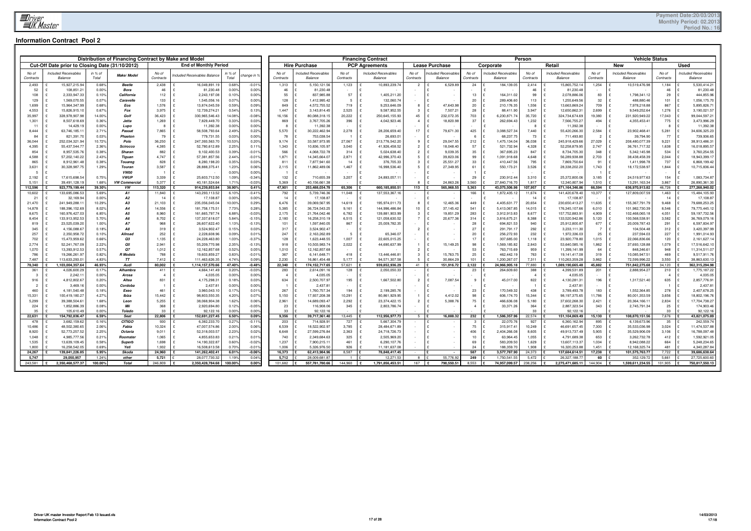|                         |                                                 |                   | Distribution of Financing Contract by Make and Model |                                 |                                |                                        |                       |                                        |                    | <b>Financing Contract</b>                            |                                  |                              |                    |                                        | Person                |                                                               |                    | <b>Vehicle Status</b>                  |                       |                                               |
|-------------------------|-------------------------------------------------|-------------------|------------------------------------------------------|---------------------------------|--------------------------------|----------------------------------------|-----------------------|----------------------------------------|--------------------|------------------------------------------------------|----------------------------------|------------------------------|--------------------|----------------------------------------|-----------------------|---------------------------------------------------------------|--------------------|----------------------------------------|-----------------------|-----------------------------------------------|
|                         | Cut-Off Date prior to Closing Date (31/10/2012) |                   |                                                      |                                 | <b>End of Monthly Period</b>   |                                        |                       | <b>Hire Purchase</b>                   |                    | <b>PCP Agreements</b>                                |                                  | <b>Lease Purchase</b>        |                    | Corporate                              |                       | Retail                                                        |                    | <b>New</b>                             |                       | <b>Used</b>                                   |
| No of<br>Contracts      | <b>Included Receivables</b><br>Balance          | in % of<br>Total  | Make/Model                                           | No of<br>Contracts              | ncluded Receivables Balance    | in % of<br>hange in 9<br>Total         | No of<br>Contracts    | <b>Included Receivables</b><br>Balance | No of<br>Contracts | <b>Included Receivables</b><br>Balance               | No of<br>Contracts               | cluded Receivable<br>Balance | No of<br>Contracts | <b>Included Receivables</b><br>Balance | No of<br>Contracts    | <b>Included Receivables</b><br>Balance                        | No of<br>Contracts | <b>Included Receivables</b><br>Balance | No of<br>Contracts    | <b>Included Receivables</b><br>Balance        |
| 2.493                   | 15,927,215.94                                   | 0.68%             | <b>Beetle</b>                                        | 2,438                           | 16,049,891.19                  | $-0.01%$<br>0.68%                      | 1,313                 | 5,150,121.56                           | 1,123              | 10,893,239.74                                        | $\overline{2}$                   | 6,529.8                      | 24                 | 184,139.05                             | 2.414                 | 15,865,752.1                                                  | 1,254              | 10,519,476.98                          | 1,184                 | 5,530,414.21                                  |
| 52                      | 108,851.21                                      | 0.00%             | Bora                                                 | 46                              | 81,230.48                      | 0.00%<br>0.00%                         | 46                    | 81,230.48                              |                    |                                                      |                                  |                              |                    |                                        | 46                    | 81,230.48                                                     |                    |                                        | 46                    | 81,230.48                                     |
| 108                     | 2,333,947.33                                    | 0.10%             | California                                           | 112                             | 2,243,197.08                   | 0.00%<br>0.10%                         | 55                    | 837,985.88                             | 57                 | $\mathbf{f}$<br>1,405,211.20                         |                                  |                              | 13                 | 164,311.02                             | 99                    | 2,078,886.06                                                  | 83                 | 1,798,341.12                           | 29                    | 444,855.96                                    |
| 129<br>1,699            | 1,569,070.55<br>15,964,347.99<br>£              | 0.07%<br>0.68%    | Caravelle<br>Eos                                     | 133<br>1,576                    | 1,545,056.16<br>13,874,045.59  | 0.00%<br>0.07%<br>0.59%<br>0.09%       | 128<br>849            | 1,412,995.42<br>4,572,755.52           | 5<br>719           | 132,060.74<br>∣£<br>9,253,646.09                     | $\mathbf{R}$                     | 47,643.98                    | 20<br>20           | 289,406.60<br>210,176.35               | 113<br>1,556          | 1,255,649.56<br>13,663,869.24                                 | 32<br>709          | 488,880.46<br>7,978,218.88             | 101<br>867            | 1,056,175.70<br>5,895,826.7<br>E              |
| 4,553                   | 15,826,915.10                                   | 0.67%             | Fox                                                  | 3,975                           | 12,739,274.21                  | 0.54%<br>0.13%                         | 1.447                 | 3,143,814.45                           | 2,525              | l £<br>9,587,952.55                                  | $\mathbf{3}$                     | 7,507.2                      | 28                 | 88,411.90                              | 3,947                 | 12,650,862.3                                                  | 2,699              | 9,549,252.64                           | 1,276                 | 3,190,021.57<br>£                             |
| 35,997                  | 328,978,907.98<br>£                             | 14.00%            | Golf                                                 | 36,423                          | 330,965,546.43                 | 14.08%<br>$-0.08%$                     | 16,156                | 80,088,318.15                          | 20,222             | £<br>250,645,155.93                                  | 45                               | 232,072.3                    | 703                | 6,230,871.74                           | 35,720                | 324,734,674.69                                                | 19,380             | 231,920,949.22                         | 17,043                | 99,044,597.2<br>$\mathbf{f}$                  |
| 1,301                   | 8,507,618.69                                    | 0.36%             | Jetta                                                | 1,269                           | 7,829,449.70                   | 0.03%<br>0.33%                         | 869                   | 3,767,705.26                           | 396                | $\mathbf{f}$<br>4,042,923.46                         | $\overline{a}$                   | 18,820.98                    | 37                 | 262,694.43                             | 1,232                 | 7,566,755.27                                                  | 494                | 4,355,453.4                            | 775                   | 3,473,996.29                                  |
| 11                      | 14,429.19                                       | 0.00%             | Lupo                                                 | 8                               | 11,392.38                      | 0.00%<br>0.00%                         | 8                     | 11,392.38                              |                    | $\mathbf{f}$                                         |                                  |                              |                    |                                        | $\mathbf{R}$          | 11,392.38                                                     |                    |                                        | 8                     | 11,392.38                                     |
| 8,444                   | 63,746,185.1                                    | 2.71%             | Passat                                               | 7,865                           | 58,508,793.64                  | 2.49%<br>0.22%                         | 5,570                 | 30,222,462.94                          | 2,278              | ∣£<br>28,206,659.40                                  | 17                               | 79,671.30                    | 425                | 3,088,527.34                           | 7,440                 | 55,420,266.30                                                 | 2,584              | 23,902,468.41                          | 5,281                 | 34,606,325.23<br>$\mathbf{f}$                 |
| 84                      | 821,391.70                                      | 0.03%             | Phaeton                                              | 79                              | 779,731.55                     | 0.03%<br>0.00%                         | 78                    | 753,038.54                             |                    | $\mathbf{f}$<br>26,693.01                            |                                  |                              | -6                 | 68,237.75                              | 73                    | 711,493.80                                                    | $\overline{2}$     | 39,794.90                              | 77                    | 739,936.6<br>$\mathbf{f}$                     |
| 36,044                  | 252,034,321.94                                  | 10.72%            | Polo                                                 | 36,250                          | 247,393,563.70                 | 10.53%<br>0.20%                        | 9,174                 | 33,587,973.95                          | 27,067             | 213,776,542.20<br>£<br>$\mathbf{\hat{E}}$            | 9                                | 29.047.55<br>£               | 212<br>57          | 1,475,134.04                           | 36,038                | 245,918,429.66                                                | 27,029             | 208,480,077.39                         | 9,221                 | 38,913,486.3                                  |
| 4,395<br>854            | 55,437,544.77<br>8,957,535.76                   | 2.36%<br>0.38%    | <b>Scirocco</b><br><b>Sharan</b>                     | 4,385<br>882                    | 52,780,612.89<br>9,102,400.53  | 2.25%<br>0.11%<br>0.39%<br>$-0.01%$    | 1,343<br>566          | 10,836,105.97<br>4,068,722.78          | 3,040<br>314       | 41,926,458.52<br>$\mathbf{f}$<br>5,024,638.40        | $\overline{2}$<br>$\overline{2}$ | 18,048.40<br>9,039.3         | 35                 | 521,732.94<br>367,695.23               | 4,328<br>847          | 52,258,879.95<br>8,734,705.30<br>∣ £                          | 2,747<br>348       | 36,761,717.32<br>5,342,145.98          | 1,638<br>534          | 16,018,895.57<br>3,760,254.55                 |
| 4,588                   | 57,202,140.22                                   | 2.43%             | <b>Tiguan</b>                                        | 4,747                           | 57,381,857.56                  | $-0.01%$<br>2.44%                      | 1,871                 | 14,345,664.07                          | 2,871              | 42,996,370.43<br>l £                                 | 5 <sup>5</sup>                   | 39,823.0                     | 99                 | 1,091,918.68                           | 4,648                 | 56,289,938.88                                                 | 2,703              | 38,438,458.39                          | 2,044                 | 18,943,399.1<br>$\mathbf{F}$                  |
| 865                     | 8,912,961.48                                    | 0.38%             | <b>Touareg</b>                                       | 828                             | 8,280,198.20                   | 0.35%<br>0.03%                         | 811                   | 7,877,941.60                           | 14                 | ç<br>376,705.33                                      | $\mathcal{R}$                    | 25,551.27                    | 33                 | 410,447.56                             | 795                   | 7,869,750.64                                                  | 91                 | 1,411,998.78                           | 737                   | 6,868,199.42<br>$\mathbf{f}$                  |
| 3,631                   | 30,328,987.75                                   | 1.29%             | Touran                                               | 3,587                           | 28,888,375.41                  | 1.23%<br>0.06%                         | 2,115                 | 11,862,489.06                          | 1,467              | £<br>16,998,536.40                                   |                                  | 27,349.95                    | 61                 | 550,173.21                             | 3,526                 | 28,338,202.20                                                 | 1,743              | 18,172,538.97                          | 1,844                 | 10,715,836.44                                 |
|                         |                                                 |                   | <b>VW00</b>                                          |                                 |                                | 0.00%<br>0.00%                         |                       |                                        |                    |                                                      |                                  |                              |                    |                                        |                       |                                                               |                    |                                        |                       |                                               |
| 2,192                   | 17,615,698.54                                   | 0.75%             | <b>VWUP</b>                                          | 3,339                           | 25,603,712.50                  | 1.09%<br>$-0.34%$                      | 132                   | 710,655.39                             | 3,207              | 24,893,057.11<br>£                                   |                                  |                              | 29                 | 230,912.44                             | 3,310                 | 25,372,800.06                                                 | 3,185              | 24,519,977.63                          | 154                   | 1,083,734.87                                  |
| 5,151                   | 39,491,128.1                                    | 1.68%             | <b>VW Commercia</b>                                  | 5,377                           | 40, 181, 524.64                | 1.71%<br>$-0.03%$                      | 5,369                 | 40,156,661.38                          |                    |                                                      |                                  | 24,863.2                     | 3,560              | 27,840,716.70                          | 1,817                 | 12,340,807.94                                                 | 1,510              | 13,291,163.34                          | 3,867                 | 26,890,361.30                                 |
| 112,596                 | 923,779,199.44                                  | 39.30%            | <b>VW</b>                                            | 113,320                         | 914,239,853.84                 | 38.90%<br>0.41%                        | 47,901                | 253.488.034.78                         | 65.306             | 660,185,850.51                                       | 113                              | 565,968.55                   | 5,363              | 43,075,506.98                          | 107,957               | 871,164,346.86                                                | 66.594             | 636,970,913.82                         | 46,726                | 277,268,940.02                                |
| 10,602<br>21            | 133,695,086.5                                   | 5.69%             | A1<br>A2                                             | 11,840<br>14                    | 143,293,113.52                 | $-0.41%$<br>6.10%<br>0.00%             | 792<br>14             | 5,739,746.36                           | 11,048             | 137,553,367.1                                        |                                  |                              | 166                | 1,872,435.12                           | 11,674<br>14          | 141,420,678.40<br>17,108.8                                    | 10,377             | 127,809,007.59                         | 1,463<br>14           | 15,484,105.93                                 |
| 21,470                  | 32,169.94<br>241,949,288.1                      | 0.00%<br>10.29%   | <b>A3</b>                                            | 21,103                          | 17,108.87<br>235,056,045.04    | 0.00%<br>0.29%<br>10.00%               | 6,476                 | 17,108.87<br>39,069,567.95             | 14,619             | $\mathbf{f}$<br>195,974,011.73                       | 8                                | 12,465.3                     | 449                | 4,405,631.77                           | 20,654                | 230,650,413.27                                                | 11,635             | 155,367,791.79                         | 9,468                 | 17,108.87<br>79,688,253.2                     |
| 14,878                  | 188,396,152.69                                  | 8.02%             | A4                                                   | 14,556                          | 181,758,175.51                 | 0.28%<br>7.73%                         | 5,385                 | 36,724,543.25                          | 9,161              | $\mathbf{f}$<br>144,996,486.84                       | 10                               | 37,145.42                    | 541                | 5,413,067.85                           | 14,015                | 176,345,107.66                                                | 6,010              | 101,982,730.39                         | 8,546                 | 79,775,445.12                                 |
| 8,675                   | £<br>160,976,427.03                             | 6.85%             | A5                                                   | 8,960                           | 161,665,797.74                 | $-0.03%$<br>6.88%                      | 2,175                 | 21,764,042.46                          | 6.782              | $\mathbf{f}$<br>139,881,903.99                       | $\mathcal{R}$                    | 19,851.29                    | 283                | 3,912,913.83                           | 8,677                 | 157,752,883.91                                                | 4,909              | 102,468,065.1                          | 4,051                 | 59,197,732.56<br>$\mathbf{f}$                 |
| 8,454                   | 133,913,952.53<br>£                             | 5.70%             | A6                                                   | 8,702                           | 137,337,618.07                 | 5.84%<br>$-0.15%$                      | 2,180                 | 16,258,310.19                          | 6,515              | $\mathbf{f}$<br>121,058,630.52                       |                                  | 20,677.36                    | 314                | 3,816,675.21                           | 8,388                 | 133,520,942.86<br>$\mathbf{F}$                                | 5,120              | 100,568,538.91                         | 3,582                 | 36,769,079.16<br>I P                          |
| 819                     | 23,525,039.20                                   | 1.00%             | <b>A7</b>                                            | 968                             | 26,607,622.40                  | 1.13%<br>$-0.13%$                      | 101                   | 1,597,840.05                           | 867                | $\mathbf{f}$<br>25,009,782.35                        |                                  |                              | 28                 | 694,821.53                             | 940                   | 25,912,800.87                                                 | 677                | 20,009,787.43                          | 291                   | 6,597,834.97                                  |
| 345                     | £<br>4,156,088.67                               | 0.18%             | <b>A8</b>                                            | 319                             | 3,524,902.47                   | 0.03%<br>0.15%                         | 317                   | 3,524,902.47                           |                    |                                                      | $\overline{2}$                   |                              | 27                 | 291,791.17                             | 292                   | 3,233,111.30                                                  | $\overline{7}$     | 104,504.48                             | 312                   | 3,420,397.99                                  |
| 257                     | $\mathbf{f}$<br>2,350,958.72                    | 0.10%             | Allroad                                              | 252                             | 2,228,608.96                   | 0.09%<br>0.01%                         | 247                   | 2,163,262.89                           | 5                  | l £<br>65,346.07                                     |                                  |                              | 20                 | 256,272.93                             | 232                   | 1,972,336.03                                                  | 25                 | 237,594.03                             | 227                   | 1,991,014.93<br>$\mathbf{f}$                  |
| 702<br>2,774            | £<br>15,473,959.62<br>52,241,767.09<br>£        | 0.66%<br>2.22%    | Q3<br>Q5                                             | 1,135<br>2.941                  | 24,228,463.80<br>55,209,770.98 | 1.03%<br>$-0.37%$<br>2.35%<br>$-0.13%$ | 128<br>918            | 1,623,448.55<br>10,503,983.74          | 1,007<br>2,022     | $\mathbf{f}$<br>22,605,015.25<br>E.<br>44,690,637.99 |                                  | 15,149.25                    | 17<br>98           | 307,685.00<br>1,569,185.82             | 1,118<br>2,843        | 23,920,778.80<br>$\mathbf{r}$<br>53,640,585.1<br>$\mathbf{F}$ | 1,015<br>1,862     | 22,066,836.66<br>37,693,128.88         | 120<br>1.079          | 2,161,627.14<br>17,516,642.10<br>$\mathbf{f}$ |
| 1,070                   | £<br>13,393,912.53                              | 0.57%             | Q7                                                   | 1,012                           | 12,162,857.68                  | 0.52%<br>0.05%                         | 1,010                 | 12,162,857.68                          |                    | $\mathbf{f}$                                         | $\overline{2}$                   |                              | 53                 | 763,715.69                             | 959                   | 11,399,141.99                                                 | 64                 | 848,346.61                             | 948                   | 11,314,511.07                                 |
| 786                     | £<br>19,266,261.97                              | 0.82%             | <b>R</b> Models                                      | 788                             | 19,603,859.27                  | $-0.01%$<br>0.83%                      | 367                   | 6,141,648.7                            | 418                | 13.446.446.81<br>Ι£                                  | $\mathbf{3}$                     | 15,763.7                     | 25                 | 462,442.19                             | 763                   | 19,141,417.08                                                 | 319                | 10,085,947.51                          | 469                   | 9,517,911.76                                  |
| 7,487                   | 113,633,293.0                                   | 4.83%             | T                                                    | 7,412                           | 111,463,626.35                 | 4.74%<br>0.09%                         | 2,230                 | 16,861,454.48                          | 5,177              | 94,571,307.58                                        | $5 -$                            | 30,864.2                     | 101                | 1,200,267.07                           | 7,311                 | 110,263,359.28                                                | 3,862              | 72,599,996.22                          | 3,550                 | 38,863,630.1                                  |
| 78.340                  | 1.103.004.357.64                                | 46.93%            | Audi                                                 | 80,002                          | 1,114,157,570.66               | 47.40%<br>$-0.48%$                     | 22.340                | 174, 152, 717.65                       | 57.621             | 939.852.936.29                                       | 41                               | 151,916.72                   | $2,122$   £        | 24,966,905.18                          | 77,880                | 1,089,190,665.48                                              | 45.882             | 751,842,275.68                         | 34.120                | 362,315,294.98                                |
| 361                     | 4.026.600.2                                     | 0.17 <sup>o</sup> | Alhambra                                             | 411                             | 4,664,141.49                   | $-0.03%$<br>0.20%                      | 283                   | 2,614,091.1                            | 128                | 2.050.050.33                                         |                                  |                              | 23                 | 264,609.60                             | 388                   | 4.399.531.89                                                  | 201                | 2,888,954.27                           | 210                   | 1,775,187.22                                  |
| $\overline{\mathbf{3}}$ | 2,242.1                                         | 0.00%             | Arosa                                                | $\overline{4}$                  | 4,035.05                       | 0.00%<br>0.00%                         | $\overline{4}$        | 4,035.05                               |                    |                                                      |                                  |                              |                    |                                        | $\overline{4}$        | 4,035.0                                                       |                    |                                        | $\overline{4}$        | 4,035.0                                       |
| 916<br>$\overline{2}$   | 4,812,802.67                                    | 0.20%             | Altea<br>Cordoba                                     | 831<br>$\overline{\phantom{0}}$ | 4,175,298.31                   | 0.03%<br>0.18%<br>0.00%                | 634<br>$\overline{1}$ | 2,500,707.97                           | 195                | 1,667,502.80<br>£<br>١£                              | $\overline{2}$                   | 7,087.54                     | 9                  | 45,017.00                              | 822<br>$\overline{1}$ | 4,130,281.31<br>2,437.8                                       | 196                | 1,317,521.40                           | 635<br>$\overline{1}$ | 2,857,776.9<br>2,437.8<br>$\mathbf{c}$        |
| 460                     | 3,469.16<br>4,181,540.48                        | 0.00%<br>0.18%    | Exeo                                                 | 461                             | 2,437.81<br>3,960,043.10       | 0.00%<br>0.01%<br>0.17%                | 267                   | 2,437.81<br>1,760,757.34               | 194                | $\mathbf{f}$<br>2,199,285.76                         |                                  |                              | 23                 | 170,549.32                             | 438                   | 3,789,493.78                                                  | 183                | 1,552,364.85                           | 278                   | 2,407,678.25<br>$\mathbf{f}$                  |
| 15,331                  | $\mathbf{f}$<br>100,419,180.27                  | 4.27%             | Ibiza                                                | 15,442                          | 98,803,550.35                  | 4.20%<br>0.07%                         | 5,150                 | 17,937,208.38                          | 10,291             | $\mathbf{f}$<br>80,861,929.95                        |                                  | 4,412.02<br>£                | 98                 | 606,174.70                             | 15,344                | 98,197,375.65<br>$\mathbf{r}$                                 | 11,786             | 80,001,353.59                          | 3,656                 | 18,802,196.76<br>$\mathbf{f}$                 |
| 5,299                   | 39,388,504.61                                   | 1.68%             | Leon                                                 | 5,255                           | 38,068,904.38                  | 1.62%<br>0.06%                         | 2,961                 | 14,689,093.47                          | 2,292              | $\mathbf{f}$<br>23,374,422.15                        | $\overline{2}$                   | 5,388.7                      | 75                 | 466,636.08                             | 5,180                 | 37,602,268.30                                                 | 2,421              | 20,364,166.1                           | 2,834                 | 17,704,738.27                                 |
| 224                     | 1,852,886.39<br>£                               | 0.08%             | Mii                                                  | 368                             | 2,920,694.80                   | $-0.05%$<br>0.12%                      | 23                    | 116,908.06                             | 345                | 2,803,786.74<br>$\mathbf{f}$                         |                                  |                              | $\overline{4}$     | 33,371.26                              | 364                   | 2,887,323.54<br>Ι£                                            | 343                | 2,745,791.34                           | 25                    | 174,903.46                                    |
| 35                      | 105.610.49                                      | 0.00%             | Toledo                                               | 33                              | 92,122.16                      | 0.00%<br>0.00%                         | 33                    | 92,122.16                              |                    |                                                      |                                  |                              |                    |                                        | 33                    | 92.122.1                                                      |                    |                                        | 33                    | 92,122.16                                     |
| 22,631                  | 154,792,836.47                                  | 6.59%             | Seat                                                 | 22,806                          | 152,691,227.45                 | 0.09%<br>6.50%                         | 9,356                 | 39,717,361.40                          | 13,445             | 112,956,977.73                                       | $5^{\circ}$                      | 16,888.32                    | 232 E              | 1,586,357.96                           | 22,574                | 151,104,869.49                                                | 15,130             | 108,870,151.56                         | 7,676                 | 43,821,075.89                                 |
| 478                     | 3.682.159.62                                    | 0.16%             | <b>CITIGO</b>                                        | 930                             | 6,382,233.70                   | 0.27%<br>$-0.11%$                      | 203                   | 714,928.9                              | 727                | 5.667.304.79                                         |                                  |                              | $\mathbf{3}$       | 22,070.76                              | 927                   | 6,360,162.94                                                  | 895                | 6,139,673.96                           | 35                    | 242,559.74                                    |
| 10,486<br>8,920         | 48,502,380.65<br>52,773,257.52                  | 2.06%<br>2.25%    | Fabia<br>Octavia                                     | 10,324<br>9,011                 | 47,007,574.86<br>52,318,003.57 | 0.06%<br>2.00%<br>2.23%<br>0.02%       | 6,539<br>6,648        | 18,522,902.97<br>27,599,276.84         | 3,785<br>2,363     | 28,484,671.89<br>$\mathbf{f}$<br>24,718,726.73       | $\sim$                           |                              | 75<br>406          | 315,917.41<br>2,404,266.08             | 10,249<br>8,605       | 46,691,657.45<br>49,913,737.49<br>Ι£                          | 7,300<br>5,905     | 35,533,036.98<br>35,529,906.09         | 3,024<br>3,106        | 11,474,537.88<br>16,788,097.48                |
| 1,048                   | 4,985,777.56                                    | 0.21%             | Roomster                                             | 1,065                           | 4,855,653.83                   | 0.21%<br>0.01%                         | 740                   | 2,349,684.63                           | 325                | E<br>2,505,969.20                                    | $\sim$                           |                              | 10                 | 63,964.45                              | 1,055                 | 4,791,689.38                                                  | 653                | 3,262,732.78                           | 412                   | 1,592,921.05<br>$\mathbf{f}$                  |
| 1,535                   | 13,639,109.45                                   | 0.58%             | <b>Superb</b>                                        | 1,698                           | 14,190,322.87                  | 0.60%<br>$-0.02%$                      | 1,237                 | 7,900,215.1                            | 461                | l £<br>6,290,107.76                                  |                                  |                              | 69                 | 583,209.50                             | 1,629                 | 13,607,113.37                                                 | 1,034              | 8,942,088.22                           | 664                   | 5,248,234.65<br>£                             |
| 1.800                   | 16,258,542.05                                   | 0.69%             | Yeti                                                 | 1.932                           | 16.508.613.58                  | 0.70%<br>$-0.01$ %                     | 1.006                 | 5.326.976.50                           | 926                | 11.181.637.08                                        |                                  |                              | 24                 | 188.359.70                             | 1.908                 | 16,320,253.88                                                 | 1.451              | 12.168.325.74                          | 481                   | 4,340,287.84                                  |
| 24.267                  | 139,841,226.85                                  | 5.95%             | Skoda                                                | 24,960                          | 141,262,402.41                 | 6.01%<br>$-0.06%$                      | 16,373                | 62.413.984.96                          | 8.587              | 78.848.417.45                                        |                                  |                              | 587                | 3,577,787.90                           | 24,373                | 137,684,614.51                                                | 17,238             | 101,575,763.77                         | 7,722                 | 39,686,638.64                                 |
| 5.747                   | 29.050.957                                      | 1.24%             | other                                                | 5,721                           | 28.077.730.32                  | 0.04%<br>1.19%                         | 5.712                 | 28.009.681.87                          | $\overline{1}$     | 12.271.5                                             | 8                                | 55,776.9                     | 249                | 1.750.541.55                           | 5,472                 | 26.327.188.7                                                  | 60                 | 352.129.7                              | 5,661                 | 27,725,600.60                                 |
| 243,581                 | 2,350,468,577.37<br>E                           | 100.00%           | <b>Total</b>                                         | 246,809 £                       | 2,350,428,784.68               | 0.00%<br>100.00%                       | 101,682               | 557,781,780.66                         | 144,960 E          | 1,791,856,453.51                                     | 167                              | 790,550.51                   | 8,553              | 74,957,099.57                          | 238,256 £             | 2,275,471,685.11                                              | 144,904            | 1,599,611,234.55                       | 101,905               | 750,817,550.13                                |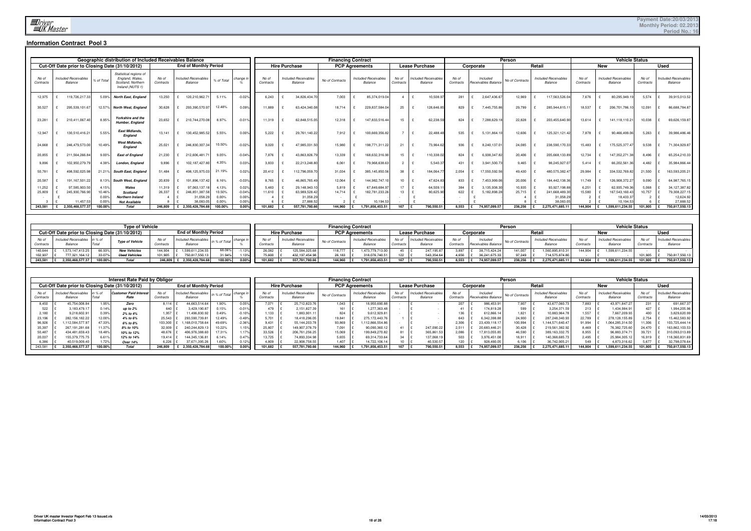|                    |                                        |                  | Geographic distribution of Included Receivables Balance                             |                    |                                        |                  |                |                    |                                        |                 | <b>Financing Contract</b>              |                    |                                |                    |                                 | Person         |                                        |                    | <b>Vehicle Status</b>                  |                    |                                        |
|--------------------|----------------------------------------|------------------|-------------------------------------------------------------------------------------|--------------------|----------------------------------------|------------------|----------------|--------------------|----------------------------------------|-----------------|----------------------------------------|--------------------|--------------------------------|--------------------|---------------------------------|----------------|----------------------------------------|--------------------|----------------------------------------|--------------------|----------------------------------------|
|                    |                                        |                  | Cut-Off Date prior to Closing Date (31/10/2012)                                     |                    | <b>End of Monthly Period</b>           |                  |                |                    | <b>Hire Purchase</b>                   |                 | <b>PCP Agreements</b>                  |                    | <b>Lease Purchase</b>          |                    | Corporate                       |                | Retail                                 |                    | New                                    |                    | <b>Used</b>                            |
| No of<br>Contracts | <b>Included Receivables</b><br>Balance | % of Tota        | Statistical regions of<br>England, Wales,<br>Scotland, Northern<br>Ireland (NUTS 1) | No of<br>Contracts | <b>Included Receivables</b><br>Balance | % of Total       | change i       | No oi<br>Contracts | <b>Included Receivables</b><br>Balance | No of Contracts | <b>Included Receivables</b><br>Balance | No of<br>Contracts | ncluded Receivables<br>Balance | No of<br>Contracts | Included<br>Receivables Balance | No of Contract | <b>Included Receivables</b><br>Balance | No of<br>Contracts | <b>Included Receivables</b><br>Balance | No of<br>Contracts | <b>Included Receivables</b><br>Balance |
| 12,975             | 119,726,217.33                         | 5.09%            | <b>North East, England</b>                                                          | 13,250             | 120,210,962.                           | 5.11%            | $-0.02%$       | 6.243              | 34,826,434.7                           | 7.003           | 85,374,019.04                          |                    | 10,508.9                       | 281                | 2,647,436.                      | 12,969         | 117,563,526.04                         | 7,676              | 80,295,949.                            | 5,574              | 39,915,013.52                          |
| 30,527             | 295.539.101.6                          |                  | 12.57% North West, England                                                          | 30.628             | 293.390.570.9                          | 12.48%           | 0.09%          | 11.889             | 63.424.340.08                          | 18.714          | 229,837,584.04                         | 25                 | 128,646.8                      | 829                | 7,445,755.86                    | 29.799         | 285,944,815.                           | 18,537             | 206.701.786.                           | 12,091             | 86,688,784.87                          |
| 23,281             | 210,411,067.40                         | 8.95%            | Yorkshire and the<br>Humber, England                                                | 23.652             | 210,744,270.08                         | 8.97%            | $-0.01%$       | 11.319             | 62,848,515.05                          | 12,318          | 147,833,516.44                         | 15                 | 62,238.5                       | 824                | 7,288,629.18                    | 22,828         | 203,455,640.90                         | 13,614             | 141,118,110.21                         | 10,038             | 69,626,159.87                          |
| 12,947             | 130,510,416.21                         | 5.55%            | <b>East Midlands</b><br><b>England</b>                                              | 13.141             | 130,452,985.5                          | 5.55%            | 0.00%          | 5,222              | 29,761,140.22                          | 7.912           | 100,669,356.82                         |                    | 22,488.                        | 535                | 5,131,864.10                    | 12,606         | 125,321,121.42                         | 7,878              | 90,466,499.06                          | 5,263              | 39,986,486.46                          |
| 24,668             | 246,479,573.00                         | 10.49%           | <b>West Midlands.</b><br><b>England</b>                                             | 25.021             | 246,830,307.34                         | 10.50%           | $-0.02%$       | 9,020              | 47,985,031.50                          | 15,980          | 198,771,311.22                         | 21                 | 73,964.62                      | 936                | 8,240,137.0                     | 24,085         | 238,590,170.33                         | 15,483             | 175,525,377.47                         | 9,538              | 71,304,929.87                          |
| 20,855             | 211,564,266.84                         | 9.00%            | <b>East of England</b>                                                              | 21,230             | 212,606,481.                           | 9.05%            | $-0.04%$       | 7.876              | 43,863,826.7                           | 13,339          | 168,632,316.90                         | 15                 | 110,338.02                     | 824                | 6,938,347.82                    | 20,406         | 205,668,133.89                         | 12,734             | 147,352,271.38                         | 8,496              | 65,254,210.33                          |
| 9,896              | 102,950,279.7                          | 4.38%            | London, England                                                                     | 9.896              | 102,187,427.80                         | 4.35%            | 0.03%          | 3,833              | 22,213,248.80                          | 6.061           | 79.968.638.63                          | $\overline{2}$     | 5,540.3                        | 431                | 3,941,500.73                    | 9,465          | 98,245,927.0                           | 5.414              | 66,202,561.3                           | 4,482              | 35,984,866.44                          |
| 50,781             | 498.592.025.98                         | 21.21%           | South East, England                                                                 | 51.484             | 498.125.975.0                          | 21.19%           | 0.02%          | 20.412             | 112,796,059.7                          | 31.034          | 385, 145, 850.56                       | 38                 | 184,064.7                      | 2,054              | 17,550,592.56                   | 49,430         | 480,575,382.47                         | 29,984             | 334,532,769.82                         | 21,500             | 163,593,205.21                         |
| 20,587             | 191, 167, 501.22                       |                  | 8.13% South West, England                                                           | 20,839             | 191,896,137.4                          | 8.16%            | $-0.03%$       | 8.765              | 46,865,765.49                          | 12,064          | 144,982,747.10                         | 10 <sup>10</sup>   | 47,624.83                      | 833                | 7,453,999.06                    | 20,006         | 184,442,138.36                         | 11.749             | 126,908,372.27                         | 9,090              | 64,987,765.15                          |
| 11,252             | 97,585,903.5                           | 4.15%            | Wales                                                                               | 11.319             | 97.063.137.                            | 4.13%            | 0.02%          | 5.483              | 29,148,943.1                           | 5.819           | 67.849.684.97                          | 17                 | 64.509.1                       | 384                | 3.135.938.30                    | 10,935         | 93.927.198.88                          | 6,251              | 62.935.749.36                          | 5,068              | 34,127,387.82                          |
| 25,809             | 245,930,766.90                         | 10.46%           | Scotland                                                                            | 26.337             | 246.851.387.5                          | 10.50%           | $-0.04%$       | 11.610             | 63.989.528.42                          | 14.714          | 182,781,233.26                         | 13                 | 80,625.90                      | 622                | 5,182,898.28                    | 25,715         | 241,668,489.30                         | 15,580             | 167.543.160.4                          | 10,757             | 79,308,227.15                          |
|                    |                                        | 0.009            | <b>Northern Ireland</b>                                                             |                    | 31,058.2.                              | 0.00%            | 0.00%          |                    | 31.058.29                              |                 |                                        |                    |                                |                    |                                 |                | 31.058.29                              |                    | 18.433.3                               |                    | 12,624.92                              |
| 243,581            | 11.457.53<br>2,350,468,577.37          | 0.00%<br>100.00% | <b>Not Available</b><br>Total                                                       | 246,809            | 38,083.0<br>£ 2,350,428,784.68         | 0.00%<br>100.00% | 0.00%<br>0.00% | 101,682            | 27,888.5<br>557,781,780.66             | 144,960         | 10.194.53<br>1,791,856,453.51          | 167                | 790,550.51                     | 8,553              | 74,957,099.57                   | 238,256        | 38.083.0<br>2,275,471,685.1            | 144,904            | 10.194.5<br>1,599,611,234.55           | 101,905            | 27.888.52<br>750,817,550.13            |
|                    |                                        |                  |                                                                                     |                    |                                        |                  |                |                    |                                        |                 |                                        |                    |                                |                    |                                 |                |                                        |                    |                                        |                    |                                        |

|                    |                                                 |         | <b>Type of Vehicle</b> |                   |                                        |                      |          |         |                                        |                 | <b>Financing Contract</b>              |                     |                              |                   |                                 | Persor          |                              |                    | <b>Vehicle Status</b>                  |                    |                                        |
|--------------------|-------------------------------------------------|---------|------------------------|-------------------|----------------------------------------|----------------------|----------|---------|----------------------------------------|-----------------|----------------------------------------|---------------------|------------------------------|-------------------|---------------------------------|-----------------|------------------------------|--------------------|----------------------------------------|--------------------|----------------------------------------|
|                    | Cut-Off Date prior to Closing Date (31/10/2012) |         |                        |                   | <b>End of Monthly Period</b>           |                      |          |         | <b>Hire Purchase</b>                   |                 | <b>PCP Agreements</b>                  |                     | Lease Purchase               |                   | Corporate                       |                 | Retail                       |                    | New                                    |                    | <b>Used</b>                            |
| No of<br>Contracts | Included Receivables in % of<br>Balance         | Total   | <b>Type of Vehicle</b> | No o.<br>Contract | <b>Included Receivables</b><br>Balance | in % of Total Change |          | No c    | <b>Included Receivables</b><br>Balance | No of Contracts | <b>Included Receivables</b><br>Balance | $N_{0}$<br>Contract | Included Receivab<br>Balance | No of<br>Contract | Included<br>Receivables Balance | No of Contracts | Included Receiva.<br>Balance | No of<br>Contracts | <b>Included Receivables</b><br>Balance | No of<br>Contracts | <b>Included Receivables</b><br>Balance |
| 140,644            | 1.573.147.413.25                                | 66.93   | <b>New Vehicles</b>    | 144.904           | 1.599.611.234.5                        | 68.06%               |          | 26.089  | 125.584.325.68                         | 118 777         | 1.473.779.713.00                       |                     | 247.195                      | 3.897             | <sup>2</sup> 8,715,424.24       | 141,007         | 1.560.895.810.31             | 144.904            | 1.599.611.234.55                       |                    |                                        |
| 102,937            | 777.321.164.12                                  | 33.07   | <b>Used Vehicles</b>   | 101,905           | 750,817,550.13                         | 31.94%               | 1.13%    | 75,600  | 432,197,454.98                         | 26.183          | 318,076,740.51                         |                     | 543,354.64                   |                   | 36,241,675.33                   |                 | 714,575,874.80               |                    |                                        | 101,905            | 750,817,550.13                         |
| 243.58             | 2,350,468,577.37                                | 100.00% | <b>Total</b>           | 246.809           | 2,350,428,784.6                        | 100.00%              | $0.00\%$ | 101.682 | 557.781.780.66                         | 144,960         | .791.856.453.51                        |                     | 790,550.51                   | 8.553             | 74,957,099.5                    | 238,256         | 2.275.471.685.11             | 144,904            | 1,599,611,234.55                       | 101.905            | 750,817,550.13                         |

|                    |                                                 |         | Interest Rate Paid by Obligor |                    |                                        |              |          |           |                                        |                 | <b>Financing Contract</b>                     |                  |                                 |                    |                                | Person          |                                       |                    | <b>Vehicle Status</b>                  |                    |                                        |
|--------------------|-------------------------------------------------|---------|-------------------------------|--------------------|----------------------------------------|--------------|----------|-----------|----------------------------------------|-----------------|-----------------------------------------------|------------------|---------------------------------|--------------------|--------------------------------|-----------------|---------------------------------------|--------------------|----------------------------------------|--------------------|----------------------------------------|
|                    | Cut-Off Date prior to Closing Date (31/10/2012) |         |                               |                    | <b>End of Monthly Period</b>           |              |          |           | <b>Hire Purchase</b>                   |                 | <b>PCP Agreements</b>                         |                  | <b>Lease Purchase</b>           |                    | Corporate                      |                 | Retail                                |                    | <b>New</b>                             |                    | Used                                   |
| No c'<br>Contracts | Included Receivables<br>Balance                 |         | Customer Paid Interes<br>Rate | No of<br>Contracts | <b>Included Receivables</b><br>Balance | n % of Total | :hange   | Contracts | <b>Included Receivables</b><br>Balance | No of Contracts | <b>Included Receivables</b><br><i>Balance</i> | No of<br>Contrac | Included Receivables<br>Balance | No of<br>Contract. | Included<br>Receivables Balanc | No of Contracts | <b>Included Receivable</b><br>Balance | No of<br>Contracts | <b>Included Receivables</b><br>Balance | No of<br>Contracts | <b>Included Receivables</b><br>Balance |
| 8.450              | 45,754,008.84                                   | 1.95%   | Zero                          | 8.114              | 44.663.514.64                          |              | 0.05%    | 7.071     | 25.712.823.76                          | 1.043           | 18,950,690.88                                 |                  |                                 | 207                | 986,453.9                      | 7,907           | 43,677,060.7                          | .883               | 43,971,847.27                          |                    | 691,667.37                             |
| 522                | 3,183,479.1                                     | 0.14%   | up to $2%$                    | 640 I              | 3,429,190.8                            |              | $-0.01%$ | 479       | 2,151,827.39                           | 161             | 1,277,363.48                                  |                  |                                 |                    | 174,819.28                     | 599             | 3,254,371.59                          |                    | 1,434,984.9                            | 427                | 1,994,205.96                           |
| 2.180              | 9.218.602.91                                    | 0.399   | 2% to 4%                      | 1.957              | 11.496.830.9                           |              | $-0.10%$ | ,133      | 1,883,901.11                           | 824             | 9.612.929.8                                   |                  |                                 | 136                | 612,866.14                     | 1,821           | 10,883,964.7                          | .557               | 7,667,209.93                           | 400                | 3,829,620.99                           |
| 23,196             | 282.156.182.22                                  | 12.00%  | 4% to 6%                      | 25,543             | 293,590,739.8                          | 12.49%       | $-0.49%$ | ,701      | 18,418,296.05                          | 19,841          | 275.172.443.7                                 |                  |                                 | 643                | 6,342,398.88                   | 24,900          | 287.248.340.93                        | 22.789             | 278,128,155.89                         | 2.754              | 15,462,583.92                          |
| 96,926             | 112.584.577.9                                   | 47.33%  | 6% to 8%                      | 103.300            | 168.010.758.64                         |              | $-2.369$ | .431      | 55,144,203.78                          | 93,869          | 112,866,554.86                                |                  |                                 | 2,306              | 23,439,118.17                  | 100,994         | 1.144.571.640.47                      | 91.994             | 064,285,314.50                         | 11,306             | 103,725,444.14                         |
| 35,397             | 267, 191, 281. 68                               | 11.379  | 8% to 10%                     | 32,939             | 240.244.829.1                          | 10.22%       | 1.15%    | 25,807    | 149,907,378.79                         | 7,091           | 90,090,360.1                                  |                  | 247,090.22                      | 2,511              | 20,683,446.2                   | 30,428          | 219,561,382.92                        | 8.469              | 6,382,725.60                           | 24.470             | 163,862,103.53                         |
| 50,487             | 434.481.659.43                                  | 18.48%  | 10% to 12%                    | 48,676             | 406,976,388.6                          |              | 1.17%    | 33,526    | 206,761,256.25                         | 15,069          | 199,849,270.82                                |                  | 365,861.5                       | 2,086              | 17,813,055.85                  | 46,590          | 389,163,332.7                         | 3.955              | 96,883,374.7                           | 39,721             | 310,093,013.89                         |
| 20,03              | 155.379.775.75                                  | 6.61    | 12% to 14%                    | 19.414             | 144.345.136.8                          |              | 0.47%    | 13,725    | 74.893.334.98                          | 5,655           | 69.314.733.64                                 |                  | 137.068.1                       | 503                | 3,976,451.08                   | 18,911          | 140.368.685.7                         | 2.495              | 25.984.305.12                          | 16,919             | 118,360,831.69                         |
| 6.386              | 40.519.009.40                                   |         | <b>Over 14%</b>               | 6.226              | 37,671,395.2                           |              |          | 4.809     | 22.908.758.55                          | 1.407           | 14.722.106.1                                  |                  | 40.530.5                        |                    | 928.490.0                      | 6.106           | 36.742.905.21                         |                    | 4.873.316.62                           | 5.677              | 32,798,078.64                          |
| 243,581            | 2.350.468.577.37                                | 100.00% | <b>Total</b>                  | 246.809            | 2.350.428.784.68                       | 100.00%      |          | 101.682   | 557,781,780.66                         | 144.960         | 791,856,453.51                                | 167              | 790,550.51                      | 8.553              | 74.957.099.5                   | 238.256         | 2.275.471.685.11                      | 144.904            |                                        | 101.905            | 750,817,550.13                         |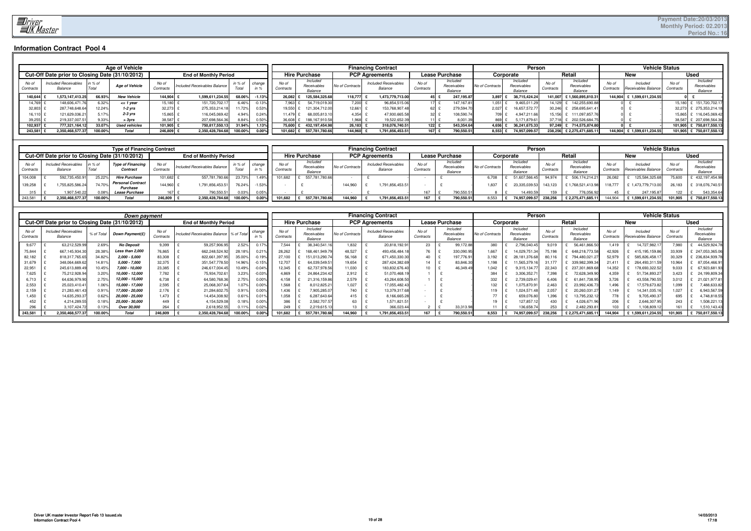

|                    |                                                 |                    | <b>Age of Vehicle</b> |                    |                              |                         |          |                    |                                    |                 | <b>Financing Contract</b>              |                    |        |                                    |                 | <b>Person</b>                      |                    |                                    |                   | <b>Vehicle Status</b>           |                    |                                    |
|--------------------|-------------------------------------------------|--------------------|-----------------------|--------------------|------------------------------|-------------------------|----------|--------------------|------------------------------------|-----------------|----------------------------------------|--------------------|--------|------------------------------------|-----------------|------------------------------------|--------------------|------------------------------------|-------------------|---------------------------------|--------------------|------------------------------------|
|                    | Cut-Off Date prior to Closing Date (31/10/2012) |                    |                       |                    | <b>End of Monthly Period</b> |                         |          |                    | <b>Hire Purchase</b>               |                 | <b>PCP Agreements</b>                  |                    |        | <b>Lease Purchase</b>              |                 | Corporate                          |                    | Retail                             |                   | New                             |                    | <b>Used</b>                        |
| No of<br>Contracts | <b>Included Receivables</b><br>Balance          | in $%$ of<br>Total | <b>Age of Vehicle</b> | No of<br>Contracts | Included Receivables Balance | in % of change<br>Total |          | No of<br>Contracts | Included<br>Receivables<br>Balance | No of Contracts | <b>Included Receivables</b><br>Balance | No of<br>Contracts |        | Included<br>Receivables<br>Balance | No of Contract: | Included<br>Receivables<br>Balance | No of<br>Contracts | Included<br>Receivables<br>Balance | No o<br>Contracts | Included<br>Receivables Balance | No of<br>Contracts | Included<br>Receivables<br>Balance |
| 140,644            | 1.573.147.413.25                                | 66.93%             | <b>New Vehicle</b>    | 144,904            | 1.599.611.234.55             | 68.06%                  | $-1.13%$ | 26.082             | 125.584.325.68                     | 118,777         | 1.473.779.713.00                       |                    | 45 I £ | 247,195.87                         | 3.897           | 38.715.424.24                      | 141.007            | £1.560.895.810.31                  | 144.904           | £1,599,611,234.55               |                    |                                    |
| 14,769             | 148,606,471.                                    | 6.32%              | $\leq$ 1 year         | 15,180             | 151,720,702.1                |                         |          | $-963$             | 54,719,019.3                       | 7,200           | 96,854,515.06                          |                    |        | 147, 167.81                        | 1,051           | 9,465,011.29                       | 14.129             | 142,255,690.8                      |                   |                                 | 15.180             | 151,720,702.1                      |
| 32.803             | 287.748.648.64                                  | 12.24%             | $1-2$ yrs             | 32.273             | 275,353,214.1                |                         | 0.53%    | 19.550             | 121,304,712.00                     | 12,661          | 153,768,907.48                         | 62                 |        | 279,594.7                          | 2.027           | 16,657,572.77                      | 30.24              | 258.695.641.4                      |                   |                                 | 32.273             | 275.353.214.1                      |
| 16.110             | 121.629.036.21                                  | 5.17%              | $2-3$ vrs             | 15.865             | 116,045,069.42               | 4.94%                   | 0.24%    | 11.479             | 68.005.813.10                      | 4.354           | 47,930,665.58                          | 32                 |        | 108,590.7                          | 709             | 4.947.211.66                       | 15.156             | 111,097,857.7                      |                   |                                 | 15.865             | 116.045.069.4                      |
| 39,255             | 219,337,007.51                                  | 9.33%              | > 3vrs                | 38,587             | 207,698,564.36               | 8.84%                   | ა.50%I   | 36.608             | 188, 167, 910.58                   | 1,968           | 19,522,652.39                          |                    |        | 8,001.3                            |                 | 5,171,879.61                       |                    | 202,526,684.75                     |                   |                                 | 38,587             | 207,698,564.36                     |
| 102,937            | 777,321,164.12                                  | 33.07%             | <b>Used vehicles</b>  | 101,905            | 750,817,550.1                | 31.94%                  | .13%     | 75.600             | 432.197.454.98                     | 26,183          | 318.076.740.5                          | $122 \frac{1}{2}$  |        | 543,354.64                         | 4.656           | 36.241.675.33                      | 97.249             | 714.575.874.80                     |                   |                                 | 101.905            | 750.817.550.1                      |
| 243,581            | 2,350,468,577.37                                | 100.00%            | Total                 | 246,809            | 2,350,428,784.68             | 100.00%                 | 0.00%    | 101.682 £          | 557,781,780.66                     | 144,960         | 1,791,856,453.51                       | 167 £              |        | 790,550.51                         | 8,553           | 74,957,099.57                      | 238.256            | £2,275,471,685.1                   | 144,904           | £ 1,599,611,234.55              | 101,905            | 750,817,550.1                      |

|                    |                                                 |                  | <b>Type of Financing Contract</b>    |                    |                              |            |        |                    |                                   |                 | <b>Financing Contract</b>              |                    |                                    |             | Persor                             |                    |                                    |           |                                 | <b>Vehicle Status</b> |                                    |
|--------------------|-------------------------------------------------|------------------|--------------------------------------|--------------------|------------------------------|------------|--------|--------------------|-----------------------------------|-----------------|----------------------------------------|--------------------|------------------------------------|-------------|------------------------------------|--------------------|------------------------------------|-----------|---------------------------------|-----------------------|------------------------------------|
|                    | Cut-Off Date prior to Closing Date (31/10/2012) |                  |                                      |                    | <b>End of Monthly Period</b> |            |        |                    | <b>Hire Purchase</b>              |                 | <b>PCP Agreements</b>                  |                    | <b>Lease Purchase</b>              |             | Corporate                          |                    | Retai                              |           |                                 |                       | <b>Used</b>                        |
| No of<br>Contracts | Included Receivables<br>Balance                 | in % of<br>Total | <b>Type of Financing</b><br>Contract | No of<br>Contracts | Included Receivables Balance | in % of    | change | No of<br>Contracts | Included<br>Receivable<br>Balance | No of Contract. | <b>Included Receivables</b><br>Balance | No of<br>Contracts | Included<br>Receivables<br>Balance | of Contract | Included<br>Receivables<br>Balance | No of<br>Contracts | Included<br>Receivables<br>Balance | Contracts | Included<br>Receivables Balance | No of<br>Contracts    | Included<br>Receivables<br>Balance |
| 104,008            | 592.735.450.91                                  | 25.22%           | <b>Hire Purchase</b>                 | 101.682            | 557,781,780.6                | 23.73%     |        | 101,682            | 557.781.780.66                    |                 |                                        |                    |                                    | 6,708       | 51,607,566.45                      | 94,974             | 506.174.214.21                     | 26.082    | 125.584.325.68                  | 75,600                | 432,197,454.98                     |
| 139,258            | ,755,825,586.24                                 | 74.70%           | Personal Contract<br>Purchase        | 144.960            | 1,791,856,453.51             | 76.24%     |        |                    |                                   | 144,960         | ,791,856,453.51                        |                    |                                    | ,837        | 23,335,039.5                       | 143,123            | £1,768,521,413.98                  | 18,777    | £ 1,473,779,713.00              | 26.183                | 318,076,740.51                     |
|                    | 1,907,540.22                                    |                  | <b>Lease Purchase</b>                |                    | 790,550.51                   | 0.03%      |        |                    |                                   |                 |                                        |                    | 790,550.                           |             | 14,493.59                          |                    | 776,056.92                         |           | 247,195.87                      | 122                   | 543,354.64                         |
| 243,581            | 2,350,468,577.37                                | 100.00%          | <b>Total</b>                         | 246,809            | 2,350,428,784.68             | $100.00$ % |        | 101,682            | 557,781,780.6                     | 144,960         | 1,791,856,453.51                       |                    | 790,550.51                         | 8,553       | 74.957.099.57                      | 238,256            | £2,275,471,685.1                   | 144.904   | £ 1,599,611,234.55              | 101.905               | 750,817,550.13                     |

|                   |                                                 |              | Down payment      |                    |                              |                |          |                    |                                    |                 | <b>Financing Contract</b>              |                    |                                    |                | Persor                             |                    |                                    |                    | <b>Vehicle Status</b>           |                    |                                    |
|-------------------|-------------------------------------------------|--------------|-------------------|--------------------|------------------------------|----------------|----------|--------------------|------------------------------------|-----------------|----------------------------------------|--------------------|------------------------------------|----------------|------------------------------------|--------------------|------------------------------------|--------------------|---------------------------------|--------------------|------------------------------------|
|                   | Cut-Off Date prior to Closing Date (31/10/2012) |              |                   |                    | <b>End of Monthly Period</b> |                |          |                    | <b>Hire Purchase</b>               |                 | <b>PCP Agreements</b>                  |                    | Lease Purchase                     |                | Corporate                          |                    | Retai                              |                    | <b>New</b>                      |                    | <b>Used</b>                        |
| No of<br>Contract | <b>Included Receivables</b><br>Balance          | % of Total   | Down Payment(£)   | No of<br>Contract. | Included Receivables Balance | % of Total     | chano    | No of<br>Contracts | Included<br>Receivables<br>Balance | No of Contract. | <b>Included Receivables</b><br>Balance | No of<br>Contracts | Included<br>Receivables<br>Balance | No of Contract | Included<br>Receivables<br>Balance | No of<br>Contracts | Included<br>Receivables<br>Balance | No of<br>Contracts | Included<br>Receivables Balance | No of<br>Contracts | Included<br>Receivables<br>Balance |
| 9,677             | 63,212,529.9                                    | 2.69%        | <b>No Deposit</b> | 9,399              | 59,257,906.9                 | 2.52%          |          | 7.544              | 38,340,541.                        | 1,832           | 20,818,192.91                          | 23                 | 99,172.88                          | 380            | 2,796,040.4                        | 9.019              | 56,461,866.                        | .419               | 14.727.982.1                    | 7.980              | 44,529,924.                        |
| 75,844            | 667, 145, 934.3                                 | 28.38%       | Less than 2,000   | 76,865             | 662,248,524.92               |                |          | 28,26              | 168,461,949.7                      | 48,527          | 493,456,484.1                          | 76                 | 330,090.95                         | 1,667          | 14.029.751.                        | 75,198             | 648,218,773.5                      | 42,926             | 415, 195, 159.8                 | 33,939             | 247,053,365.06                     |
| 82,182            | 818,317,765.6                                   | 34.82%       | $2,000 - 5,000$   | 83,308             | 822,661,397.9                | 35.00%         |          | 27,10              | 151,013,290.7                      | 56,168          | 671,450,330.30                         | 40                 | 197,776.9                          | 3,192          | 28                                 | 80,116             | 794,480,021.                       | 52.979             | 585,826,458.                    | 30,329             | 236,834,939.7                      |
| 31,679            | 348,064,669.62                                  | 14.81%       | 5,000 - 7,000     | 32,375             | 351,547,778.50               | 4.96%          |          | 12,70              | 64,039,549.5                       | 19,654          | 287,424,382.69                         | 14                 | 83,846.3                           | 1,198          | 1,565,379.                         | 31,177             | 339,982,399.                       | 21.411             | 264,493,311.59                  | 10,964             | 87,054,466.                        |
| 22,951            | 245,613,889.4                                   | 10.45%       | 7,000 - 10,000    | 23,385             | 246,617,004.45               | 10.49%         | $-0.04%$ | 12,345             | 62,737,978.56                      | 11,030          | 183,832,676.40                         | 10                 | 46,349.49                          | 1,042          | 9,315,134.7                        | 22,343             | 237,301,869.68                     | 14,352             | 178,693,322.52                  | 9,033              | 67,923,681.9                       |
| 7,625             | 75,212,928.9                                    | 3.20%        | 10,000 - 12,000   | 7,782              | 75,934,702.61                | $3.23^{\circ}$ | $-0.03%$ | 4,86               | 24,864,234.42                      | 2,912           | 51,070,468.1                           |                    |                                    | 384            | 3,306,352.7                        | 7,398              | 72,628,349.                        | 1,359              | 51,734,893.27                   | 3,423              | 24,199,809.3                       |
|                   | 64,636,979.9                                    | 2.75%        | 12,000 - 15,000   | 6,738              | 64,580,768.3                 | 2.75%          | $0.00\%$ |                    | 21,316,159.86                      | 2,579           | 43,264,608.50                          |                    |                                    | 332            | 2,739,029.4                        | 6.406              | 61,841,738.                        | 3.726              | 43,558,790.5                    | 3,012              | 21,021,977.8                       |
| 2,553             | 25,023,410.41                                   | 1.06%        | 15,000 - 17,000   | 2,595              | 25,068,307.64                | 1.07%          | 0.00%    | 1,568              | 8,012,825.21                       | 1,027           | 17,055,482.43                          |                    |                                    | 132            | 1,075,870.9                        | 2.463              | 23,992,436.                        | .496               | 17,579,673.82                   | 1.099              | 7,488,633.8                        |
| 2,159             | 21,283,461.43                                   | 0.91%        | 17,000 - 20,000   | 2,176              | 21,284,602.7                 | 0.91%          | 0.00%    | 1,436              | ,905,285.07                        | 740             | 13,379,317.68                          |                    |                                    | 119            | 1.024.571.48                       | 2,05               | 20,260,031.2                       | .149               | 14,341,035.16                   | 1,027              | 6,943,567.5                        |
| 1,450             | 14,635,293.37                                   | 0.62%        | 20,000 - 25,000   | 1.473              | 14,454,308.92                | 0.61%          | 0.01%    | 1,058              | 6,287,643.64                       | 415             | 8,166,665.28                           |                    |                                    | 77             | 659,076.8                          | .396               | 13,795,232.1                       | 778                | 9,705,490.37                    | 695                | 4,748,818.5                        |
| 452               | 4,214,289.5                                     | 0.18%        | 25,000 - 30,000   | 449                | 4,154,529.0                  | .18%           | $0.00\%$ |                    | 2,582,707.57                       | 63              | 1,571,821.51                           |                    |                                    |                | 27,857.                            |                    | 4,026,671.                         | 206                | 2,646,307.95                    |                    | 1,508,221.                         |
|                   | 3.107.424.72                                    | 1.13%        | Over 30,000       | 264                | 2,618,952.5                  |                |          |                    | 2.219.615.7                        |                 | 366,023.44                             |                    | 33.313.9                           |                | 136.658.                           |                    | 2.482.293.                         | 103                | .108.809.1                      |                    | 1,510,143.4                        |
|                   | 2,350,468,577.37                                | $0.00^\circ$ | Total             | 246,809            | 2,350,428,784.68             |                |          |                    | 557,781,780.6                      | 44.960          | ,791,856,453.51                        | 167                | /90,550.5                          | 8,553          |                                    | 238,256            | 2,275,471,685.                     | 144.904            | 1,599                           | 01,905             | 750,817,550.1                      |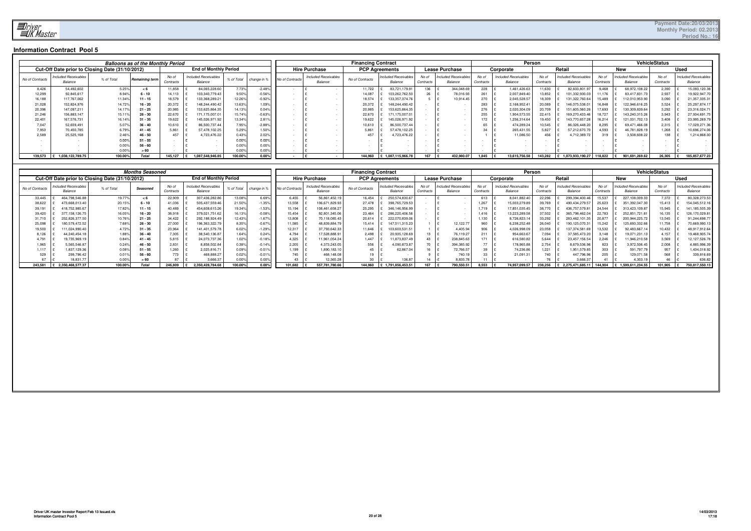**Payment Date:20/03/2013 Monthly Period: 02.2013 Period No.: 16**

|                 |                                                 |            | <b>Balloons as of the Monthly Period</b> |                   |                                        |            |                |                 |                                        | <b>Financing Contract</b> |                                        |                    |                                |                   |                                        | Person             |                                        |                    |                                        | <b>VehicleStatus</b> |                                        |
|-----------------|-------------------------------------------------|------------|------------------------------------------|-------------------|----------------------------------------|------------|----------------|-----------------|----------------------------------------|---------------------------|----------------------------------------|--------------------|--------------------------------|-------------------|----------------------------------------|--------------------|----------------------------------------|--------------------|----------------------------------------|----------------------|----------------------------------------|
|                 | Cut-Off Date prior to Closing Date (31/10/2012) |            |                                          |                   | <b>End of Monthly Period</b>           |            |                |                 | <b>Hire Purchase</b>                   | <b>PCP Agreements</b>     |                                        |                    | <b>Lease Purchase</b>          |                   | Corporate                              |                    | Retail                                 |                    | New                                    |                      | <b>Usec</b>                            |
| No of Contracts | <b>Included Receivables</b><br>Balance          | % of Total | Remaining term                           | No of<br>Contract | <b>Included Receivables</b><br>Balance | % of Total | change in %    | No of Contracts | <b>Included Receivables</b><br>Balance | No of Contracts           | <b>Included Receivables</b><br>Balance | No of<br>Contract. | Included Receivable<br>Balance | No o<br>Contract. | <b>Included Receivables</b><br>Balance | No of<br>Contracts | <b>Included Receivables</b><br>Balance | No of<br>Contracts | <b>Included Receivables</b><br>Balance | No of<br>Contracts   | <b>Included Receivables</b><br>Balance |
| 8.426           | 54,492,602                                      | 5.25%      |                                          | 1,858             | 84,065,228.60                          | 7.73%      | $-2.48c$       |                 |                                        | 11.722                    | 83,721,179.91                          | 136                | 344,048.6                      | 228               | 1,461,426.63                           | 11,630             | 82,603,801.97                          | 9.468              | 68,972,108.22                          | 2,390                | 15,093,120.3                           |
| 12,299          | 92,845,617                                      | 8.94%      | $6 - 10$                                 | 14.113            | 103,340,779.43                         | 9.50%      | $-0.56%$       |                 |                                        | 14,087                    | 103,262,762.50                         | 26                 | 78,016.93                      | 261               | 2,007,849.40                           | 13,852             | 101,332,930.03                         |                    | 83,417,831.73                          | 2,937                | 19,922,947.7                           |
| 16,188          | 117,767,062                                     | 11.34%     | 11 - 15                                  | 18,579            | 133,368,289.21                         | 12.26%     | $-0.92%$       |                 |                                        | 18,574                    | 133, 357, 374. 76                      |                    | 10,914.45                      | 270               | 2,045,528.57                           | 18,309             | 131.322.760.64                         | 15.489             | 112,010,953.90                         | 3,090                | 21,357,335.3                           |
| 21,028          | 152,824,976                                     | 14.72%     | $16 - 20$                                | 20,372            | 148,244,490.42                         | 13.63%     | 1.09%          |                 |                                        | 20,372                    | 148,244,490.42                         |                    |                                | 283               | 2,168,952.41                           | 20,089             | 146,075,538.01                         | 16,848             | 122,946,616.25                         | 3,524                | 25,297,874.1                           |
| 20,396          | 147,097,211                                     | 14.17%     | $21 - 25$                                | 20,985            | 153,625,864.35                         | 14.13%     | 0.04%          |                 |                                        | 20,985                    | 153,625,864.35                         |                    |                                | 276               | 2,020,304.09                           | 20,709             | 151,605,560.26                         |                    | 130,309,839.64                         | 3,292                | 23,316,024.7                           |
| 21,246          | 156,883,147                                     | 15.11      | $26 - 30$                                | 22,670            | 171,175,007.01                         | 15.74%     | $-0.63%$       |                 |                                        | 22,670                    | 171,175,007.0                          |                    |                                | 255               | 1,904,573.55                           | 22,415             | 169,270,433.46                         |                    | 143,240,315.26                         | 3,943                | 27,934,691.75                          |
| 22,40           | 167,576,731                                     | 16.14%     | $31 - 35$                                | 19.622            | 145,026,971.92                         | 13.34%     | 2.81%          |                 |                                        | 19,622                    | 145,026,971.92                         |                    |                                | 172               | 1,256,314.64                           | 19,450             | 143,770,657.28                         | 16.214             | 121,031,702.13                         | 3,408                | 23,995,269.7                           |
| 7,047           | 52,659,491                                      | 5.07%      | $36 - 40$                                | 10,610            | 86,500,737.44                          | 7.95%      | $-2.88$        |                 |                                        | 10,610                    | 86,500,737.44                          |                    |                                | 65                | 474,289.24                             | 10,545             | 86,026,448.20                          | 8.295              | 69,471,466.08                          | 2,315                | 17,029,271.36                          |
| 7.953           | 70,450,785                                      | 6.79%      | $41 - 45$                                | 5.861             | 57,478,102.25                          | 5.29%      | 1.50%          |                 |                                        | $5.86^{\circ}$            | 57.478.102.25                          |                    |                                |                   | 265,431.55                             | 5.827              | 57,212,670.70                          | 1.593              | 46,781,828.19                          | 1,268                | 10,696,274.06                          |
| 2,589           | 25,525,168                                      | 2.46%      | $46 - 50$                                | 457               | 4,723,476.22                           | 0.43%      | 2.02%          |                 |                                        |                           | 4,723,476.22                           |                    |                                |                   | 11,086.50                              | 456                | 4,712,389.72                           |                    | 3,508,608.22                           | 138                  | 1,214,868.00                           |
|                 |                                                 | 0.00%      | $51 - 55$                                |                   |                                        | 0.00%      | 0.00%          |                 |                                        |                           |                                        |                    |                                |                   |                                        |                    |                                        |                    |                                        |                      |                                        |
|                 |                                                 | 0.00%      | $56 - 60$                                |                   |                                        | 0.00       | 0.00%          |                 |                                        |                           |                                        |                    |                                |                   |                                        |                    |                                        |                    |                                        |                      |                                        |
|                 |                                                 | 0.00       |                                          |                   |                                        | 0.00%      | $0.00^{\circ}$ |                 |                                        |                           |                                        |                    |                                |                   |                                        |                    |                                        |                    |                                        |                      |                                        |
| 139.573         | 1.038.122.789.75                                | 100.00%    | Total                                    | 145.127           | 087.548.946.85                         | 100.00%    | 0.00%          |                 |                                        | 144.960                   | £ 1,087,115,966.78                     | 167                | 432,980.07                     | 1.845             | 13,615,756.58                          | 143.282            | £1,073,933,190.27                      | 118,822            | 901,691,269.62                         | 26.305               | 185,857,677.23                         |

|                  |                                                    | 0.007<br>0.00%<br>0.00%                         | ນ - ນ<br>$56 - 60$<br>>60 | l F                |                                        | v.vv /<br>0.00%<br>0.00% | v.vv<br>0.00%<br>0.00% |                  | £                                        |                           |                                        | $\sim$ $-$                     | Ι£                                               | $\sim$             | $\sim$                          |                    | £                                           |                    |                                  |                      |                                        |
|------------------|----------------------------------------------------|-------------------------------------------------|---------------------------|--------------------|----------------------------------------|--------------------------|------------------------|------------------|------------------------------------------|---------------------------|----------------------------------------|--------------------------------|--------------------------------------------------|--------------------|---------------------------------|--------------------|---------------------------------------------|--------------------|----------------------------------|----------------------|----------------------------------------|
|                  | 139,573 £ 1,038,122,789.75                         | 100.00%                                         | <b>Total</b>              |                    | 145,127 £ 1,087,548,946.85             | 100.00%                  | $0.00\%$               | $\sim 10^{-11}$  | £<br>$\sim$                              |                           | 144,960 £ 1,087,115,966.78             | 167 £                          | 432,980.07                                       | 1,845              | 13,615,756.58                   |                    | 143,282 E 1,073,933,190.27 118,822          |                    | £ 901,691,269.62                 | 26,305 E             | 185,857,677.23                         |
|                  |                                                    |                                                 |                           |                    |                                        |                          |                        |                  |                                          |                           |                                        |                                |                                                  |                    |                                 |                    |                                             |                    |                                  |                      |                                        |
|                  |                                                    |                                                 | <b>Months Seasoned</b>    |                    |                                        |                          |                        |                  |                                          | <b>Financing Contract</b> |                                        |                                |                                                  |                    |                                 | Person             |                                             |                    |                                  | <b>VehicleStatus</b> |                                        |
|                  |                                                    | Cut-Off Date prior to Closing Date (31/10/2012) |                           |                    | <b>End of Monthly Period</b>           |                          |                        |                  | <b>Hire Purchase</b>                     |                           | <b>PCP Agreements</b>                  |                                | <b>Lease Purchase</b>                            |                    | Corporate                       |                    | Retail                                      |                    | <b>New</b>                       |                      | <b>Used</b>                            |
| No of Contracts  | <b>Included Receivables</b><br>Balance             | % of Total                                      | Seasoned                  | No of<br>Contracts | <b>Included Receivables</b><br>Balance | % of Total               | change in %            | No of Contracts  | Included Receivables<br>Balance          | No of Contracts           | <b>Included Receivables</b><br>Balance | No of<br>Contracts             | Included Receivable.<br>Balance                  | No of<br>Contracts | Included Receivables<br>Balance | No of<br>Contracts | Included Receivables<br>Balance             | No of<br>Contracts | Included Receivables<br>Balance  | No of<br>Contracts   | <b>Included Receivables</b><br>Balance |
| 33,445           | 464,798,546.88                                     | 19.77%                                          | < 6                       | 22,909             | 307,436,282.86                         | 13.08%                   | 6.69%                  | 6,455            | 56,861,452.19                            | 16,454                    | 250,574,830.67                         |                                |                                                  | 613                | 8,041,882.40                    | 22,296             | 299,394,400.46                              | 15,537             | 227,108,009.33                   | 7,372                | 80,328,273.53                          |
| 38,622<br>39,191 | 473,668,013.40<br>418,752,985.67                   | 20.15%<br>17.82%                                | $6 - 10$<br>$11 - 15$     | 41,036<br>40,489   | 505,437,559.46<br>454,608,615.26       | 21.50%<br>19.34%         | $-1.35%$<br>$-1.53%$   | 13,558<br>15,194 | 106,671,829.93<br>108,461,658.27<br>£    | 27,478<br>25,295          | 398,765,729.53<br>346,146,956.99       |                                | l £<br>$\sim$<br>l £<br>$\overline{\phantom{a}}$ | 1,267<br>1,719     | 15,003,279.89<br>17,851,035.45  | 39,769<br>38,770   | 490,434,279.57<br>436,757,579.81            | 25,623<br>24,544   | 351,392,047.30<br>313,423,109.87 | 15,413<br>15,945     | 154,045,512.16<br>141,185,505.39       |
| 39,420<br>31,710 | 377, 158, 126.75<br>252,826,377.50                 | 16.05%<br>10.76%                                | $16 - 20$<br>$21 - 25$    | 38,918<br>34,422   | 379,021,751.62<br>292,188,924.49       | 16.13%<br>12.43%         | $-0.08%$<br>$-1.67%$   | 15,454<br>13,808 | 92,801,345.06<br>£<br>70,118,085.43<br>£ | 23,464<br>20,614          | 286,220,406.56<br>222,070,839.06       | $\sim$                         | Ι£<br>$\sim$<br>l £<br>$\overline{\phantom{a}}$  | 1,416<br>1,130     | 13,223,289.58<br>8,726,823.14   | 37,502<br>33,292   | 365,798,462.04<br>E<br>283,462,101.35       | 22,783<br>20,877   | 252,851,721.81<br>200,944,225.72 | 16,135<br>13,545     | 126,170,029.81<br>91,244,698.77        |
| 25,098           | 180,579,472.52                                     | 7.68%                                           | $26 - 30$                 | 27,000             | 196,363,322.79                         | 8.35%                    | $-0.67%$               | 11,585           | 48,839,884.79<br>£                       | 15,414                    | 147,511,315.23                         | $\overline{1}$<br>E            | 12,122.77                                        | 960                | 6,238,252.48                    | 26,040             | 190,125,070.31                              | 15,242             | 125,693,332.66                   | 11,758               | 70,669,990.13                          |
| 19,500<br>8,126  | 111,024,990.40<br>44,240,454.18                    | 4.72%<br>1.88%                                  | $31 - 35$<br>$36 - 40$    | 23,964<br>7,305    | 141,401,579.78<br>38,540,136.87        | 6.02%<br>1.64%           | $-1.29%$<br>0.24%      | 12,317<br>4,794  | £<br>37,793,642.33<br>17,528,888.91<br>£ | 11,646<br>2,498           | 103,603,531.51<br>20,935,128.69        | $1 \quad \mathsf{E}$<br>$13$ £ | 4,405.94<br>76,119.27                            | 906<br>211         | 4,026,998.09<br>954,663.67      | 23,058<br>7,094    | 137,374,581.69<br>£<br>37,585,473.20<br>£   | 13,532<br>3,148    | 92,483,667.14<br>19,071,231.13   | 10,432<br>4,157      | 48,917,912.64<br>19,468,905.74         |
| 4,791            | 19,735,969.19                                      | 0.84%                                           | $41 - 45$                 | 5,815              | 24,073,737.36                          | 1.02%                    | $-0.18%$               | 4,325            | £<br>11,961,054.24                       | 1,447                     | 11,873,837.49                          | 43 £                           | 238,845.63                                       | 171 £              | 616,580.82                      | 5,644              | 23,457,156.54<br>£                          | 2,246              | 11,946,210.58                    | 3,569                | 12,127,526.78                          |
| 1,965<br>1,117   | 5,565,546.87<br>1,837,129.36                       | 0.24%<br>0.08%                                  | $46 - 50$<br>$51 - 55$    | 2,831<br>1,260     | 8,858,502.84<br>2,025,816.71           | 0.38%<br>0.09%           | $-0.14%$<br>$-0.01%$   | 2,205<br>1,199   | 4,373,243.05<br>£<br>£<br>1,890,183.10   | 556<br>45                 | 4,090,873.87<br>62,867.04              | 70<br>16                       | 394,385.92<br>l £<br>E<br>72,766.57              | 77 £<br>39         | 178,965.88<br>74,236.86         | 2,754<br>1,221     | 8,679,536.96<br>£<br>1,951,579.85<br>£      | 823<br>303         | 3,972,506.45<br>591,797.79<br>£  | 2,008<br>957         | 4,885,996.39<br>1,434,018.92           |
| 529<br>67        | 299,796.42<br>18,831.77                            | 0.01%<br>0.00%                                  | $56 - 60$<br>>60          | 773<br>87          | 468,888.27<br>3,666.37                 | 0.02%<br>0.00%           | $-0.01%$<br>0.00%      | 745<br>43        | 468,148.08<br>£<br>12,365.28             | 19<br>30                  | 136.87                                 | 9<br>14                        | 740.19<br>Ι£<br>8,835.78                         | 33<br>11           | 21,091.31                       | 740<br>76          | 447,796.96<br>£<br>3,666.37<br>$\mathbf{F}$ | 205<br>41          | 129,071.58<br>4,303.19           | 568<br>46            | 339,816.69<br>636.82                   |
| 243,581          | £ 2,350,468,577.37                                 | 100.00%                                         | <b>Total</b>              | 246,809            | 2,350,428,784.68                       | 100.00%                  | 0.00%                  | 101,682          | 557,781,780.66                           | 144,960                   | £ 1,791,856,453.51                     | 167 E                          | 790,550.51                                       | 8,553              | 74,957,099.57                   |                    | 238,256 £ 2,275,471,685.11                  | 144,904            | £ 1,599,611,234.55               | 101,905              | 750,817,550.13                         |
|                  |                                                    |                                                 |                           |                    |                                        |                          |                        |                  |                                          |                           |                                        |                                |                                                  |                    |                                 |                    |                                             |                    |                                  |                      |                                        |
|                  | Driver UK master Investor Report Feb 13 Issued.xls |                                                 |                           |                    |                                        |                          |                        |                  |                                          |                           |                                        |                                |                                                  |                    |                                 |                    |                                             |                    |                                  |                      | 14/03/201                              |
|                  | Information Contract Pool 5                        |                                                 |                           |                    |                                        |                          |                        |                  |                                          | 20 of 28                  |                                        |                                |                                                  |                    |                                 |                    |                                             |                    |                                  |                      | 17:1                                   |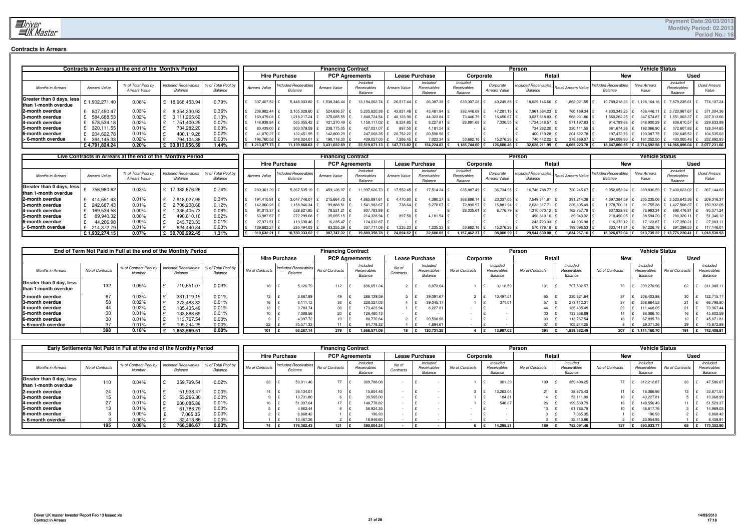

## **Contracts in Arrears**

|                                                    |                          | Contracts in Arrears at the end of the Monthly Period |                                        |                               |                            |                                        | <b>Financing Contract</b>  |                                    |                        |                                    |                                    |                            | Person                                                   |                            |                                 | <b>Vehicle Status</b>       |                                    |                              |
|----------------------------------------------------|--------------------------|-------------------------------------------------------|----------------------------------------|-------------------------------|----------------------------|----------------------------------------|----------------------------|------------------------------------|------------------------|------------------------------------|------------------------------------|----------------------------|----------------------------------------------------------|----------------------------|---------------------------------|-----------------------------|------------------------------------|------------------------------|
|                                                    |                          |                                                       |                                        |                               |                            | <b>Hire Purchase</b>                   | <b>PCP Agreements</b>      |                                    |                        | <b>Lease Purchase</b>              | Corporate                          |                            | Retail                                                   |                            | <b>New</b>                      |                             | <b>Used</b>                        |                              |
| <b>Months in Arrears</b>                           | Arrears Value            | % of Total Pool by<br>Arrears Value                   | <b>Included Receivables</b><br>Balance | % of Total Pool by<br>Balance | Arrears Value              | <b>Included Receivables</b><br>Balance | Arrears Value              | Included<br>Receivables<br>Balance | <b>Arrears Value</b>   | Included<br>Receivables<br>Balance | Included<br>Receivables<br>Balance | Corporate<br>Arrears Value | Included Receivables Retail Arrears Value I""<br>Balance |                            | Included Receivables<br>Balance | <b>New Arrears</b><br>Value | Included<br>Receivables<br>Balance | <b>Used Arrears</b><br>Value |
| Greater than 0 days, less<br>lthan 1-month overdue | £1,902,271.40            | 0.08%                                                 | 18,668,453.94                          | 0.79%                         | 337,407.52 £               | 5,448,003.82                           | 1,538,346.44               | 13,194,062.74 £                    | 26,517.44              | 26,387.38                          | 639,307.28                         | 40,249.85                  | 18,029,146.66                                            | 1,862,021.55               | 10,789,218.33 £                 |                             | 1,128,164.16 £ 7,879,235.61        | 774,107.24                   |
| 2-month overdue<br><b>3-month overdue</b>          | 807,450.47<br>584,688.53 | 0.03%<br>0.02%                                        | ,354,330.92<br>,111,265.62             | 0.36%<br>0.13%                | 238,982.44 £<br>169,479.08 | 3,105,028.60<br>1,218,217.24           | 524,636.57<br>375,085.55   | 5,205,820.38<br>1.848.724.54 £     | 43,831.46<br>40,123.90 | 43,481.94<br>44,323.84             | 392,446.69<br>73,446.79            | 47,281.13<br>6,456.67      | 7,961,884.23<br>3,037,818.83                             | 760,169.34 £<br>568,231.86 | 4.630.343.25<br>1,560,262.25    | 436,446.1<br>347,674.87     | 3,723,987.67<br>1,551,003.37       | 371,004.36<br>237,013.66     |
| 4-month overdue<br><b>15-month overdue</b>         | 578,534.18<br>320.111.55 | 0.02%<br>0.01%                                        | 751,400.25<br>734,282.20               | 0.07%<br>0.03%                | 148,938.84<br>80,439.00 £  | 585,055.42<br>303,079.59               | 421.270.49<br>238,775.05 £ | 1,158,117.02 £<br>427,021.07 £     | 8,324.85<br>897.50     | 8,227.81<br>4,181.54 £             | 26,881.68                          | ,336.55                    | 1,724,518.57<br>734,282.20                               | 571,197.63<br>320.111.55   | 914,789.68<br>361,674.38        | 348,900.29<br>192,066.90    | 836,610.57<br>372,607.82           | 229,633.89<br>128,044.65     |
| 6-month overdue<br>> 6-month overdue               | 204,622.78<br>394.145.33 | 0.01%<br>0.02%                                        | 400,119.28<br>794.104.38               | 0.02%<br>0.03%                | 41.070.27 \$<br>196,760.58 | 132.451.95<br>348,024.01               | 142.800.29<br>190,118.30   | 247,068.35 £<br>439,057.03 £       | 20,752.22<br>7,266.45  | 20,598.98<br>7,023.34              | 53,662.16                          | .5,276.26                  | 400.119.28<br>740,442.22                                 | 204.622.78<br>378,869.07   | 197.473.76<br>394,098.90        | 100,087.75<br>161,252.50 £  | 202.645.52<br>400,005.48           | 104,535.03<br>232,892.83     |
|                                                    | £4,791,824.24            | 0.20%                                                 | 33,813,956.59                          | 1.44%                         | 1,213,077.73               | 11,139,860.63                          | 3.431.032.69               | 22.519.871.13 £                    | : 147.713.82           | 154.224.83                         | .185.744.60                        | 126,600.46                 | 32,628,211.99                                            | 4.665.223.78               | 18,847,860.55   £               | 2,714,592.58 £              | 214,966,096.04                     | 2,077,231.66                 |

|                                                   |               |                                    | Live Contracts in Arrears at the end of the Monthly Period |                               |               |                                        | <b>Financing Contract</b> |                                    |                      |                                    |                                    |                            | <b>Person</b>                                            |              |                                        | <b>Vehicle Status</b>       |                                    |                              |
|---------------------------------------------------|---------------|------------------------------------|------------------------------------------------------------|-------------------------------|---------------|----------------------------------------|---------------------------|------------------------------------|----------------------|------------------------------------|------------------------------------|----------------------------|----------------------------------------------------------|--------------|----------------------------------------|-----------------------------|------------------------------------|------------------------------|
|                                                   |               |                                    |                                                            |                               |               | <b>Hire Purchase</b>                   |                           | <b>PCP Agreements</b>              |                      | <b>Lease Purchase</b>              | Corporate                          |                            | Retail                                                   |              | New                                    |                             | Used                               |                              |
| <b>Months in Arrears</b>                          | Arrears Value | % of Total Pool b<br>Arrears Value | Included Receivables<br>Balance                            | % of Total Pool by<br>Balance | Arrears Value | <b>Included Receivables</b><br>Balance | Arrears Value             | Included<br>Receivables<br>Balance | <b>Arrears Value</b> | Included<br>Receivables<br>Balance | Included<br>Receivables<br>Balance | Corporate<br>Arrears Value | Included Receivables Retail Arrears Value I""<br>Balance |              | <b>Included Receivables</b><br>Balance | <b>New Arrears</b><br>Value | Included<br>Receivables<br>Balance | <b>Used Arrears</b><br>Value |
| Greater than 0 days, less<br>than 1-month overdue | 756,980.62    | 0.03%                              | 17,382,676.26                                              | 0.74%                         | 280,301.20    | 5,367,535.19 £                         | 459,126.97                | 11.997.626.73 E                    | 17,552.45            | 17.514.34 £                        | 635,887.49 £                       | 36.734.95                  | 16,746,788.77                                            | 720,245.67 £ | 9,952,053.24 £                         |                             | 389,836.59 £ 7,430,623.02 £        | 367,144.03                   |
| 2-month overdue                                   | 414,551.43    | 0.01%                              | .918.027.95                                                | 0.34%                         | 194.415.91    | 3.047.746.07                           | 215,664.72                | 4.865.891.61 £                     | 4.470.80             | 4,390.27                           | 368,686.14                         | 23.337.05                  | 7.549.341.81                                             | 391.214.38   | 4.397.384.59                           |                             | 205,235.06 £ 3,520,643.36          | 209.316.37                   |
| <b>13-month overdue</b>                           | 242,687.43    | 0.01%                              | 2,706,208.68                                               | 0.12%                         | 142,060.28    | 1,158,946.34                           | 99,888.51                 | 1,541,983.67 £                     | 738.64               | 5,278.67                           | 72,890.97 \$                       | 15,881.94                  | 2,633,317.71                                             | 226,805.49   | 1,278,700.31 £                         | 91,755.38                   | 1,427,508.37                       | 150,932.05                   |
| <b>14-month overdue</b>                           | 169,534.58    | $0.00\%$                           | .336,405.73                                                | 0.06%                         | 91,013.37     | 528,621.85                             | 78,521.21                 | 807,783.88                         |                      |                                    | 26,335.61                          | 6,776.79                   | 1.310.070.12                                             | 162.757.79   | 637,928.92                             | 73.963.34                   | 698,476.81                         | 95,571.24                    |
| <b>15-month overdue</b>                           | 89,940.32     | 0.00%                              | 490.810.16                                                 | 0.02%                         | 53.987.67     | 272,299.68                             | 35,055.15                 | 214,328.94                         | 897.50               | 4,181.54 £                         |                                    |                            | 490,810.16                                               | 89,940.32    | 210,490.05 £                           | 38.594.20                   | 280,320.11                         | 51,346.12                    |
| 6-month overdue                                   | 44,206.98     | 0.00%                              | 243.723.33                                                 | 0.01%                         | 27.971.51     | 119,690.46                             | 16.235.47                 | 124.032.87   9                     |                      |                                    |                                    |                            | 243,723.33                                               | 44,206.98    | 116,373.12   1                         | 17.123.87                   | 127,350.21                         | 27,083.11                    |
| > 6-month overdue                                 | 214,372.79    | 0.01%                              | 624.440.34                                                 | 0.03%                         | 129.882.27    | 285,494.03                             | 83,255.29                 | 337.711.08 £                       | 1,235.23             | 1,235.23                           | 53,662.16 £                        | 15,276.26                  | 570.778.18                                               | 199,096.53   | 333.141.81 £                           | 97.226.78                   | 291,298.53                         | 117,146.01                   |
|                                                   | £1.932.274.15 | 0.07%                              | 30.702.292.45                                              | 1.31%                         | 919,632.21    | 10,780,333.62                          | 987.747.32                | 19.889.358.78                      | 24,894.62            | 32,600.05                          | 1,157,462.37                       | 98,006.99                  | 29,544,830.08                                            | 1,834,267.16 | 16,926,072.04 £                        | 913,735.22                  | £13,776,220.41                     | 1,018,538.93                 |

|                                                  |                 | End of Term Not Paid in Full at the end of the Monthly Period |                                        |                               |                 |                                 | <b>Financing Contract</b> |                                    |                       |                                           |            |                 |                                    | Person          |       |                                    |                 | <b>Vehicle Status</b>              |                 |                                    |
|--------------------------------------------------|-----------------|---------------------------------------------------------------|----------------------------------------|-------------------------------|-----------------|---------------------------------|---------------------------|------------------------------------|-----------------------|-------------------------------------------|------------|-----------------|------------------------------------|-----------------|-------|------------------------------------|-----------------|------------------------------------|-----------------|------------------------------------|
|                                                  |                 |                                                               |                                        |                               |                 | <b>Hire Purchase</b>            |                           | <b>PCP Agreements</b>              | <b>Lease Purchase</b> |                                           |            | Corporate       |                                    |                 | Retai |                                    | <b>New</b>      |                                    | Used            |                                    |
| <b>Months in Arrears</b>                         | No of Contracts | % of Contract Pool by<br>Number                               | <b>Included Receivables</b><br>Balance | % of Total Pool by<br>Balance | No of Contracts | Included Receivables<br>Balance | No of Contracts           | Included<br>Receivables<br>Balance | No of<br>Contracts    | Included<br><b>Receivables</b><br>Balance |            | No of Contracts | Included<br>Receivables<br>Balance | No of Contracts |       | Included<br>Receivables<br>Balance | No of Contracts | Included<br>Receivables<br>Balance | No of Contracts | Included<br>Receivables<br>Balance |
| Greater than 0 day, less<br>than 1-month overdue | 132             | 0.05%                                                         | 710,651.07                             | 0.03%                         | 18              | 5,126.79                        | 112                       | 696,651.24                         |                       |                                           | 8,873.04   |                 | 3,118.50                           | 131             |       | 707,532.57                         |                 | 399,270.96                         | 62              | 311,380.11                         |
| 2-month overdue                                  |                 | 0.03%                                                         | 331,119.15                             | 0.01%                         | 13              | 3,887.89                        | 49                        | 288,139.59                         |                       |                                           | 39,091.67  |                 | 10,497.51                          | 65              |       | 320,621.64                         | 37              | 208,403.98                         | 30              | 122,715.17                         |
| 3-month overdue                                  |                 | 0.02%                                                         | 273,483.32                             | 0.01%                         | 16              | 6,111.12                        | 38                        | 228,327.03                         |                       |                                           | 39,045.17  |                 | 371.0                              |                 |       | 273,112.31                         |                 | 206,684.52                         | 21              | 66,798.80                          |
| 4-month overdue                                  |                 | 0.02%                                                         | 185,435.49                             | 0.01%                         | 13              | 3,783.74                        | 30                        | 173.423.94                         |                       |                                           | 8.227.81   |                 |                                    |                 |       | 185.435.49                         | 23              | 111.468.05                         | 21              | 73,967.44                          |
| <b>15-month overdue</b>                          |                 | 0.01%                                                         | 133,868.69                             | 0.01%                         | 10              | 7,388.56                        | 20                        | 126,480.13                         |                       |                                           |            |                 |                                    |                 |       | 133,868.69                         |                 | 88,066.10                          |                 | 45,802.59                          |
| <b>6-month overdue</b>                           |                 | 0.01%                                                         | 113,767.54                             | 0.00%                         |                 | 4.397.72                        | $19$ $E$                  | 88.770.84                          |                       |                                           | 20,598.98  |                 |                                    | 30              |       | 113,767.54                         |                 | 67,895.73                          | 12              | 45,871.81                          |
| > 6-month overdue                                |                 | 0.01%                                                         | 105.244.25                             | 0.00%                         | 22              | 35.571.32                       |                           | 64.778.32                          |                       |                                           | 4.894.61   |                 |                                    |                 |       | 105.244.25                         |                 | 29,371.36                          | 29              | 75,872.89                          |
|                                                  | 398             | 0.16%                                                         | 853.569.51                             | 0.08%                         | 101             | 66,267.14                       | 279 E                     | 1,666,571.09                       | $18$ $\overline{2}$   |                                           | 120,731.28 |                 | 13,987.02                          | 394             |       | 1,839,582.49                       |                 | 207 E 1,111,160.70                 | 191             | 742,408.81                         |

|                                                  |                 | Early Settlements Not Paid in Full at the end of the Monthly Period |                                        |                               |                 |                                        |            | <b>Financing Contract</b> |                                    |            |                       |                                    |                 |                                    | Person          |                                    |            |                 | <b>Vehicle Status</b>              |                 |             |                                    |
|--------------------------------------------------|-----------------|---------------------------------------------------------------------|----------------------------------------|-------------------------------|-----------------|----------------------------------------|------------|---------------------------|------------------------------------|------------|-----------------------|------------------------------------|-----------------|------------------------------------|-----------------|------------------------------------|------------|-----------------|------------------------------------|-----------------|-------------|------------------------------------|
|                                                  |                 |                                                                     |                                        |                               |                 | <b>Hire Purchase</b>                   |            | <b>PCP Agreements</b>     |                                    |            | <b>Lease Purchase</b> |                                    | Corporate       |                                    | Retail          |                                    |            | <b>New</b>      |                                    |                 | <b>Used</b> |                                    |
| <b>Months in Arrears</b>                         | No of Contracts | % of Contract Pool by<br>Number                                     | <b>Included Receivables</b><br>Balance | % of Total Pool by<br>Balance | No of Contracts | <b>Included Receivables</b><br>Balance |            | No of Contracts           | Included<br>Receivables<br>Balance |            | No of<br>Contracts    | Included<br>Receivables<br>Balance | No of Contracts | Included<br>Receivables<br>Balance | No of Contracts | Included<br>Receivables<br>Balance |            | No of Contracts | Included<br>Receivables<br>Balance | No of Contracts |             | Included<br>Receivables<br>Balance |
| Greater than 0 day, less<br>than 1-month overdue | 110             | 0.04%                                                               | 359,799.54                             | 0.02%                         | 33              |                                        | 50,011.46  | 77                        |                                    | 309,788.08 |                       |                                    |                 | 301.29                             | 109             |                                    | 359,498.25 | 77              | 312,212.87                         | 33              |             | 47,586.67                          |
| 2-month overdue                                  | 24              | 0.01%                                                               | 51,938.47                              | 0.00%                         |                 |                                        | 36,134.01  |                           |                                    | 15,804.46  |                       |                                    |                 | 13,263.04                          | 21              |                                    | 38,675.43  | 11              | 18,066.96                          |                 |             | 33,871.51                          |
| 3-month overdue                                  |                 | 0.01%                                                               | 53,296.80                              | 0.00%                         |                 |                                        | 13,731.80  |                           |                                    | 39,565.00  |                       |                                    |                 | 184.81                             | 14              |                                    | 53,111.99  | 10              | 43.227.81                          |                 |             | 10,068.99                          |
| 14-month overdue                                 |                 | 0.01%                                                               | 200,085.86                             | 0.01%                         |                 |                                        | 51,307.04  |                           |                                    | 148.778.82 |                       |                                    |                 | 546.07                             | 26              |                                    | 199,539.79 | 16              | 148,556.49                         | 11              |             | 51,529.37                          |
| 5-month overdue                                  |                 | 0.01%                                                               | 61,786.79                              | 0.00%                         |                 |                                        | 4,862.44   |                           |                                    | 56,924.35  |                       |                                    |                 |                                    |                 |                                    | 61,786.79  | 10              | 46,817.76                          |                 |             | 14,969.03                          |
| 6-month overdue                                  |                 | 0.00%                                                               | 7,065.35                               | 0.00%                         |                 |                                        | 6.868.42   |                           |                                    | 196.93     |                       |                                    |                 |                                    |                 |                                    | 7,065.35   |                 | 196.93                             |                 |             | 6,868.42                           |
| > 6-month overdue                                |                 | 0.00%                                                               | 32,413.86                              | 0.00%                         |                 |                                        | 13.467.26  |                           |                                    | 18,946.60  |                       |                                    |                 |                                    |                 |                                    | 32.413.86  |                 | 23.954.95                          |                 |             | 8,458.9                            |
|                                                  | 195             | 0.08%                                                               | 766.386.67                             | 0.03%                         | 74              |                                        | 176,382.43 | 121                       |                                    | 590,004.24 |                       |                                    |                 | 14,295.21                          | 189             |                                    | 752,091.46 | 127             | 593,033.77                         | 68 E            |             | 173,352.90                         |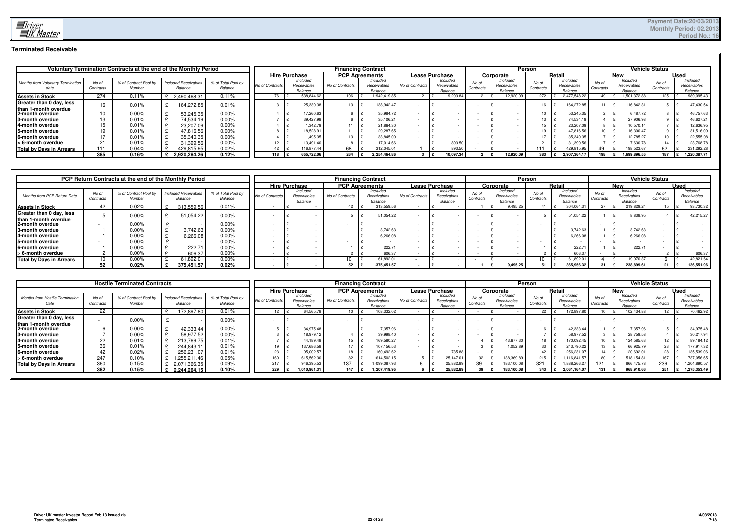

## **Terminated Receivable**

|                                                  |                    | Voluntary Termination Contracts at the end of the Monthly Period |                                        |                               |                 |                                    | <b>Financing Contract</b> |                                    |                       |                                    |                    |                                    | Person             |       |                                    |                    |                                    | <b>Vehicle Status</b> |             |                                    |
|--------------------------------------------------|--------------------|------------------------------------------------------------------|----------------------------------------|-------------------------------|-----------------|------------------------------------|---------------------------|------------------------------------|-----------------------|------------------------------------|--------------------|------------------------------------|--------------------|-------|------------------------------------|--------------------|------------------------------------|-----------------------|-------------|------------------------------------|
|                                                  |                    |                                                                  |                                        |                               |                 | <b>Hire Purchase</b>               | <b>PCP Agreements</b>     |                                    | <b>Lease Purchase</b> |                                    |                    | Corporate                          |                    | Retai |                                    |                    | <b>New</b>                         |                       | <b>Used</b> |                                    |
| <b>Months from Voluntary Termination</b><br>date | No of<br>Contracts | % of Contract Pool by<br>Number                                  | <b>Included Receivables</b><br>Balance | % of Total Pool by<br>Balance | No of Contracts | Included<br>Receivables<br>Balance | No of Contracts           | Included<br>Receivables<br>Balance | No of Contracts       | Included<br>Receivables<br>Balance | No of<br>Contracts | Included<br>Receivables<br>Balance | No of<br>Contracts |       | Included<br>Receivables<br>Balance | No of<br>Contracts | Included<br>Receivables<br>Balance | No of<br>Contracts    |             | Included<br>Receivables<br>Balance |
| <b>Assets in Stock</b>                           | 274                | 0.11%                                                            | 2,490,468.31                           | 0.11%                         | 76              | 538.844.62                         | 196                       | 1.942.419.85                       |                       | 9.203.84                           |                    | 12.920.09                          | 272                |       | 2.477.548.22                       | 149                | 1.501.372.88                       | 125                   |             | 989,095.43                         |
| Greater than 0 day, less                         | 16                 | 0.01%                                                            | 164.272.85                             | 0.01%                         |                 | 25,330.38                          | 13                        | 138,942.47                         |                       |                                    |                    |                                    | 16                 |       | 164,272.85                         |                    | 116,842.31                         |                       |             | 47,430.54                          |
| Ithan 1-month overdue<br><b>2-month overdue</b>  | $\overline{a}$     | 0.00%                                                            | 53,245.35                              | $0.00\%$                      |                 | 17,260.63                          |                           | 35,984.72                          |                       |                                    |                    |                                    | 10                 |       | 53,245.35                          |                    | 6,487.72                           |                       |             | 46,757.63                          |
| <b>3-month overdue</b>                           |                    | 0.01%                                                            | 74,534.19                              | 0.00%                         |                 | 39,427.98                          |                           | 35,106.21                          |                       |                                    |                    |                                    | 13                 |       | 74,534.19                          |                    | 27,906.98                          |                       |             | 46,627.21                          |
| 4-month overdue                                  |                    | 0.01%                                                            | 23,207.09                              | 0.00%                         |                 | 1.342.79                           |                           | 21,864.30                          |                       |                                    |                    |                                    | 15                 |       | 23,207.09                          |                    | 10,570.14                          |                       |             | 12,636.95                          |
| <b>15-month overdue</b>                          |                    | 0.01%                                                            | 47,816.56                              | 0.00%                         |                 | 18,528.91                          | 11                        | 29,287.65                          |                       |                                    |                    |                                    | 19                 |       | 47,816.56                          |                    | 16,300.47                          |                       |             | 31,516.09                          |
| <b>6-month overdue</b>                           |                    | 0.01%                                                            | 35.340.35                              | 0.00%                         |                 | 1.495.35                           | 13                        | 33,845.00                          |                       |                                    |                    |                                    | 17                 |       | 35,340.35                          |                    | 12,785.27                          |                       |             | 22,555.08                          |
| $\blacktriangleright$ 6-month overdue            |                    | 0.01%                                                            | .399.56                                | $0.00\%$                      |                 | 13.491.40                          |                           | 17,014.66                          |                       | 893.50                             |                    |                                    | $\sim$             |       | 31,399.56                          |                    | 7,630.78                           |                       |             | 23,768.78                          |
| Total by Days in Arrears                         | 111                | 0.04%                                                            | 429.815.95                             | 0.02%                         | 42              | 116,877.44                         | 68                        | 312,045.01                         |                       | 893.50                             |                    |                                    | 111                |       | 429,815.95                         |                    | 198,523.67                         | 62                    |             | 231,292.28                         |
|                                                  | 385                | 0.16%                                                            | 2,920,284.26                           | 0.12%                         | 118             | 655,722.06                         | 264                       | 2.254.464.86                       |                       | 10.097.34                          |                    | 12.920.09                          | 383                |       | 2.907.364.17                       | 198                | 1,699,896.55                       | 187                   | - E         | 1,220,387.71                       |

|                                                  |                    | PCP Return Contracts at the end of the Monthly Period |                                        |                               |                 |                                    |                 | <b>Financing Contract</b>          |                 |                                    |                    |                                    | Person             |        |                                    |                    |                                    | <b>Vehicle Status</b> |                                    |
|--------------------------------------------------|--------------------|-------------------------------------------------------|----------------------------------------|-------------------------------|-----------------|------------------------------------|-----------------|------------------------------------|-----------------|------------------------------------|--------------------|------------------------------------|--------------------|--------|------------------------------------|--------------------|------------------------------------|-----------------------|------------------------------------|
|                                                  |                    |                                                       |                                        |                               |                 | <b>Hire Purchase</b>               |                 | <b>PCP Agreements</b>              |                 | <b>Lease Purchase</b>              |                    | Corporate                          |                    | Retail |                                    |                    | New                                |                       | Used                               |
| Months from PCP Return Date                      | No of<br>Contracts | % of Contract Pool by<br>Number                       | <b>Included Receivables</b><br>Balance | % of Total Pool by<br>Balance | No of Contracts | Included<br>Receivables<br>Balance | No of Contracts | Included<br>Receivables<br>Balance | No of Contracts | Included<br>Receivables<br>Balance | No of<br>Contracts | Included<br>Receivables<br>Balance | No of<br>Contracts |        | Included<br>Receivables<br>Balance | No of<br>Contracts | Included<br>Receivables<br>Balance | No of<br>Contracts    | Included<br>Receivables<br>Balance |
| <b>Assets in Stock</b>                           | 42                 | 0.02%                                                 | 313,559.56                             | 0.01%                         |                 |                                    | 42              | 313,559.56                         |                 |                                    |                    | 9,495.25                           | 41                 |        | 304,064.31                         |                    | 219,829.24                         |                       | 93,730.32                          |
| Greater than 0 day, less<br>than 1-month overdue |                    | 0.00%                                                 | 51,054.22                              | $0.00\%$                      |                 |                                    |                 | 51,054.22                          |                 |                                    |                    |                                    |                    |        | 51,054.22                          |                    | 8.838.95                           |                       | 42,215.27                          |
| 2-month overdue                                  |                    | 0.00%                                                 |                                        | 0.00%                         |                 |                                    |                 |                                    |                 |                                    |                    |                                    |                    |        |                                    |                    |                                    |                       |                                    |
| 3-month overdue                                  |                    | 0.00%                                                 | 3,742.63                               | 0.00%                         |                 |                                    |                 | 3,742.63                           |                 |                                    |                    |                                    |                    |        | 3,742.63                           |                    | 3.742.63                           |                       |                                    |
| 4-month overdue                                  |                    | 0.00%                                                 | 6,266.08                               | $0.00\%$                      |                 |                                    |                 | 6.266.08                           |                 |                                    |                    |                                    |                    |        | 6,266.0                            |                    | 6.266.08                           |                       |                                    |
| 5-month overdue                                  |                    | 0.00%                                                 |                                        | 0.00%                         |                 |                                    |                 |                                    |                 |                                    |                    |                                    |                    |        |                                    |                    |                                    |                       |                                    |
| <b>6-month overdue</b>                           |                    | 0.00%                                                 | 222.71                                 | 0.00%                         |                 |                                    |                 | 222.7                              |                 |                                    |                    |                                    |                    |        | 222.7                              |                    | 222.71                             |                       |                                    |
| $\triangleright$ 6-month overdue                 |                    | 0.00%                                                 | 606.37                                 | $0.00\%$                      |                 |                                    |                 | 606.37                             |                 |                                    |                    |                                    |                    |        | 606.37                             |                    |                                    |                       | 606.37                             |
| <b>Total by Days in Arrears</b>                  |                    | 0.00%                                                 | <sup>31,892.01</sup>                   | $0.00\%$                      |                 |                                    |                 | 61,892.01                          |                 |                                    |                    |                                    |                    |        | 61,892.0                           |                    | 19,070.37                          |                       | 42,821.64                          |
|                                                  | 52                 | 0.02%                                                 | 375.451.57                             | 0.02%                         |                 |                                    | 52              | 375,451.57                         |                 |                                    |                    | 9,495.25                           | 51                 |        | 365,956.32                         |                    | 238.899.61                         |                       | 136,551.96                         |

|                                                  |                    | <b>Hostile Terminated Contracts</b> |                                        |                               |                 |                                    | <b>Financing Contract</b> |                                    |                       |                                    |                    |                                    | <b>Person</b>      |                                    |                    |                                    | <b>Vehicle Status</b> |             |                                    |
|--------------------------------------------------|--------------------|-------------------------------------|----------------------------------------|-------------------------------|-----------------|------------------------------------|---------------------------|------------------------------------|-----------------------|------------------------------------|--------------------|------------------------------------|--------------------|------------------------------------|--------------------|------------------------------------|-----------------------|-------------|------------------------------------|
|                                                  |                    |                                     |                                        |                               |                 | <b>Hire Purchase</b>               | <b>PCP Agreements</b>     |                                    | <b>Lease Purchase</b> |                                    |                    | Corporate                          |                    | Retail                             |                    | <b>New</b>                         |                       | <b>Used</b> |                                    |
| <b>Months from Hostile Termination</b>           | No of<br>Contracts | % of Contract Pool by<br>Number     | <b>Included Receivables</b><br>Balance | % of Total Pool by<br>Balance | No of Contracts | Included<br>Receivables<br>Balance | No of Contracts           | Included<br>Receivables<br>Balance | No of Contracts       | Included<br>Receivables<br>Balance | No of<br>Contracts | Included<br>Receivables<br>Balance | No of<br>Contracts | Included<br>Receivables<br>Balance | No of<br>Contracts | Included<br>Receivables<br>Balance | No of<br>Contracts    |             | Included<br>Receivables<br>Balance |
| <b>Assets in Stock</b>                           | 22                 |                                     | 172.897.80                             | 0.01%                         | 12              | 64,565.78                          |                           | 108,332.02                         |                       |                                    |                    |                                    | 22                 | 172,897.80                         |                    | 102,434.88                         | 12                    |             | 70,462.92                          |
| Greater than 0 day, less<br>than 1-month overdue |                    | $0.00\%$                            |                                        | 0.00%                         |                 |                                    |                           |                                    |                       |                                    |                    |                                    |                    |                                    |                    |                                    |                       |             |                                    |
| 2-month overdue                                  |                    | 0.00%                               | 42,333.44                              | 0.00%                         |                 | 34,975.48                          |                           | 7,357.96                           |                       |                                    |                    |                                    |                    | 42,333.44                          |                    | 7,357.96                           |                       |             | 34,975.48                          |
| 3-month overdue                                  |                    | 0.00%                               | 58,977.52                              | 0.00%                         |                 | 18,979.12                          |                           | 39,998.40                          |                       |                                    |                    |                                    |                    | 58,977.52                          |                    | 28,759.58                          |                       |             | 30,217.94                          |
| 4-month overdue                                  | 22                 | 0.01%                               | 213.769.75                             | 0.01%                         |                 | 44,189.48                          |                           | 169,580.27                         |                       |                                    |                    | 43,677.30                          | 18                 | 170,092.45                         |                    | 124,585.63                         | 12                    |             | 89,184.12                          |
| <b>5-month overdue</b>                           | 36                 | 0.01%                               | 244.843.11                             | 0.01%                         | 19              | 137,686.58                         |                           | 107,156.53                         |                       |                                    |                    | 1.052.89                           | 33                 | 243,790.22                         |                    | 66,925.79                          | 23                    |             | 177,917.32                         |
| <b>6-month overdue</b>                           |                    | 0.02%                               | 256,231.07                             | 0.01%                         | 23              | 95,002.57                          |                           | 160,492.62                         |                       | 735.88                             |                    |                                    | 42                 | 256,231.07                         |                    | 120,692.01                         | 28                    |             | 135,539.06                         |
| > 6-month overdue                                | 247                | 0.10%                               | 1,255,211.46                           | 0.05%                         | 160             | 615,562.30                         | 82                        | 614,502.1                          |                       | 25,147.01                          | 32                 | 138,369.89                         | 215                | 116,841.57                         |                    | 518,154.8                          | 167                   |             | 737,056.65                         |
| Total by Days in Arrears                         | 360                | 0.15%                               | 2.071.366.35                           | 0.09%                         | 217             | 946,395.53                         | 137                       | .099.087.93                        |                       | 25,882.89                          | 39                 | 183,100.08                         | 321                | 888,266.27                         | 121                | 866,475.78                         | 239                   |             | 1,204,890.57                       |
|                                                  | 382                | 0.15%                               | 2,244,264.15                           | 0.10%                         | 229             | 010,961.31                         | 147                       | 1,207,419.95                       |                       | 25,882.89                          | 39                 | 183,100.08                         | 343                | 2,061,164.07                       |                    | 968,910.66                         | 251                   |             | 1,275,353.49                       |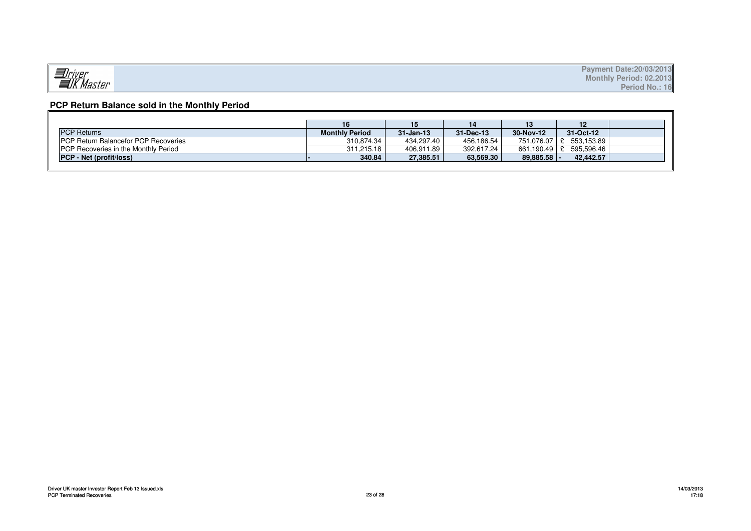|                      | <b>Payment Date: 20/03/2013</b> |
|----------------------|---------------------------------|
| uriver<br>IIK Master | Monthly Period: 02.2013         |
|                      | Period No.: 16                  |

## **PCP Return Balance sold in the Monthly Period**

| 16                    | 15              | 14              | 13         | 12 <sub>2</sub> |                                                      |
|-----------------------|-----------------|-----------------|------------|-----------------|------------------------------------------------------|
| <b>Monthly Period</b> | $31 - Jan - 13$ | $31 - Dec - 13$ | 30-Nov-12  | 31-Oct-12       |                                                      |
| 310,874.34            |                 | 456.186.54      |            |                 |                                                      |
| 311.215.18            | 406.911.89      | 392.617.24      |            | 595.596.46      |                                                      |
| 340.84                | 27,385.51       | 63.569.30       |            | 42.442.57       |                                                      |
|                       |                 |                 | 434.297.40 |                 | 751.076.07 E 553.153.89<br>661.190.49 E<br>89.885.58 |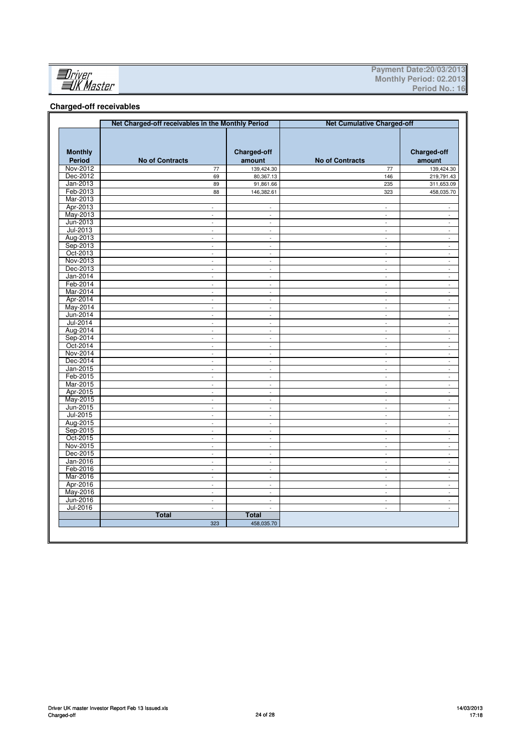

**Payment Date:20/03/2013 Monthly Period: 02.2013 Period No.: 16**

## **Charged-off receivables**

|                                 | Net Charged-off receivables in the Monthly Period |                                            |                                 | <b>Net Cumulative Charged-off</b> |  |  |  |  |
|---------------------------------|---------------------------------------------------|--------------------------------------------|---------------------------------|-----------------------------------|--|--|--|--|
| <b>Monthly</b><br><b>Period</b> | <b>No of Contracts</b>                            | Charged-off<br>amount                      | <b>No of Contracts</b>          | Charged-off<br>amount             |  |  |  |  |
| Nov-2012                        | 77                                                | 139,424.30                                 | 77                              | 139,424.30                        |  |  |  |  |
| Dec-2012                        | 69                                                | 80,367.13                                  | 146                             | 219,791.43                        |  |  |  |  |
| Jan-2013                        | 89                                                | 91,861.66                                  | 235                             | 311,653.09                        |  |  |  |  |
| Feb-2013                        | 88                                                | 146,382.61                                 | 323                             | 458,035.70                        |  |  |  |  |
| Mar-2013                        |                                                   |                                            |                                 |                                   |  |  |  |  |
| Apr-2013                        | $\blacksquare$                                    | $\blacksquare$                             | $\blacksquare$                  | $\blacksquare$                    |  |  |  |  |
| May-2013                        | $\omega$                                          | $\omega$                                   | $\omega$                        | $\omega_{\rm c}$                  |  |  |  |  |
| Jun-2013                        | ÷.                                                | $\sim$                                     | $\mathcal{L}$                   | $\mathcal{L}$                     |  |  |  |  |
| Jul-2013                        | $\omega$                                          | $\overline{\phantom{a}}$                   | $\sim$                          | ÷.                                |  |  |  |  |
| Aug-2013                        | $\mathcal{L}_{\mathrm{eff}}$                      | $\sim$                                     | $\sim$                          | $\omega$                          |  |  |  |  |
| Sep-2013                        | ÷,                                                | $\blacksquare$                             | $\sim$                          | $\Box$                            |  |  |  |  |
| Oct-2013                        | $\omega$                                          | $\omega$                                   | $\omega$                        | ÷.                                |  |  |  |  |
| Nov-2013                        | $\omega$                                          | $\omega$                                   | $\omega$                        | ÷.                                |  |  |  |  |
| Dec-2013                        | $\omega$                                          | $\blacksquare$                             | $\sim$                          | $\omega$                          |  |  |  |  |
| Jan-2014                        | ä,                                                | $\overline{\phantom{a}}$                   | $\Box$                          | ä,                                |  |  |  |  |
| Feb-2014                        | $\omega$                                          | $\omega$                                   | $\omega$                        | $\omega$                          |  |  |  |  |
| Mar-2014                        | $\blacksquare$                                    | ÷                                          | $\bar{\phantom{a}}$             | $\equiv$                          |  |  |  |  |
| Apr-2014                        | $\omega$                                          | $\blacksquare$                             | $\omega$                        | ÷.                                |  |  |  |  |
| May-2014                        | ÷.                                                | ä,                                         | $\mathcal{L}$                   | $\mathcal{L}^{\mathcal{A}}$       |  |  |  |  |
| Jun-2014                        | $\blacksquare$                                    | $\bar{\phantom{a}}$                        | $\overline{\phantom{a}}$        | $\blacksquare$                    |  |  |  |  |
| Jul-2014                        | $\omega$                                          | $\omega$                                   | $\omega$                        | $\omega$                          |  |  |  |  |
| Aug-2014                        | ÷.                                                | ÷.                                         | $\omega$                        | $\omega$                          |  |  |  |  |
| Sep-2014                        | $\omega$                                          | $\sim$                                     | $\sim$                          | $\omega$                          |  |  |  |  |
| Oct-2014                        | $\omega$                                          | $\omega$                                   | $\sim$                          | $\omega$                          |  |  |  |  |
| Nov-2014                        | $\blacksquare$                                    | $\blacksquare$                             | $\blacksquare$                  | $\blacksquare$                    |  |  |  |  |
| Dec-2014                        | $\mathbb{Z}^{\mathbb{Z}}$                         | $\mathcal{L}$                              | $\omega$                        | $\omega$                          |  |  |  |  |
| Jan-2015                        | $\omega$                                          | ÷,                                         | $\blacksquare$                  | ÷.                                |  |  |  |  |
| Feb-2015                        | $\omega$                                          | $\sim$                                     | $\sim$                          | $\omega$                          |  |  |  |  |
| Mar-2015                        | $\mathcal{L}$                                     | ä,                                         | $\omega$                        | ä,                                |  |  |  |  |
| Apr-2015                        | $\omega$                                          | $\omega$                                   | $\sim$                          | $\omega$                          |  |  |  |  |
| May-2015                        | $\sim$                                            | $\sim$                                     | $\sim$                          | $\omega$                          |  |  |  |  |
| Jun-2015                        | $\Box$                                            | $\Box$                                     | $\Box$                          | $\omega$                          |  |  |  |  |
| Jul-2015<br>Aug-2015            | $\mathbb{Z}^{\mathbb{Z}}$                         | ä,                                         | $\omega$                        | $\sim$                            |  |  |  |  |
|                                 | $\sim$                                            | ÷                                          | $\sim$                          | $\omega$                          |  |  |  |  |
| Sep-2015                        | $\omega$ .                                        | $\omega$                                   | $\omega$                        | $\omega_{\rm c}$                  |  |  |  |  |
| Oct-2015<br>Nov-2015            | $\omega$                                          | L.                                         | $\overline{\phantom{a}}$        | ä,                                |  |  |  |  |
| Dec-2015                        | $\omega$                                          | $\omega$                                   | $\omega$                        | $\omega$                          |  |  |  |  |
| Jan-2016                        | $\omega$                                          | $\blacksquare$                             | $\blacksquare$                  | $\omega_{\rm c}$                  |  |  |  |  |
| Feb-2016                        | $\blacksquare$<br>$\sim$                          | $\blacksquare$<br>$\mathcal{L}$            | $\blacksquare$<br>$\mathcal{L}$ | $\Box$<br>÷.                      |  |  |  |  |
| Mar-2016                        | $\omega$                                          |                                            |                                 |                                   |  |  |  |  |
| Apr-2016                        | $\omega$                                          | $\blacksquare$<br>$\overline{\phantom{a}}$ | $\sim$                          | $\blacksquare$<br>$\omega$        |  |  |  |  |
| May-2016                        | $\omega$                                          | $\mathcal{L}$                              | $\sim$<br>$\omega$              | $\omega$                          |  |  |  |  |
| Jun-2016                        | $\omega$                                          | $\omega$                                   | $\sim$                          | $\omega$                          |  |  |  |  |
| Jul-2016                        | $\omega$                                          | $\omega$                                   | $\sim$                          | $\sim$                            |  |  |  |  |
|                                 | <b>Total</b>                                      | <b>Total</b>                               |                                 |                                   |  |  |  |  |
|                                 | 323                                               | 458,035.70                                 |                                 |                                   |  |  |  |  |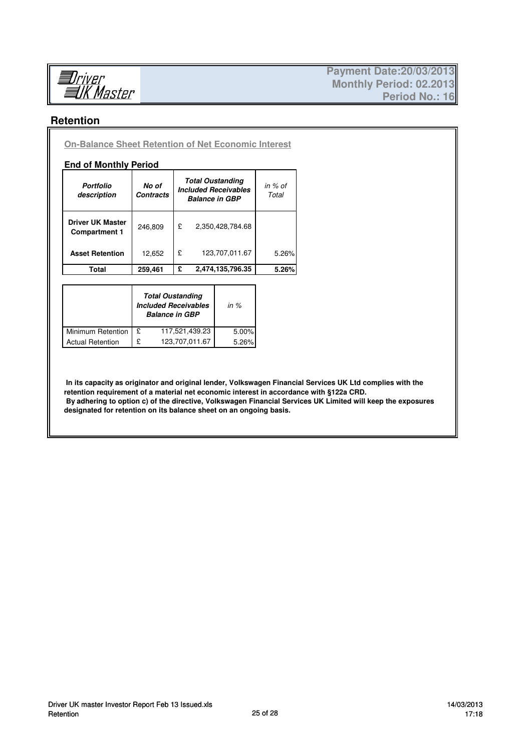

**Payment Date:20/03/2013 Monthly Period: 02.2013 Period No.: 16**

## **Retention**

**On-Balance Sheet Retention of Net Economic Interest**

## **End of Monthly Period**

| Portfolio<br>description                        | No of<br><b>Contracts</b> |   | <b>Total Oustanding</b><br><b>Included Receivables</b><br><b>Balance in GBP</b> | in % of<br>Total |
|-------------------------------------------------|---------------------------|---|---------------------------------------------------------------------------------|------------------|
| <b>Driver UK Master</b><br><b>Compartment 1</b> | 246,809                   | £ | 2,350,428,784.68                                                                |                  |
| <b>Asset Retention</b>                          | 12,652                    | £ | 123,707,011.67                                                                  | 5.26%            |
| Total                                           | 259,461                   | £ | 2,474,135,796.35                                                                | 5.26%            |

|                         |   | <b>Total Oustanding</b><br><b>Included Receivables</b><br><b>Balance in GBP</b> | in $%$ |
|-------------------------|---|---------------------------------------------------------------------------------|--------|
| Minimum Retention       | £ | 117,521,439.23                                                                  | 5.00%  |
| <b>Actual Retention</b> | ç | 123,707,011.67                                                                  | 5.26%  |

 **In its capacity as originator and original lender, Volkswagen Financial Services UK Ltd complies with the retention requirement of a material net economic interest in accordance with §122a CRD. By adhering to option c) of the directive, Volkswagen Financial Services UK Limited will keep the exposures designated for retention on its balance sheet on an ongoing basis.**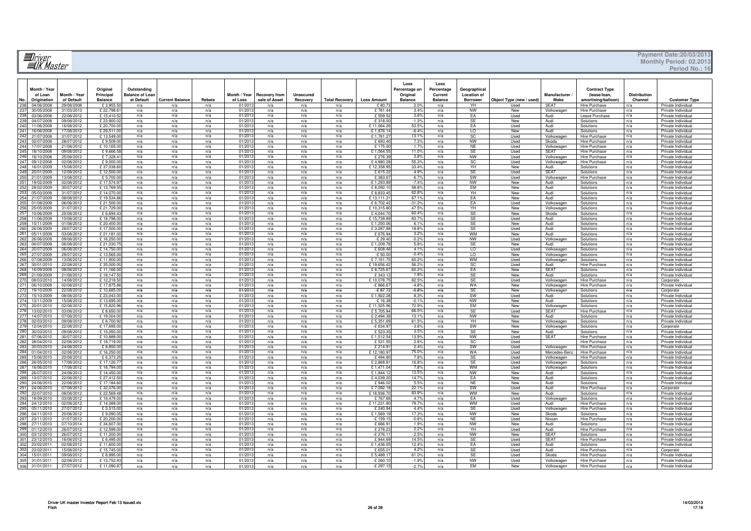# **El**river<br>Elk Master

## **Payment Date:20/03/2013 Monthly Period: 02.2013**

**Period No.: 16**

|            | Month / Year<br>of Loan  | Month / Year             | Original<br>Principal     | Outstanding<br><b>Balance of Loa</b> |                        |            | Month / Year      | <b>Recovery from</b> | Unsecured  |                       |                         | Loss<br>ercentage or<br>Original | Loss<br>Percentage<br>Current | Geographical<br><b>Location of</b> |                          | Manufacturer        | <b>Contract Type</b><br>(lease/loan,  | <b>Distribution</b> |                                          |
|------------|--------------------------|--------------------------|---------------------------|--------------------------------------|------------------------|------------|-------------------|----------------------|------------|-----------------------|-------------------------|----------------------------------|-------------------------------|------------------------------------|--------------------------|---------------------|---------------------------------------|---------------------|------------------------------------------|
| Nc         | Origination              | of Default               | <b>Balance</b>            | at Default                           | <b>Current Balance</b> | Rebate     | of Loss           | sale of Asset        | Recovery   | <b>Total Recovery</b> | <b>Loss Amount</b>      | <b>Balance</b>                   | <b>Balance</b>                | <b>Borrower</b>                    | Object Type (new / used) | Make                | amortising/balloon)                   | Channel             | <b>Customer Type</b>                     |
| 23         | 04/06/2008               | 29/08/2008               | £3,955.50                 | n/a                                  | n/a                    | n/a        | 01/20             | n/a                  | n/a        | n/a                   | £80.7                   | 2.0%                             | n/a                           | YH                                 | Used                     | <b>SEAT</b>         | Hire Purchase                         | n/a                 | Private Individual                       |
| 23<br>23   | 30/05/2008               | 31/03/2013               | £ 22,798.61               | n/a                                  | n/a                    | n/a        | 01/20             | n/a                  | n/a        | n/a                   | £781.4                  | 3.4%                             | n/a                           | <b>NW</b>                          | New                      | Volkswagen          | <b>Hire Purchase</b>                  | n/a                 | Private Individua                        |
|            | 03/06/2008<br>04/07/2008 | 22/08/2012<br>09/08/2012 | £15,410.52<br>£23,900.02  | n/a<br>n/a                           | n/a<br>n/a             | n/a<br>n/a | 01/201<br>01/201  | n/a<br>n/a           | n/a<br>n/a | n/a<br>n/a            | £559.5<br>$-£318.00$    | 3.6%<br>$-1.3%$                  | n/a<br>n/a                    | EA<br>SE                           | Used<br>New              | Audi<br>Audi        | Lease Purchase<br>Solutions           | n/a<br>n/a          | Private Individual<br>Private Individual |
| 240        | 11/06/2008               | 16/08/2012               | £ 20,700.00               | n/a                                  | n/a                    | n/a        | 01/201            | n/a                  | n/a        | n/a                   | £11,064.26              | 53.5%                            | n/a                           | EA                                 | Used                     | Audi                | Solutions                             | n/a                 | Private Individual                       |
| 241        | 16/06/2008               | 17/08/2012               | £ 29,511.00               | n/a                                  | n/a                    | n/a        | 01/201            | n/a                  | n/a        | n/a                   | $-2.1,876.14$           | $-6.4%$                          | n/a                           | LO                                 | New                      | Audi                | Solutions                             | n/a                 | Private Individual                       |
| 24         | 21/07/200<br>02/07/2008  | 31/07/2012<br>28/07/2012 | £13,549.00<br>£9,509.00   | n/a<br>n/a                           | n/a<br>n/a             | n/a<br>n/a | 01/201<br>01/201  | n/a<br>n/a           | n/a<br>n/a | n/a<br>n/a            | £1,781.2<br>£ 693.40    | 13.1%<br>7.3%                    | n/a<br>n/a                    | SC<br><b>NW</b>                    | Used<br>Used             | Volkswagen<br>Skoda | Hire Purchase<br>Hire Purchase        | n/a<br>n/a          | Private Individual<br>Private Individua  |
| 24         | 17/07/200                | 21/08/2012               | £10.165.00                | n/a                                  | n/a                    | n/a        | 01/201            | n/a                  | n/a        | n/a                   | £175.0                  | 1.7%                             | n/a                           | <b>NE</b>                          | Used                     | Volkswagen          | Hire Purchase                         | n/a                 | Private Individual                       |
|            | 18/10/2008               | 09/08/2012               | £9,666.58                 | n/a                                  | n/a                    | n/a        | 01/201            | n/a                  | n/a        | n/a                   | £1.064.5                | 11.0%                            | n/a                           | <b>SE</b>                          | Used                     | <b>SEAT</b>         | Hire Purchase                         | n/a                 | Private Individual                       |
|            | 16/10/2008               | 25/08/2012               | £7,328.4                  | n/a                                  | n/a                    | n/a        | 01/201            | n/a                  | n/a        | n/a                   | £ 276.39                | 3.8%                             | n/a                           | <b>NW</b>                          | Used                     | Volkswagen          | Hire Purchase                         | n/a                 | Private Individua                        |
|            | 09/12/2008<br>16/01/2009 | 02/08/2012<br>15/08/2012 | £ 9,000,00<br>£37,038.60  | n/a<br>n/a                           | n/a<br>n/a             | n/a<br>n/a | 01/201<br>01/201  | n/a<br>n/a           | n/a<br>n/a | n/a<br>n/a            | £4,980.2<br>£12,358.9   | 55.3%<br>33.4%                   | n/a<br>n/a                    | <b>SC</b><br>YH                    | Used<br>New              | Volkswagen<br>Audi  | <b>Hire Purchase</b><br>Solutions     | n/a<br>n/a          | Private Individual<br>Private Individual |
|            | 20/01/2009               | 12/08/2012               | £12,500.00                | n/a                                  | n/a                    | n/a        | 01/201            | n/a                  | n/a        | n/a                   | £ 615.2                 | 4.9%                             | n/a                           | <b>SE</b>                          | Used                     | <b>SEAT</b>         | Solutions                             | n/a                 | Private Individua                        |
|            |                          | 13/08/2012               | £5,700.00                 | n/a                                  | n/a                    | n/a        | 01/201            | n/a                  | n/a        | n/a                   | £383.6                  | 6.7%                             | n/a                           | SW                                 | Used                     | Volkswagen          | Hire Purchase                         | n/a                 | Private Individua                        |
| $25 -$     | 19/02/2009               | 02/08/2012               | £17,574.97                | n/a                                  | n/a                    | n/a        | 01/2013           | n/a                  | n/a        | n/a                   | $-2.1,293.89$           | $-7.4%$                          | n/a                           | NW                                 | New                      | Audi                | Solutions                             | n/a                 | Private Individual                       |
| 25         | 28/02/2009<br>05/03/2009 | 30/07/2012<br>31/07/2012 | 2 13,769.55<br>£14.070.00 | n/a<br>n/a                           | n/a<br>n/a             | n/a<br>n/a | 01/201<br>01/201  | n/a<br>n/a           | n/a<br>n/a | n/a<br>n/a            | £8,092.1<br>£8,833.45   | 58.8%<br>62.8%                   | n/a<br>n/a                    | EM<br>YH                           | New<br>New               | Audi<br>Audi        | Solutions<br>Solutions                | n/a<br>n/a          | Private Individual<br>Private Individual |
| 254        | 21/07/2009               | 08/08/2012               | £19,534.86                | n/a                                  | n/a                    | n/a        | 01/201            | n/a                  | n/a        | n/a                   | £13.111.2               | 67.1%                            | n/a                           | EA                                 | New                      | Audi                | Solutions                             | n/a                 | Private Individual                       |
|            | 01/08/2009               | 06/06/2012               | £ 21,500.00               | n/a                                  | n/a                    | n/a        | 01/201            | n/a                  | n/a        | n/a                   | $-E$ 6,702.42           | $-31.2%$                         | n/a                           | EA                                 | Used                     | Volkswagen          | Solutions                             | n/a                 | Private Individual                       |
| 25f        | 25/05/2009               | 31/07/2012               | £ 21,729.00               | n/a                                  | n/a                    | n/a        | 01/201            | n/a                  | n/a        | n/a                   | £10.315.8               | 47.5%                            | n/a                           | YH                                 | New                      | Volkswagen          | Solutions                             | n/a                 | Private Individual                       |
| 25         | 10/06/2009<br>11/06/2009 | 25/08/2012<br>10/08/2012 | £6.694.43<br>2 18,798.00  | n/a<br>n/a                           | n/a<br>n/a             | n/a<br>n/a | 01/201<br>01/201  | n/a<br>n/a           | n/a<br>n/a | n/a<br>n/a            | £4.044.70<br>£15.739.8  | 60.4%<br>83.79                   | n/a<br>n/a                    | SF<br>SE                           | <b>New</b><br>Used       | Skoda<br>Audi       | Solutions<br>Solutions                | n/a<br>n/a          | Private Individual<br>Private Individual |
| 25         | 10/11/2009               | 01/08/2012               | £ 20,400.00               | n/a                                  | n/a                    | n/a        | 01/201            | n/a                  | n/a        | n/a                   | £1.250.06               | 6.1%                             | n/a                           | SE                                 | New                      | Audi                | Solutions                             | n/a                 | Private Individual                       |
|            | 26/06/2009               | 28/07/2012               | £17,500.00                | n/a                                  | n/a                    | n/a        | 01/201            | n/a                  | n/a        | n/a                   | £3.287.8                | 18.8%                            | n/a                           | <b>SE</b>                          | Used                     | Audi                | Solutions                             | n/a                 | Private Individual                       |
| 261        | 05/11/2009               | 03/08/2012               | £ 21,181.00               | n/a                                  | n/a                    | n/a        | 01/201            | n/a                  | n/a        | n/a                   | £676.9                  | 3.2%                             | n/a                           | <b>WM</b>                          | New                      | Audi                | Solutions                             | n/a                 | Private Individual                       |
| 26         | 26/06/2009<br>06/07/2009 | 09/08/2012<br>06/08/2012 | £16,250.00<br>£ 21.030.7  | n/a<br>n/a                           | n/a<br>n/a             | n/a<br>n/a | 01/201<br>01/201  | n/a<br>n/a           | n/a<br>n/a | n/a<br>n/a            | $-E$ 29.4<br>£1,209.7   | $-0.2%$<br>5.8%                  | n/a<br>n/a                    | <b>NW</b><br><b>SF</b>             | Used<br>New              | Volkswagen<br>Audi  | Solutions<br>Solutions                | n/a<br>n/a          | Private Individual<br>Private Individua  |
|            | 20/07/2009               | 06/08/2012               | £14,750.00                | n/a                                  | n/a                    | n/a        | 01/201            | n/a                  | n/a        | n/a                   | £ 608.48                | 4.1%                             | n/a                           | LO                                 | Used                     | Volkswagen          | Solutions                             | n/a                 | Private Individua                        |
| 265        | 27/07/2009               | 29/07/2012               | £13,565.00                | n/a                                  | n/a                    | n/a        | 01/201            | n/a                  | n/a        | n/a                   | $-£50.00$               | $-0.4%$                          | n/a                           | <b>LO</b>                          | New                      | Volkswagen          | Solutions                             | n/a                 | Private Individual                       |
| 26         | 07/08/200                | 13/08/2012               | £11,900.00                | n/a                                  | n/a                    | n/a        | 01/201            | n/a                  | n/a        | n/a                   | £ 7.161.7               | 60.2                             | n/a                           | <b>WM</b>                          | Used                     | Volkswagen          | Solutions                             | n/a                 | Private Individual                       |
| 267<br>268 | 30/01/2010<br>16/09/2009 | 22/08/2012<br>08/08/2012 | £35,000.00<br>£11,166.00  | n/a<br>n/a                           | n/a<br>n/a             | n/a<br>n/a | 01/201<br>01/201  | n/a<br>n/a           | n/a<br>n/a | n/a<br>n/a            | £19,656.42<br>£6,725.67 | 56.2%<br>60.2%                   | n/a<br>n/a                    | <b>SC</b><br>EA                    | Used<br><b>New</b>       | Audi<br>SEAT        | <b>Hire Purchase</b><br>Solutions     | n/a<br>n/a          | Private Individual<br>Private Individual |
| 26         | 21/09/2009               | 21/08/2012               | £18 147 50                | n/a                                  | n/a                    | n/a        | 01/201            | n/a                  | n/a        | n/a                   | £ 343.13                | 1.9%                             | n/a                           | <b>SE</b>                          | New                      | Audi                | Solutions                             | n/a                 | Private Individual                       |
| 27         | 08/03/2010               | 14/08/2012               | £12,218.50                | n/a                                  | n/a                    | n/a        | 01/201            | n/a                  | n/a        | n/a                   | £10.078.7               | 82.5%                            | n/a                           | <b>SE</b>                          | Used                     | Volkswagen          | <b>Hire Purchase</b>                  | n/a                 | Corporate                                |
|            | 06/10/2009               | 02/08/2012               | £17,875.86                | n/a                                  | n/a                    | n/a        | 01/201            | n/a                  | n/a        | n/a                   | $-E$ 866.6              | $-4.8%$                          | n/a                           | WA                                 | <b>New</b>               | Volkswagen          | Hire Purchase                         | n/a                 | Private Individual                       |
|            | 19/10/2009<br>15/10/2009 | 22/08/2012<br>08/08/2012 | £10,685.00<br>£ 23,043.00 | n/a<br>n/a                           | n/a<br>n/a             | n/a<br>n/a | 01/201<br>01/201  | n/a<br>n/a           | n/a<br>n/a | n/a<br>n/a            | $-287.72$<br>£1,922.2   | $-0.8%$<br>8.3%                  | n/a<br>n/a                    | SE<br>SW                           | New<br>Used              | Volkswagen<br>Audi  | Solutions<br>Solutions                | n/a<br>n/a          | Corporate<br>Private Individua           |
|            | 13/11/2009               | 15/08/2012               | £13,695.00                | n/a                                  | n/a                    | n/a        | 01/201            | n/a                  | n/a        | n/a                   | $-E$ 16.3               | $-0.1%$                          | n/a                           | <b>NW</b>                          | New                      | Audi                | Solutions                             | n/a                 | Private Individual                       |
|            | 20/01/2010               | 02/08/2012               | £15.820.96                | n/a                                  | n/a                    | n/a        | 01/201            | n/a                  | n/a        | n/a                   | £11.525.9               | 72.9%                            | n/a                           | EM                                 | New                      | Volkswagen          | Solutions                             | n/a                 | Private Individual                       |
|            | 13/02/2010               | 03/08/2012               | £8,650.00                 | n/a                                  | n/a                    | n/a        | 01/2013           | n/a                  | n/a        | n/a                   | £5,705.94               | 66.0%                            | n/a                           | SE                                 | Used                     | SEAT                | Hire Purchase                         | n/a                 | Private Individual                       |
|            | 14/07/2010<br>02/03/2010 | 07/08/2012<br>09/08/2012 | £19,004.00<br>£8,700.92   | n/a<br>n/a                           | n/a<br>n/a             | n/a<br>n/a | 01/201<br>01/2013 | n/a<br>n/a           | n/a<br>n/a | n/a<br>n/a            | £2,494.38<br>£5,351.69  | 13.1%<br>61.5%                   | n/a<br>n/a                    | NW<br>YH                           | New<br>New               | Audi<br>Volkswagen  | Solutions<br>Solutions                | n/a<br>n/a          | Private Individual<br>Private Individual |
|            | 12/04/2010               | 22/08/2012               | £17,695.00                | n/a                                  | n/a                    | n/a        | 01/2013           | n/a                  | n/a        | n/a                   | $-£634.97$              | $-3.6%$                          | n/a                           | <b>SW</b>                          | New                      | Volkswagen          | Solutions                             | n/a                 | Corporate                                |
|            | 30/03/2010               | 09/08/2012               | £15,050.00                | n/a                                  | n/a                    | n/a        | 01/201            | n/a                  | n/a        | n/a                   | £ 523.3                 | 3.5%                             | n/a                           | SE                                 | New                      | Audi                | Solutions                             | n/a                 | Private Individual                       |
| 28         | 07/06/2010<br>28/04/2010 | 30/07/2012<br>22/08/2012 | £10,889.00<br>£18,719.00  | n/a<br>n/a                           | n/a                    | n/a        | 01/201<br>01/201  | n/a                  | n/a        | n/a<br>n/a            | £1,512.54<br>£531.55    | 13.9%<br>2.8%                    | n/a<br>n/a                    | <b>NW</b><br>SC                    | Used<br>Used             | <b>SEAT</b>         | Hire Purchase<br><b>Hire Purchase</b> | n/a<br>n/a          | Private Individual<br>Private Individual |
| 28         | 30/03/2010               | 24/08/2012               | £8,850.00                 | n/a                                  | n/a<br>n/a             | n/a<br>n/a | 01/201            | n/a<br>n/a           | n/a<br>n/a | n/a                   | £ 214.9                 | 2.4%                             | n/a                           | SW                                 | Used                     | Volkswagen          | <b>Hire Purchase</b>                  | n/a                 | Private Individual                       |
| 28         | 01/04/2010               | 02/08/2012               | £16,250.00                | n/a                                  | n/a                    | n/a        | 01/201            | n/a                  | n/a        | n/a                   | £12,180.97              | 75.0%                            | n/a                           | WA                                 | Used                     | Mercedes-Benz       | Hire Purchase                         | n/a                 | Private Individual                       |
| 2۶         | 15/06/2010               | 20/08/2012               | £6.373.2                  | n/a                                  | n/a                    | n/a        | 01/201            | n/a                  | n/a        | n/a                   | £494.80                 | 7.8%                             | n/a                           | <b>SE</b>                          | Used                     | Volkswagen          | <b>Hire Purchase</b>                  | n/a                 | Private Individual                       |
| 28         | 26/05/2010<br>16/06/2010 | 17/08/2012<br>17/08/2012 | £17,120.77<br>£18,794.00  | n/a<br>n/a                           | n/a                    | n/a<br>n/a | 01/201<br>01/201  | n/a<br>n/a           | n/a<br>n/a | n/a<br>n/a            | £2,868.8<br>£1,471.0    | 16.8%<br>7.8%                    | n/a<br>n/a                    | SE<br><b>WM</b>                    | Used<br>Used             | Volkswagen          | Solutions<br>Solutions                | n/a<br>n/a          | Private Individual<br>Private Individua  |
|            | 26/07/2010               | 24/08/2012               | £14,450.00                | n/a                                  | n/a<br>n/a             | n/a        | 01/201            | n/a                  | n/a        | n/a                   | £1.944.1                | 13.5%                            | n/a                           | <b>NW</b>                          | New                      | Volkswagen<br>Audi  | Solutions                             | n/a                 | Private Individua                        |
|            | 10/07/2010               | 22/08/2012               | £ 27,412.50               | n/a                                  | n/a                    | n/a        | 01/201            | n/a                  | n/a        | n/a                   | £4,039.2                | 14.7%                            | n/a                           | EA                                 | New                      | Audi                | Solutions                             | n/a                 | Private Individual                       |
| 29         | 24/06/2010               | 22/08/2012               | £17,184.60                | n/a                                  | n/a                    | n/a        | 01/201            | n/a                  | n/a        | n/a                   | £946.0                  | 5.5%                             | n/a                           | <b>NE</b>                          | <b>New</b>               | Audi                | Solutions                             | n/a                 | Private Individua                        |
| 291<br>292 | 24/06/2010<br>22/07/2010 | 07/08/2012<br>08/08/2012 | £32,076.00<br>£ 22,569.48 | n/a<br>n/a                           | n/a<br>n/a             | n/a<br>n/a | 01/201<br>01/201  | n/a<br>n/a           | n/a<br>n/a | n/a<br>n/a            | £7.092.1<br>£18,936.7   | 22.1%<br>83.9%                   | n/a<br>n/a                    | SW<br><b>WM</b>                    | Used<br>New              | Audi<br>Audi        | <b>Hire Purchase</b><br>Solutions     | n/a<br>n/a          | Corporate<br>Private Individua           |
| 293        | 18/09/2010               | 03/08/2012               | £16,479.00                | n/a                                  | n/a                    | n/a        | 01/201            | n/a                  | n/a        | n/a                   | £767.68                 | 4.7%                             | n/a                           | EA                                 | Used                     | Volkswagen          | Solutions                             | n/a                 | Private Individual                       |
|            | 24/12/2010               | 02/08/2012               | £14.089.00                | n/a                                  | n/a                    | n/a        | 01/201            | n/a                  | n/a        | n/a                   | £11.231.8               | 79.7%                            | n/a                           | <b>WM</b>                          | Used                     | Audi                | Hire Purchase                         | n/a                 | Private Individua                        |
|            | 05/11/2010               | 27/07/2012               | £5.515.00                 | n/a                                  | n/a                    | n/a        | 01/201            | n/a                  | n/a        | n/a                   | £ 240.94                | 4.4%                             | n/a                           | <b>SE</b>                          | Used                     | Volkswagen          | <b>Hire Purchase</b>                  | n/a                 | Private Individual                       |
|            | 04/11/2010               | 20/08/2012<br>31/07/2012 | £9.090.05<br>£ 20,200.00  | n/a<br>n/a                           | n/a<br>n/a             | n/a<br>n/a | 01/201<br>01/201  | n/a<br>n/a           | n/a<br>n/a | n/a<br>n/a            | £1.569.1<br>$-E$ 159.1  | 17.3%<br>$-0.8%$                 | n/a<br>n/a                    | <b>NW</b><br><b>NE</b>             | <b>New</b><br>Used       | Skoda<br>Nissan     | Solutions<br>Hire Purchase            | n/a<br>n/a          | Private Individua<br>Private Individua   |
|            |                          | 07/10/2014               | £34,607.00                | n/a                                  | n/a                    | n/a        | 01/201            | n/a                  | n/a        | n/a                   | £ 666.9                 | 1.9%                             | n/a                           | <b>NW</b>                          | New                      | Audi                | Solutions                             | n/a                 | Private Individua                        |
|            |                          | 26/07/2012               | 212.599.00                | n/a                                  | n/a                    | n/a        | 01/201            | n/a                  | n/a        | n/a                   | £278.2                  | 2.2%                             | n/a                           | YH                                 | Used                     | Audi                | Hire Purchase                         | n/a                 | Private Individua                        |
|            | 03/12/2010               | 26/07/2012               | £11,200.00                | n/a                                  | n/a                    | n/a        | 01/201            | n/a                  | n/a        | n/a                   | £ 276.1                 | $-2.5%$                          | n/a                           | NW                                 | New                      | SEAT                | Solutions                             | n/a                 | Private Individua                        |
|            | 23/12/2010<br>23/02/2011 | 16/08/2012<br>02/08/2012 | £ 6,495.00<br>£11,600.00  | n/a<br>n/a                           | n/a<br>n/a             | n/a<br>n/a | 01/201<br>01/201  | n/a<br>n/a           | n/a<br>n/a | n/a<br>n/a            | £944.6<br>£1,436.0      | 14.5%<br>12.4%                   | n/a<br>n/a                    | SE<br>EA                           | Used<br>Used             | <b>SEAT</b><br>Audi | Hire Purchase<br>Solutions            | n/a<br>n/a          | Private Individual<br>Private Individual |
| 303        | 23/02/2011               | 15/08/2012               | £15,745.00                | n/a                                  | n/a                    | n/a        | 01/201            | n/a                  | n/a        | n/a                   | £655.0                  | 4.2%                             | n/a                           | SE                                 | Used                     | Audi                | Hire Purchase                         | n/a                 | Corporate                                |
|            | 15/01/2011               | 09/08/2012               | £8,995.00                 | n/a                                  | n/a                    | n/a        | 01/201            | n/a                  | n/a        | n/a                   | £5.489.1                | 61.09                            | n/a                           | SE                                 | Used                     | Skoda               | Hire Purchase                         | n/a                 | Private Individua                        |
| 30.        | 31/01/201                | 02/08/2012               | £13,752.93                | n/a                                  | n/a                    | n/a        | 01/201            | n/a                  | n/a        | n/a                   | $-£$ 260.1              | $-1.9%$                          | n/a                           | <b>NW</b>                          | Used                     | Volkswager          | Hire Purchase                         | n/a                 | Private Individual                       |
| 306        | 31/01/2011               | 27/07/2012               | £11,090.87                | n/a                                  | n/a                    | n/a        | 01/201            | n/a                  | n/a        | n/a                   | $-£$ 297.15             | $-2.7%$                          | n/a                           | EM                                 | New                      | Volkswagen          | Hire Purchase                         | n/a                 | Private Individual                       |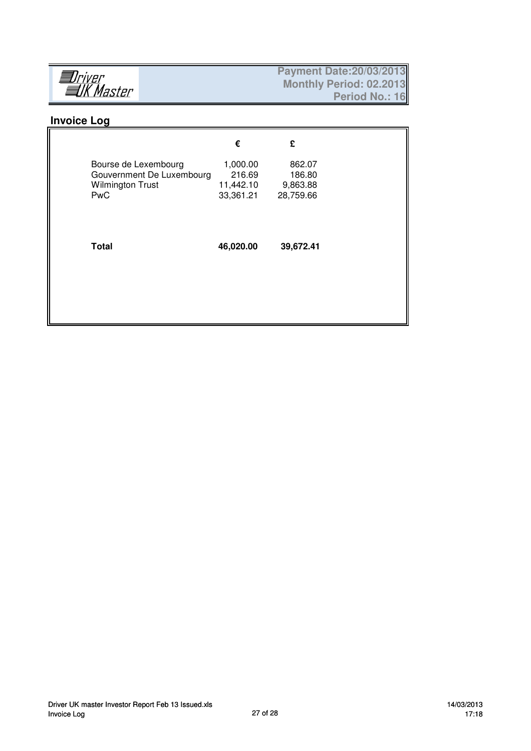

## **Invoice Log**

|                                                                                            | €                                            | £                                         |
|--------------------------------------------------------------------------------------------|----------------------------------------------|-------------------------------------------|
| Bourse de Lexembourg<br>Gouvernment De Luxembourg<br><b>Wilmington Trust</b><br><b>PwC</b> | 1,000.00<br>216.69<br>11,442.10<br>33,361.21 | 862.07<br>186.80<br>9,863.88<br>28,759.66 |
| <b>Total</b>                                                                               | 46,020.00                                    | 39,672.41                                 |
|                                                                                            |                                              |                                           |
|                                                                                            |                                              |                                           |